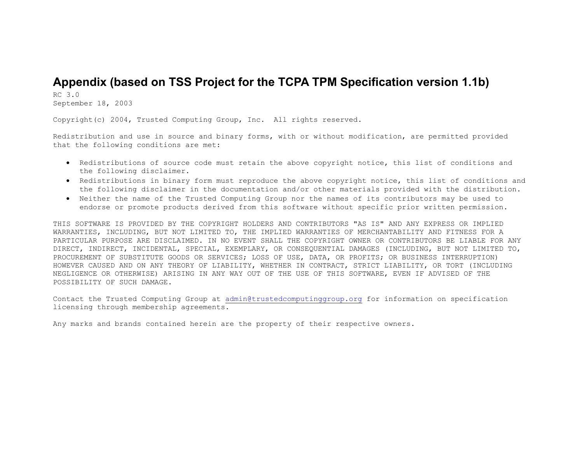# **Appendix (based on TSS Project for the TCPA TPM Specification version 1.1b)**

RC 3.0 September 18, 2003

Copyright(c) 2004, Trusted Computing Group, Inc. All rights reserved.

Redistribution and use in source and binary forms, with or without modification, are permitted provided that the following conditions are met:

- Redistributions of source code must retain the above copyright notice, this list of conditions and the following disclaimer.
- Redistributions in binary form must reproduce the above copyright notice, this list of conditions and the following disclaimer in the documentation and/or other materials provided with the distribution.
- Neither the name of the Trusted Computing Group nor the names of its contributors may be used to endorse or promote products derived from this software without specific prior written permission.

THIS SOFTWARE IS PROVIDED BY THE COPYRIGHT HOLDERS AND CONTRIBUTORS "AS IS" AND ANY EXPRESS OR IMPLIED WARRANTIES, INCLUDING, BUT NOT LIMITED TO, THE IMPLIED WARRANTIES OF MERCHANTABILITY AND FITNESS FOR A PARTICULAR PURPOSE ARE DISCLAIMED. IN NO EVENT SHALL THE COPYRIGHT OWNER OR CONTRIBUTORS BE LIABLE FOR ANY DIRECT, INDIRECT, INCIDENTAL, SPECIAL, EXEMPLARY, OR CONSEQUENTIAL DAMAGES (INCLUDING, BUT NOT LIMITED TO, PROCUREMENT OF SUBSTITUTE GOODS OR SERVICES; LOSS OF USE, DATA, OR PROFITS; OR BUSINESS INTERRUPTION) HOWEVER CAUSED AND ON ANY THEORY OF LIABILITY, WHETHER IN CONTRACT, STRICT LIABILITY, OR TORT (INCLUDING NEGLIGENCE OR OTHERWISE) ARISING IN ANY WAY OUT OF THE USE OF THIS SOFTWARE, EVEN IF ADVISED OF THE POSSIBILITY OF SUCH DAMAGE.

Contact the Trusted Computing Group at admin@trustedcomputinggroup.org for information on specification licensing through membership agreements.

Any marks and brands contained herein are the property of their respective owners.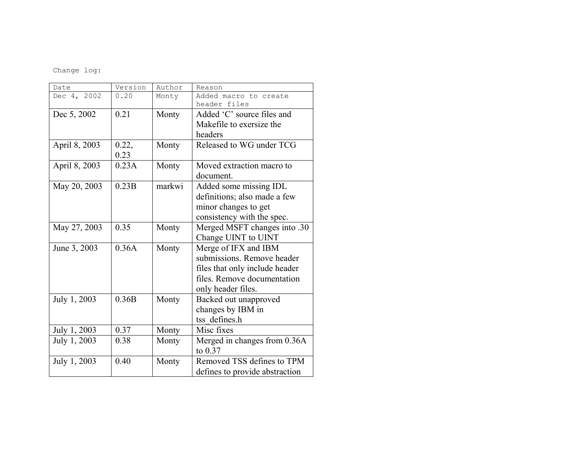Change log:

| Date          | Version | Author | Reason                         |
|---------------|---------|--------|--------------------------------|
| Dec 4, 2002   | 0.20    | Monty  | Added macro to create          |
|               |         |        | header files                   |
| Dec 5, 2002   | 0.21    | Monty  | Added 'C' source files and     |
|               |         |        | Makefile to exersize the       |
|               |         |        | headers                        |
| April 8, 2003 | 0.22,   | Monty  | Released to WG under TCG       |
|               | 0.23    |        |                                |
| April 8, 2003 | 0.23A   | Monty  | Moved extraction macro to      |
|               |         |        | document.                      |
| May 20, 2003  | 0.23B   | markwi | Added some missing IDL         |
|               |         |        | definitions; also made a few   |
|               |         |        | minor changes to get           |
|               |         |        | consistency with the spec.     |
| May 27, 2003  | 0.35    | Monty  | Merged MSFT changes into .30   |
|               |         |        | Change UINT to UINT            |
| June 3, 2003  | 0.36A   | Monty  | Merge of IFX and IBM           |
|               |         |        | submissions. Remove header     |
|               |         |        | files that only include header |
|               |         |        | files. Remove documentation    |
|               |         |        | only header files.             |
| July 1, 2003  | 0.36B   | Monty  | Backed out unapproved          |
|               |         |        | changes by IBM in              |
|               |         |        | tss defines.h                  |
| July 1, 2003  | 0.37    | Monty  | Misc fixes                     |
| July 1, 2003  | 0.38    | Monty  | Merged in changes from 0.36A   |
|               |         |        | to $0.37$                      |
| July 1, 2003  | 0.40    | Monty  | Removed TSS defines to TPM     |
|               |         |        | defines to provide abstraction |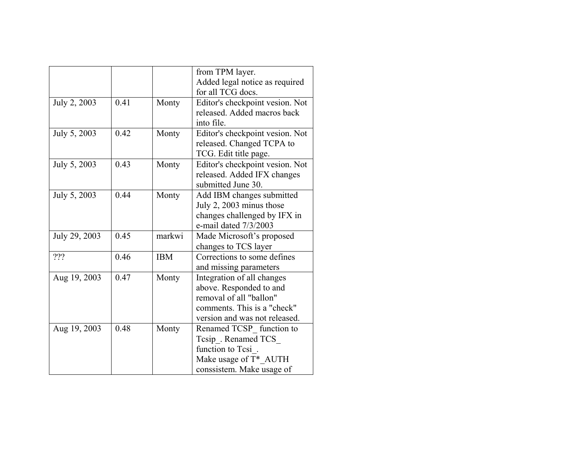|               |      |            | from TPM layer.                 |
|---------------|------|------------|---------------------------------|
|               |      |            | Added legal notice as required  |
|               |      |            | for all TCG docs.               |
| July 2, 2003  | 0.41 | Monty      | Editor's checkpoint vesion. Not |
|               |      |            | released. Added macros back     |
|               |      |            | into file.                      |
| July 5, 2003  | 0.42 | Monty      | Editor's checkpoint vesion. Not |
|               |      |            | released. Changed TCPA to       |
|               |      |            | TCG. Edit title page.           |
| July 5, 2003  | 0.43 | Monty      | Editor's checkpoint vesion. Not |
|               |      |            | released. Added IFX changes     |
|               |      |            | submitted June 30.              |
| July 5, 2003  | 0.44 | Monty      | Add IBM changes submitted       |
|               |      |            | July 2, 2003 minus those        |
|               |      |            | changes challenged by IFX in    |
|               |      |            | e-mail dated 7/3/2003           |
| July 29, 2003 | 0.45 | markwi     | Made Microsoft's proposed       |
|               |      |            | changes to TCS layer            |
| 222           | 0.46 | <b>IBM</b> | Corrections to some defines     |
|               |      |            | and missing parameters          |
| Aug 19, 2003  | 0.47 | Monty      | Integration of all changes      |
|               |      |            | above. Responded to and         |
|               |      |            | removal of all "ballon"         |
|               |      |            | comments. This is a "check"     |
|               |      |            | version and was not released.   |
| Aug 19, 2003  | 0.48 | Monty      | Renamed TCSP function to        |
|               |      |            | Tesip . Renamed TCS             |
|               |      |            | function to Tesi                |
|               |      |            | Make usage of T* AUTH           |
|               |      |            | conssistem. Make usage of       |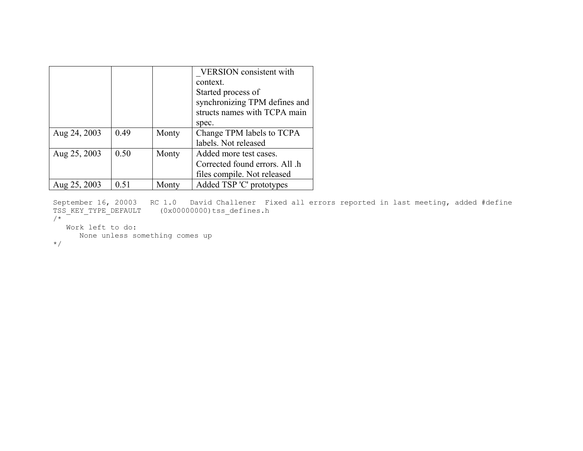|              |      |       | <b>VERSION</b> consistent with |
|--------------|------|-------|--------------------------------|
|              |      |       | context.                       |
|              |      |       | Started process of             |
|              |      |       | synchronizing TPM defines and  |
|              |      |       | structs names with TCPA main   |
|              |      |       | spec.                          |
| Aug 24, 2003 | 0.49 | Monty | Change TPM labels to TCPA      |
|              |      |       | labels. Not released           |
| Aug 25, 2003 | 0.50 | Monty | Added more test cases.         |
|              |      |       | Corrected found errors. All .h |
|              |      |       | files compile. Not released    |
| Aug 25, 2003 | 0.51 | Monty | Added TSP 'C' prototypes       |

September 16, 20003 RC 1.0 David Challener Fixed all errors reported in last meeting, added #define TSS\_KEY\_TYPE\_DEFAULT (0x00000000)tss\_defines.h /\*

```
 Work left to do: 
      None unless something comes up
```
\*/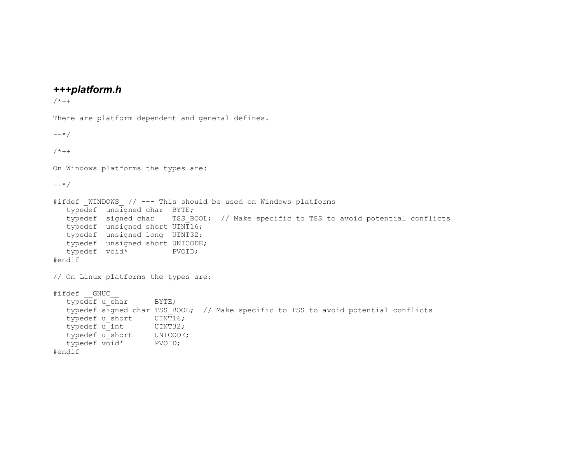## *+++platform.h*

```
/*++
There are platform dependent and general defines. 
--*// * + +On Windows platforms the types are: 
--*/#ifdef WINDOWS // --- This should be used on Windows platforms
   typedef unsigned char BYTE; 
  typedef signed char TSS BOOL; // Make specific to TSS to avoid potential conflicts
   typedef unsigned short UINT16; 
   typedef unsigned long UINT32; 
   typedef unsigned short UNICODE; 
   typedef void* PVOID; 
#endif 
// On Linux platforms the types are: 
#ifdef GNUC
  typedef u char BYTE;
  typedef signed char TSS BOOL; // Make specific to TSS to avoid potential conflicts
  typedef u short UINT16;
  typedef u int UINT32;
  typedef u short UNICODE;
   typedef void* PVOID; 
#endif
```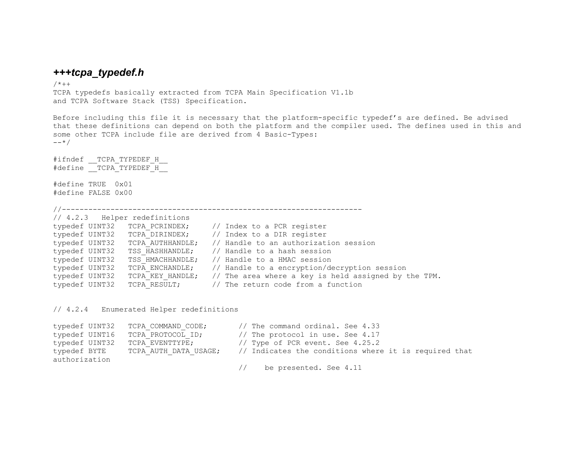### *+++tcpa\_typedef.h*

 $/ * + +$ 

TCPA typedefs basically extracted from TCPA Main Specification V1.1b and TCPA Software Stack (TSS) Specification.

Before including this file it is necessary that the platform-specific typedef's are defined. Be advised that these definitions can depend on both the platform and the compiler used. The defines used in this and some other TCPA include file are derived from 4 Basic-Types:  $---*$ 

#ifndef TCPA TYPEDEF H #define TCPA TYPEDEF H

#define TRUE 0x01 #define FALSE 0x00

//--------------------------------------------------------------------

|                |                                                                                                                                                                  | // Index to a PCR register                                        |
|----------------|------------------------------------------------------------------------------------------------------------------------------------------------------------------|-------------------------------------------------------------------|
|                |                                                                                                                                                                  |                                                                   |
| typedef UINT32 |                                                                                                                                                                  | // Handle to an authorization session                             |
| typedef UINT32 |                                                                                                                                                                  | // Handle to a hash session                                       |
| typedef UINT32 |                                                                                                                                                                  | // Handle to a HMAC session                                       |
| typedef UINT32 |                                                                                                                                                                  | // Handle to a encryption/decryption session                      |
| typedef UINT32 |                                                                                                                                                                  | // The area where a key is held assigned by the TPM.              |
| typedef UINT32 |                                                                                                                                                                  | TCPA RESULT; $\frac{1}{\sqrt{2}}$ The return code from a function |
|                | // 4.2.3 Helper redefinitions<br>typedef UINT32 TCPA PCRINDEX;<br>TCPA AUTHHANDLE;<br>TSS HASHHANDLE;<br>TSS HMACHHANDLE;<br>TCPA ENCHANDLE;<br>TCPA KEY HANDLE; | typedef UINT32 TCPA DIRINDEX; // Index to a DIR register          |

// 4.2.4 Enumerated Helper redefinitions

```
typedef UINT32 TCPA COMMAND CODE; // The command ordinal. See 4.33
typedef UINT16 TCPA PROTOCOL ID; // The protocol in use. See 4.17
typedef UINT32 TCPA_EVENTTYPE; // Type of PCR event. See 4.25.2<br>typedef BYTE TCPA_AUTH_DATA_USAGE; // Indicates the conditions where
typedef BYTE TCPA AUTH DATA USAGE; // Indicates the conditions where it is required that
authorization  // be presented. See 4.11
```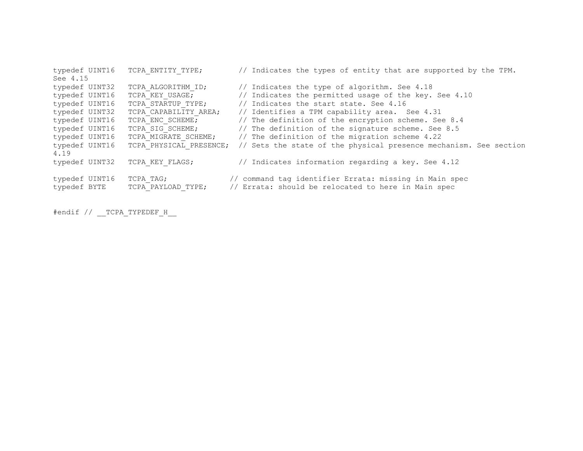| typedef UINT16 |           | TCPA ENTITY TYPE;       | // Indicates the types of entity that are supported by the TPM.   |
|----------------|-----------|-------------------------|-------------------------------------------------------------------|
| See 4.15       |           |                         |                                                                   |
| typedef UINT32 |           | TCPA ALGORITHM ID;      | // Indicates the type of algorithm. See 4.18                      |
| typedef UINT16 |           | TCPA KEY USAGE;         | // Indicates the permitted usage of the key. See 4.10             |
| typedef UINT16 |           | TCPA STARTUP TYPE;      | // Indicates the start state. See 4.16                            |
| typedef UINT32 |           | TCPA CAPABILITY AREA;   | // Identifies a TPM capability area. See 4.31                     |
| typedef UINT16 |           | TCPA ENC SCHEME;        | // The definition of the encryption scheme. See 8.4               |
| typedef UINT16 |           | TCPA SIG SCHEME;        | // The definition of the signature scheme. See 8.5                |
| typedef UINT16 |           | TCPA MIGRATE SCHEME;    | // The definition of the migration scheme 4.22                    |
| typedef UINT16 |           | TCPA PHYSICAL PRESENCE; | // Sets the state of the physical presence mechanism. See section |
| 4.19           |           |                         |                                                                   |
| typedef UINT32 |           | TCPA KEY FLAGS;         | // Indicates information regarding a key. See 4.12                |
|                |           |                         |                                                                   |
| typedef UINT16 | TCPA TAG; |                         | // command tag identifier Errata: missing in Main spec            |
| typedef BYTE   |           | TCPA PAYLOAD TYPE;      | // Errata: should be relocated to here in Main spec               |
|                |           |                         |                                                                   |

#endif // \_\_TCPA\_TYPEDEF\_H\_\_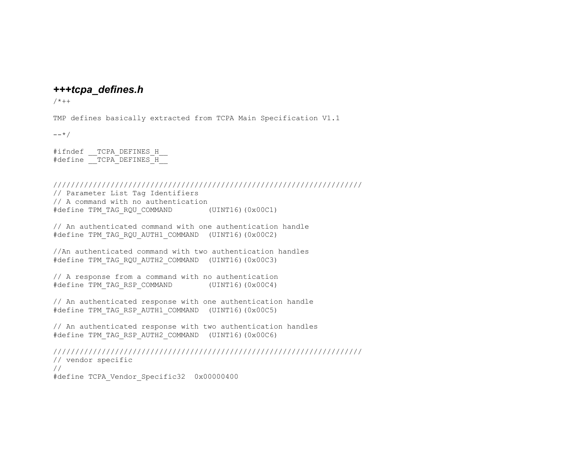### *+++tcpa\_defines.h*

 $/ * + +$ 

TMP defines basically extracted from TCPA Main Specification V1.1

 $--*/$ 

#ifndef TCPA DEFINES H #define TCPA DEFINES H

////////////////////////////////////////////////////////////////////// // Parameter List Tag Identifiers // A command with no authentication #define TPM TAG RQU COMMAND (UINT16)(0x00C1)

// An authenticated command with one authentication handle #define TPM TAG RQU AUTH1 COMMAND (UINT16)(0x00C2)

//An authenticated command with two authentication handles #define TPM\_TAG\_RQU\_AUTH2\_COMMAND (UINT16)(0x00C3)

// A response from a command with no authentication #define TPM TAG RSP COMMAND (UINT16)(0x00C4)

// An authenticated response with one authentication handle #define TPM TAG RSP AUTH1 COMMAND (UINT16)(0x00C5)

// An authenticated response with two authentication handles #define TPM TAG RSP AUTH2 COMMAND (UINT16)(0x00C6)

////////////////////////////////////////////////////////////////////// // vendor specific // #define TCPA\_Vendor\_Specific32 0x00000400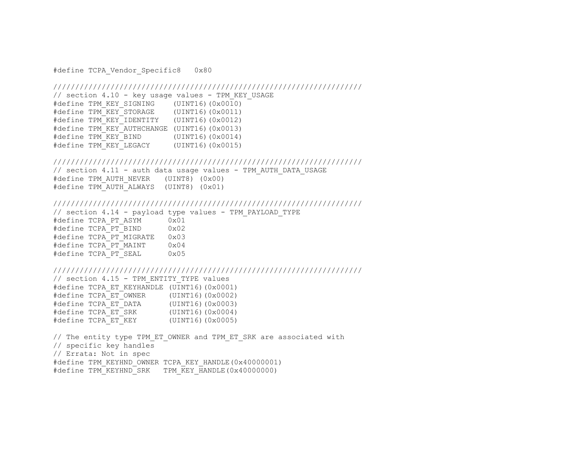#define TCPA Vendor Specific8 0x80

### //////////////////////////////////////////////////////////////////////

// section 4.10 - key usage values - TPM KEY USAGE #define TPM KEY SIGNING (UINT16)(0x0010) #define TPM KEY STORAGE (UINT16)(0x0011) #define TPM KEY IDENTITY (UINT16)(0x0012) #define TPM KEY AUTHCHANGE (UINT16)(0x0013) #define TPM KEY BIND (UINT16)(0x0014) #define TPM\_KEY\_LEGACY (UINT16)(0x0015)

#### //////////////////////////////////////////////////////////////////////

// section 4.11 - auth data usage values - TPM AUTH DATA USAGE #define TPM AUTH NEVER (UINT8) (0x00) #define TPM\_AUTH\_ALWAYS (UINT8) (0x01)

#### //////////////////////////////////////////////////////////////////////

// section 4.14 - payload type values - TPM PAYLOAD TYPE #define TCPA\_PT\_ASYM 0x01 #define TCPA\_PT\_BIND 0x02 #define TCPA\_PT\_MIGRATE 0x03 #define TCPA\_PT\_MAINT 0x04 #define TCPA\_PT\_SEAL 0x05

#### //////////////////////////////////////////////////////////////////////

// section 4.15 - TPM\_ENTITY\_TYPE values #define TCPA ET KEYHANDLE (UINT16)(0x0001) #define TCPA\_ET\_OWNER (UINT16)(0x0002)  $\# \text{define } T\text{CPA} \_ET \_DATA$  (UINT16)(0x0003)<br> $\# \text{define } T\text{CPA} \_ET \_SK$  (UINT16)(0x0004) #define TCPA ET SRK  $\#$ define TCPA ET KEY (UINT16)(0x0005)

// The entity type TPM ET OWNER and TPM ET SRK are associated with // specific key handles // Errata: Not in spec #define TPM KEYHND OWNER TCPA KEY HANDLE(0x40000001) #define TPM KEYHND SRK TPM KEY HANDLE(0x40000000)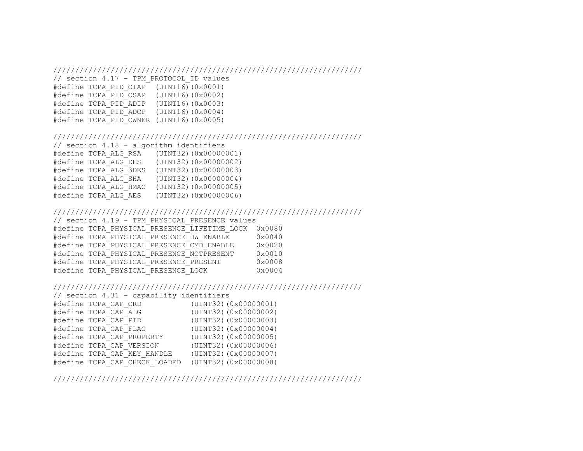#### //////////////////////////////////////////////////////////////////////

```
// section 4.17 - TPM_PROTOCOL_ID values 
#define TCPA PID OIAP (UINT16)(0x0001)#define TCPA_PID_OSAP (UINT16)(0x0002) 
#define TCPA_PID_ADIP (UINT16)(0x0003) 
#define TCPA_PID_ADCP (UINT16)(0x0004)
```
#define TCPA\_PID\_OWNER (UINT16)(0x0005)

#### //////////////////////////////////////////////////////////////////////

```
// section 4.18 - algorithm identifiers 
#define TCPA_ALG_RSA (UINT32)(0x00000001) 
#define TCPA</math> <math>ALG</math> <math>DES</math> (UINT32) (0x00000002)#define TCPA_ALG_3DES (UINT32)(0x00000003) 
#define TCPA_ALG_SHA (UINT32)(0x00000004) 
#define TCPA_ALG_HMAC (UINT32)(0x00000005) 
#define TCPA_ALG_AES (UINT32)(0x00000006)
```
#### //////////////////////////////////////////////////////////////////////

```
// section 4.19 - TPM_PHYSICAL_PRESENCE values 
#define TCPA PHYSICAL PRESENCE LIFETIME LOCK 0x0080
#define TCPA_PHYSICAL_PRESENCE_HW_ENABLE 0x0040
#define TCPA_PHYSICAL_PRESENCE_CMD_ENABLE 0x0020 
#define TCPA_PHYSICAL_PRESENCE_NOTPRESENT 0x0010 
#define TCPA PHYSICAL PRESENCE PRESENT 0x0008
#define TCPA PHYSICAL PRESENCE LOCK 0x0004
```
### //////////////////////////////////////////////////////////////////////

```
// section 4.31 - capability identifiers 
#define TCPA_CAP_ORD (UINT32)(0x00000001) 
#define TCPA_CAP_ALG (UINT32)(0x00000002) 
#define TCPA_CAP_PID (UINT32)(0x00000003) 
#define TCPA_CAP_FLAG (UINT32)(0x00000004) 
#define TCPA_CAP_PROPERTY (UINT32)(0x00000005) 
#define TCPA_CAP_VERSION (UINT32)(0x00000006) 
#define TCPA_CAP_KEY_HANDLE (UINT32)(0x00000007) 
#define TCPA_CAP_CHECK_LOADED (UINT32)(0x00000008)
```
//////////////////////////////////////////////////////////////////////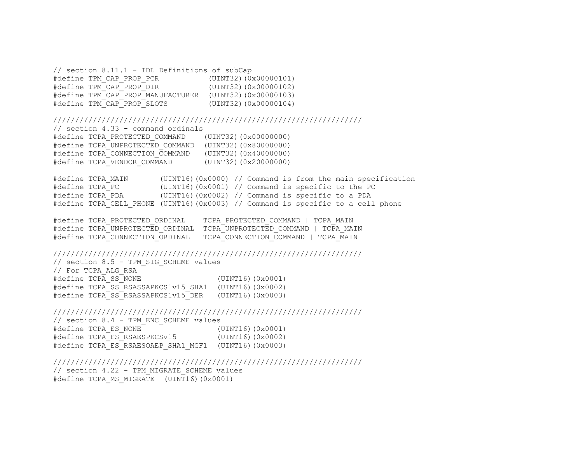// section 8.11.1 - IDL Definitions of subCap #define TPM\_CAP\_PROP\_PCR (UINT32)(0x00000101) #define TPM\_CAP\_PROP\_DIR (UINT32)(0x00000102) #define TPM\_CAP\_PROP\_MANUFACTURER (UINT32)(0x00000103) (UINT32)(0x00000104)

### //////////////////////////////////////////////////////////////////////

// section 4.33 - command ordinals #define TCPA\_PROTECTED\_COMMAND (UINT32)(0x00000000)

#define TCPA UNPROTECTED COMMAND (UINT32)(0x80000000) #define TCPA CONNECTION COMMAND (UINT32)(0x40000000) #define TCPA\_VENDOR\_COMMAND (UINT32)(0x20000000)

#define TCPA\_MAIN (UINT16)(0x0000) // Command is from the main specification #define TCPA\_PC (UINT16)(0x0001) // Command is specific to the PC #define TCPA\_PDA (UINT16)(0x0002) // Command is specific to a PDA #define TCPA\_CELL\_PHONE (UINT16)(0x0003) // Command is specific to a cell phone

#define TCPA\_PROTECTED\_ORDINAL TCPA\_PROTECTED\_COMMAND | TCPA\_MAIN #define TCPA\_UNPROTECTED\_ORDINAL TCPA\_UNPROTECTED\_COMMAND | TCPA\_MAIN TCPA\_CONNECTION\_COMMAND | TCPA\_MAIN

### //////////////////////////////////////////////////////////////////////

// section 8.5 - TPM\_SIG\_SCHEME values // For TCPA\_ALG\_RSA #define TCPA SS NONE (UINT16)(0x0001) #define TCPA SS RSASSAPKCS1v15 SHA1 (UINT16)(0x0002) #define TCPA SS RSASSAPKCS1v15 DER (UINT16)(0x0003)

#### //////////////////////////////////////////////////////////////////////

// section 8.4 - TPM\_ENC\_SCHEME values #define TCPA ES NONE  $\overline{ }$   $\overline{ }$  (UINT16)(0x0001) #define TCPA\_ES\_RSAESPKCSv15 (UINT16)(0x0002) #define TCPA ES RSAESOAEP SHA1 MGF1 (UINT16)(0x0003)

//////////////////////////////////////////////////////////////////////

// section 4.22 - TPM\_MIGRATE\_SCHEME values #define TCPA MS MIGRATE (UINT16)(0x0001)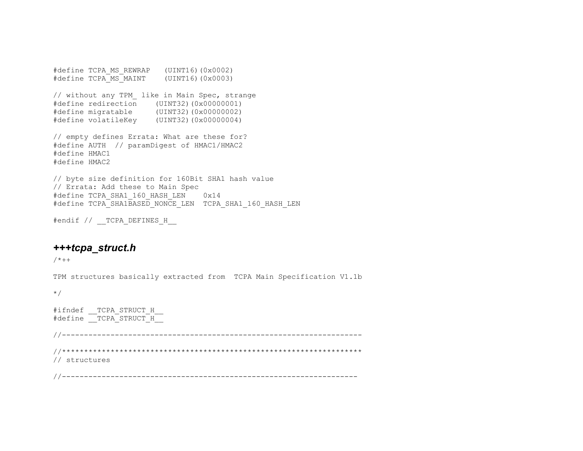#define TCPA\_MS\_REWRAP (UINT16)(0x0002) #define TCPA MS MAINT (UINT16)(0x0003) // without any TPM\_ like in Main Spec, strange #define redirection (UINT32)(0x00000001) #define migratable (UINT32)(0x00000002) #define volatileKey (UINT32)(0x00000004) // empty defines Errata: What are these for? #define AUTH // paramDigest of HMAC1/HMAC2 #define HMAC1 #define HMAC2

// byte size definition for 160Bit SHA1 hash value // Errata: Add these to Main Spec #define TCPA SHA1 160 HASH LEN 0x14 #define TCPA\_SHA1BASED\_NONCE\_LEN TCPA\_SHA1\_160\_HASH\_LEN

#endif // TCPA DEFINES H

# *+++tcpa\_struct.h*

 $/ * + +$ 

TPM structures basically extracted from TCPA Main Specification V1.1b

\*/

#ifndef TCPA STRUCT H #define TCPA\_STRUCT\_H //-------------------------------------------------------------------- //\*\*\*\*\*\*\*\*\*\*\*\*\*\*\*\*\*\*\*\*\*\*\*\*\*\*\*\*\*\*\*\*\*\*\*\*\*\*\*\*\*\*\*\*\*\*\*\*\*\*\*\*\*\*\*\*\*\*\*\*\*\*\*\*\*\*\*\* // structures //-------------------------------------------------------------------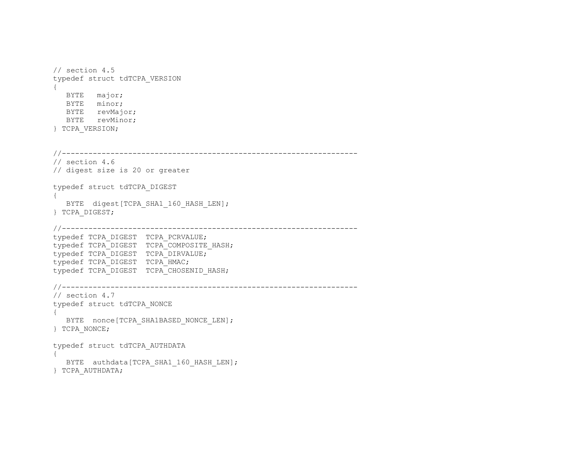```
// section 4.5 
typedef struct tdTCPA_VERSION 
{ 
   BYTE major; 
   BYTE minor; 
   BYTE revMajor; 
   BYTE revMinor; 
} TCPA_VERSION; 
//------------------------------------------------------------------- 
// section 4.6 
// digest size is 20 or greater 
typedef struct tdTCPA_DIGEST 
{ 
  BYTE digest[TCPA SHA1 160 HASH LEN];
} TCPA_DIGEST; 
//------------------------------------------------------------------- 
typedef TCPA_DIGEST TCPA_PCRVALUE; 
typedef TCPA_DIGEST TCPA_COMPOSITE HASH;
typedef TCPA_DIGEST TCPA_DIRVALUE; 
typedef TCPA_DIGEST TCPA_HMAC; 
typedef TCPA DIGEST TCPA CHOSENID HASH;
//------------------------------------------------------------------- 
// section 4.7 
typedef struct tdTCPA_NONCE 
{ 
   BYTE nonce [TCPA SHA1BASED NONCE LEN];
} TCPA_NONCE; 
typedef struct tdTCPA_AUTHDATA 
{ 
   BYTE authdata[TCPA SHA1 160 HASH LEN];
} TCPA_AUTHDATA;
```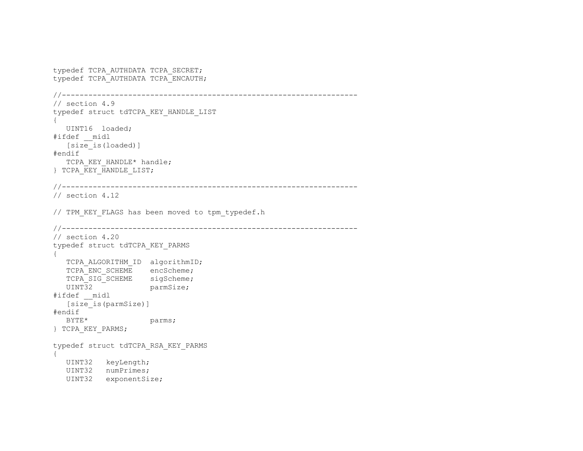```
typedef TCPA_AUTHDATA TCPA_SECRET; 
typedef TCPA_AUTHDATA TCPA_ENCAUTH; 
//------------------------------------------------------------------- 
// section 4.9 
typedef struct tdTCPA_KEY_HANDLE_LIST 
{ 
    UINT16 loaded; 
#ifdef __midl 
    [size_is(loaded)] 
#endif 
   TCPA KEY HANDLE* handle;
} TCPA KEY HANDLE LIST;
//------------------------------------------------------------------- 
// section 4.12 
// TPM KEY FLAGS has been moved to tpm typedef.h
//------------------------------------------------------------------- 
// section 4.20 
typedef struct tdTCPA_KEY_PARMS 
{ 
  TCPA ALGORITHM ID algorithmID;
  TCPA ENC SCHEME encScheme;
  TCPA_SIG_SCHEME sigScheme;
   UINT32 parmSize;
#ifdef __midl 
    [size_is(parmSize)] 
#endif 
  BYTE* parms;
} TCPA_KEY_PARMS; 
typedef struct tdTCPA_RSA_KEY_PARMS 
{ 
   UINT32 keyLength; 
   UINT32 numPrimes; 
    UINT32 exponentSize;
```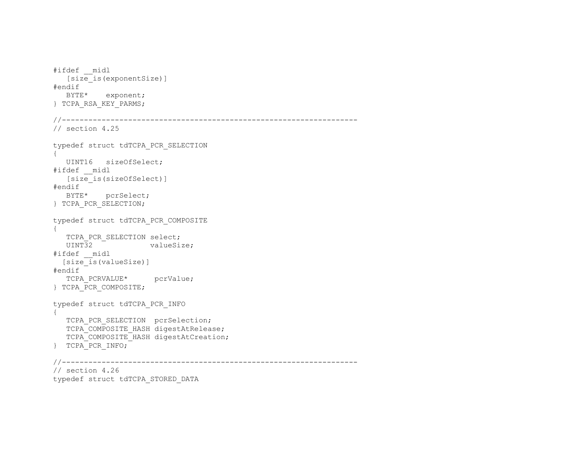```
#ifdef __midl 
    [size_is(exponentSize)] 
#endif 
   BYTE* exponent; 
} TCPA_RSA_KEY_PARMS; 
//------------------------------------------------------------------- 
// section 4.25 
typedef struct tdTCPA_PCR_SELECTION 
{ 
   UINT16 sizeOfSelect; 
#ifdef __midl 
  [size is(sizeOfSelect)]
#endif 
   BYTE* pcrSelect; 
} TCPA_PCR_SELECTION; 
typedef struct tdTCPA_PCR_COMPOSITE 
{ 
  TCPA PCR SELECTION select;
  UINT32 valueSize;
#ifdef __midl 
  [size_is(valueSize)] 
#endif 
  TCPA PCRVALUE* pcrValue;
} TCPA_PCR_COMPOSITE; 
typedef struct tdTCPA_PCR_INFO 
{ 
  TCPA PCR SELECTION pcrSelection;
  TCPA COMPOSITE HASH digestAtRelease;
  TCPA_COMPOSITE_HASH digestAtCreation;
} TCPA_PCR_INFO; 
//------------------------------------------------------------------- 
// section 4.26 
typedef struct tdTCPA_STORED_DATA
```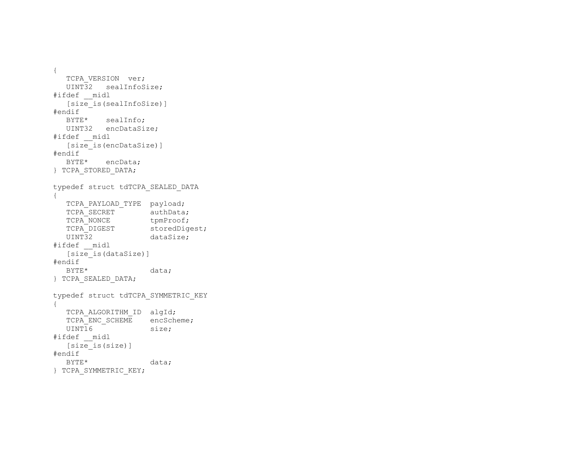```
{ 
  TCPA VERSION ver;
   UINT32 sealInfoSize; 
#ifdef __midl 
  [size is(sealInfoSize)]
#endif 
   BYTE* sealInfo; 
   UINT32 encDataSize; 
#ifdef __midl 
    [size_is(encDataSize)] 
#endif 
   BYTE* encData; 
} TCPA_STORED_DATA; 
typedef struct tdTCPA_SEALED_DATA 
{ 
  TCPA PAYLOAD TYPE payload;
  TCPA SECRET authData;
  TCPA NONCE tpmProof;
  TCPA_DIGEST storedDigest;<br>UINT32 dataSize;
                     dataSize;
#ifdef __midl 
  [size] is (dataSize)]
#endif 
  BYTE* data;
} TCPA_SEALED_DATA; 
typedef struct tdTCPA_SYMMETRIC_KEY 
{ 
  TCPA ALGORITHM ID algId;
  TCPA ENC SCHEME encScheme;
  UINT16 size;
#ifdef __midl 
    [size_is(size)] 
#endif 
  BYTE* data;
} TCPA_SYMMETRIC_KEY;
```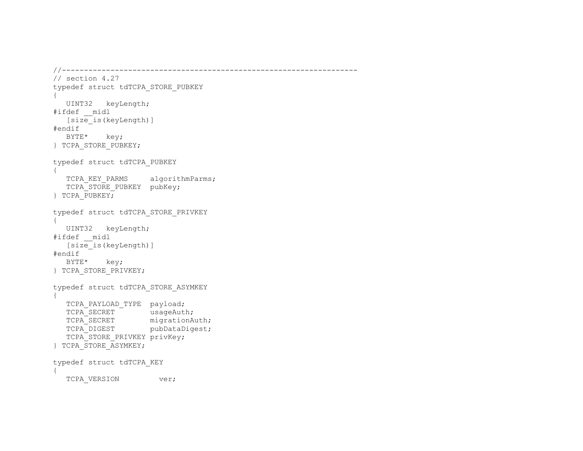```
//------------------------------------------------------------------- 
// section 4.27 
typedef struct tdTCPA_STORE_PUBKEY 
{ 
   UINT32 keyLength; 
#ifdef __midl 
    [size_is(keyLength)] 
#endif 
   BYTE* key; 
} TCPA_STORE_PUBKEY; 
typedef struct tdTCPA_PUBKEY 
{ 
  TCPA KEY PARMS algorithmParms;
  TCPA STORE PUBKEY pubKey;
} TCPA_PUBKEY; 
typedef struct tdTCPA_STORE_PRIVKEY 
{ 
   UINT32 keyLength; 
#ifdef __midl 
    [size_is(keyLength)] 
#endif 
   BYTE* key; 
} TCPA_STORE_PRIVKEY; 
typedef struct tdTCPA_STORE_ASYMKEY 
{ 
  TCPA PAYLOAD TYPE payload;
  TCPA<sup>SECRET</sub> usageAuth;</sup>
TCPA SECRET migrationAuth;
TCPA DIGEST pubDataDigest;
  TCPA<sup>STORE</sup> PRIVKEY privKey;
} TCPA_STORE_ASYMKEY; 
typedef struct tdTCPA_KEY 
{ 
   TCPA VERSION ver;
```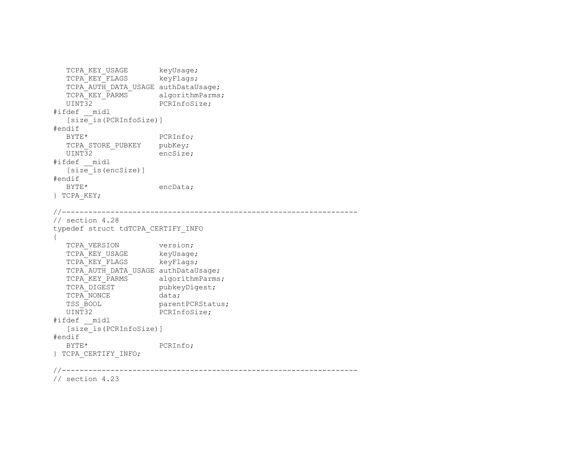```
TCPA KEY USAGE keyUsage;
  TCPA<sup>-</sup>KEY<sup>-</sup>FLAGS keyFlags;
  TCPA_AUTH_DATA_USAGE authDataUsage;<br>TCPA KEY PARMS algorithmParms;
   TCPA_KEY_PARMS<sup>-</sup><br>UINT32
                        PCRInfoSize;
#ifdef __midl 
    [size_is(PCRInfoSize)] 
#endif 
  BYTE* PCRInfo;
  TCPA STORE PUBKEY pubKey;
   UINT32 encSize;
#ifdef __midl 
    [size_is(encSize)] 
#endif 
   BYTE* encData;
} TCPA_KEY; 
//------------------------------------------------------------------- 
// section 4.28 
typedef struct tdTCPA_CERTIFY_INFO 
{ 
  TCPA VERSION version;
   TCPA KEY USAGE keyUsage;
   TCPA KEY FLAGS keyFlags;
   TCPA_AUTH_DATA_USAGE authDataUsage;
   TCPA KEY PARMS algorithmParms;
   TCPA DIGEST pubkeyDigest;
  TCPA_NONCE data;<br>TSS BOOL parent
  TSS_BOOL parentPCRStatus;<br>UINT32 PCRInfoSize;
                        PCRInfoSize;
#ifdef __midl 
    [size_is(PCRInfoSize)] 
#endif 
   BYTE* PCRInfo;
} TCPA_CERTIFY_INFO; 
//------------------------------------------------------------------- 
// section 4.23
```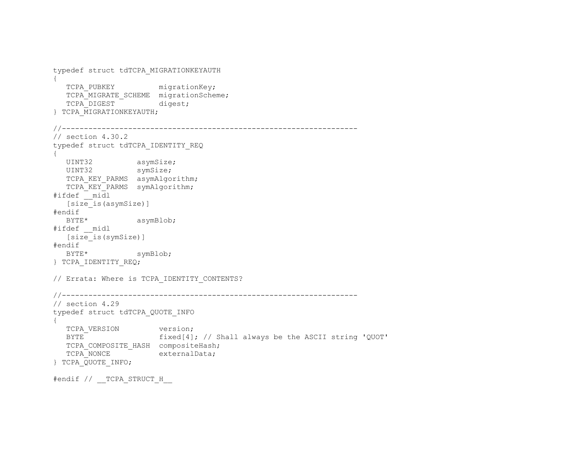```
typedef struct tdTCPA_MIGRATIONKEYAUTH 
{ 
  TCPA PUBKEY migrationKey;
  TCPA MIGRATE SCHEME migrationScheme;
  TCPA DIGEST digest;
} TCPA_MIGRATIONKEYAUTH; 
//------------------------------------------------------------------- 
// section 4.30.2 
typedef struct tdTCPA_IDENTITY_REQ 
{ 
  UINT32 asymSize;
  UINT32 symSize;
  TCPA KEY PARMS asymAlgorithm;
  TCPA KEY PARMS symAlgorithm;
\#ifdef midl [size_is(asymSize)] 
#endif 
  BYTE* asymBlob;
#ifdef __midl 
  [size_is(symSize)]
#endif 
  BYTE* symBlob;
} TCPA_IDENTITY_REQ; 
// Errata: Where is TCPA IDENTITY CONTENTS?
//------------------------------------------------------------------- 
// section 4.29 
typedef struct tdTCPA_QUOTE_INFO 
{ 
  TCPA VERSION version;
   BYTE fixed[4]; // Shall always be the ASCII string 'QUOT' 
  TCPA COMPOSITE HASH compositeHash;
  TCPA NONCE externalData;
} TCPA_QUOTE_INFO;
```
#endif // TCPA STRUCT H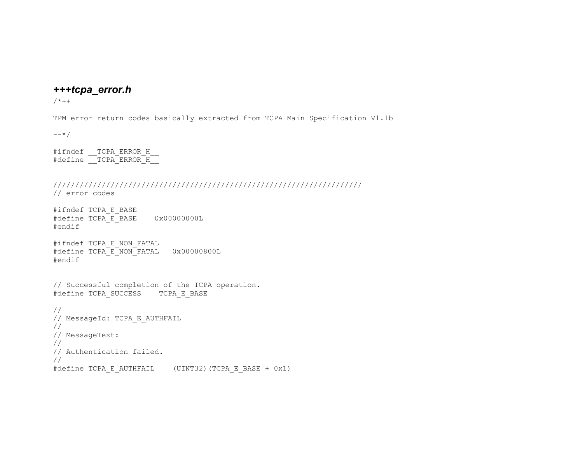# *+++tcpa\_error.h*

 $/ * + +$ 

TPM error return codes basically extracted from TCPA Main Specification V1.1b

 $---*/$ 

#ifndef TCPA ERROR H #define \_\_TCPA\_ERROR\_H\_\_

```
////////////////////////////////////////////////////////////////////// 
// error codes
```
#ifndef TCPA\_E\_BASE #define TCPA\_E\_BASE 0x00000000L #endif

#ifndef TCPA\_E\_NON\_FATAL #define TCPA E NON FATAL 0x00000800L #endif

// Successful completion of the TCPA operation. #define TCPA\_SUCCESS TCPA\_E\_BASE

```
// 
// MessageId: TCPA_E_AUTHFAIL 
// 
// MessageText: 
// 
// Authentication failed. 
// 
#define TCPA_E_AUTHFAIL (UINT32)(TCPA_E_BASE + 0x1)
```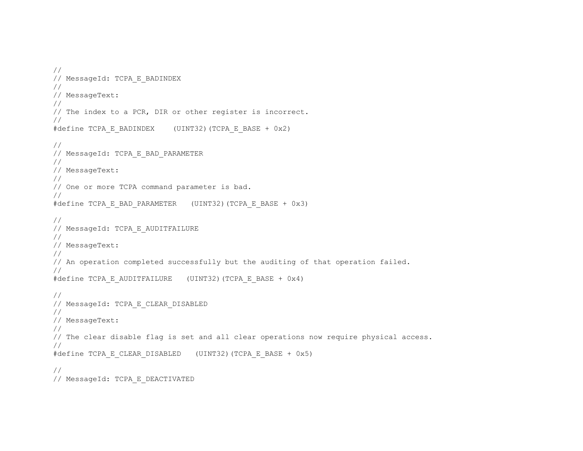```
// 
// MessageId: TCPA_E_BADINDEX 
// 
// MessageText: 
// 
// The index to a PCR, DIR or other register is incorrect. 
// 
#define TCPA E BADINDEX (UINT32)(TCPA E BASE + 0x2)
// 
// MessageId: TCPA_E_BAD_PARAMETER 
// 
// MessageText: 
// 
// One or more TCPA command parameter is bad. 
// 
#define TCPA E BAD PARAMETER (UINT32)(TCPA E BASE + 0x3)
// 
// MessageId: TCPA_E_AUDITFAILURE 
// 
// MessageText: 
// 
// An operation completed successfully but the auditing of that operation failed. 
// 
#define TCPA E AUDITFAILURE (UINT32)(TCPA E BASE + 0x4)
// 
// MessageId: TCPA E CLEAR DISABLED
// 
// MessageText: 
// 
// The clear disable flag is set and all clear operations now require physical access. 
// 
#define TCPA_E_CLEAR_DISABLED (UINT32)(TCPA_E_BASE + 0x5) 
//
```

```
// MessageId: TCPA_E_DEACTIVATED
```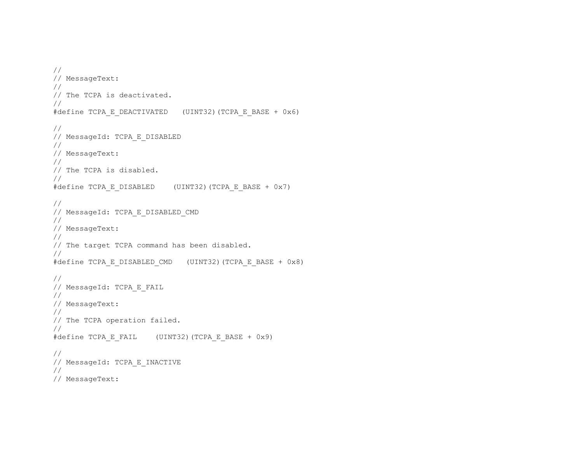```
// 
// MessageText: 
// 
// The TCPA is deactivated. 
// 
#define TCPA_E_DEACTIVATED (UINT32)(TCPA_E_BASE + 0x6) 
// 
// MessageId: TCPA_E_DISABLED 
// 
// MessageText: 
// 
// The TCPA is disabled. 
// 
#define TCPA_E_DISABLED (UINT32)(TCPA_E_BASE + 0x7) 
// 
// MessageId: TCPA_E_DISABLED_CMD 
// 
// MessageText: 
// 
// The target TCPA command has been disabled. 
// 
#define TCPA_E_DISABLED_CMD (UINT32)(TCPA_E_BASE + 0x8) 
// 
// MessageId: TCPA_E_FAIL 
// 
// MessageText: 
// 
// The TCPA operation failed. 
// 
#define TCPA_E_FAIL (UINT32)(TCPA_E_BASE + 0x9) 
// 
// MessageId: TCPA_E_INACTIVE 
// 
// MessageText:
```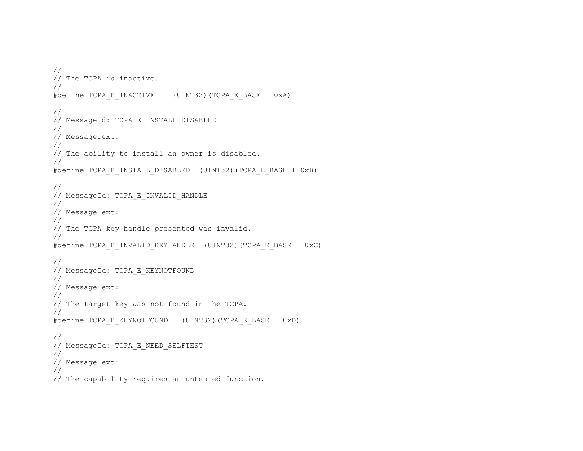```
// 
// The TCPA is inactive. 
// 
#define TCPA_E_INACTIVE (UINT32)(TCPA_E_BASE + 0xA) 
// 
// MessageId: TCPA_E_INSTALL_DISABLED 
// 
// MessageText: 
// 
// The ability to install an owner is disabled. 
// 
#define TCPA E INSTALL DISABLED (UINT32)(TCPA E BASE + 0xB)
// 
// MessageId: TCPA E INVALID HANDLE
// 
// MessageText: 
// 
// The TCPA key handle presented was invalid. 
// 
#define TCPA E INVALID KEYHANDLE (UINT32)(TCPA E BASE + 0xC)
// 
// MessageId: TCPA_E_KEYNOTFOUND 
// 
// MessageText: 
// 
// The target key was not found in the TCPA. 
// 
#define TCPA E KEYNOTFOUND (UINT32)(TCPA E BASE + 0xD)
// 
// MessageId: TCPA_E_NEED_SELFTEST 
// 
// MessageText: 
// 
// The capability requires an untested function,
```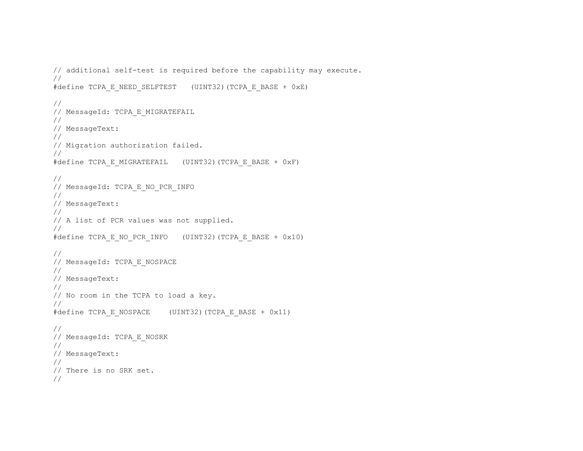```
// additional self-test is required before the capability may execute. 
// 
#define TCPA E_NEED_SELFTEST (UINT32)(TCPA_E_BASE + 0xE)
// 
// MessageId: TCPA_E_MIGRATEFAIL 
// 
// MessageText: 
// 
// Migration authorization failed. 
// 
#define TCPA E MIGRATEFAIL (UINT32)(TCPA E BASE + 0xF)
// 
// MessageId: TCPA_E_NO_PCR_INFO 
// 
// MessageText: 
// 
// A list of PCR values was not supplied. 
// 
#define TCPA E NO PCR INFO (UINT32)(TCPA E BASE + 0x10)
// 
// MessageId: TCPA_E_NOSPACE 
// 
// MessageText: 
// 
// No room in the TCPA to load a key. 
// 
#define TCPA E NOSPACE (UINT32)(TCPA E BASE + 0x11)
// 
// MessageId: TCPA_E_NOSRK 
// 
// MessageText: 
// 
// There is no SRK set. 
//
```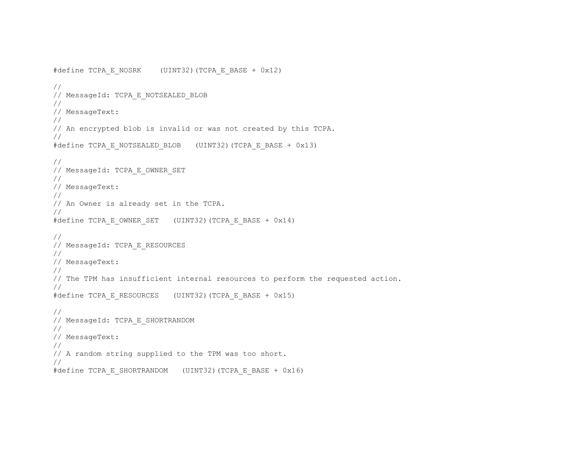```
#define TCPA_E_NOSRK (UINT32)(TCPA_E_BASE + 0x12) 
// 
// MessageId: TCPA E NOTSEALED BLOB
// 
// MessageText: 
// 
// An encrypted blob is invalid or was not created by this TCPA. 
// 
#define TCPA E NOTSEALED BLOB (UINT32)(TCPA E BASE + 0x13)
// 
// MessageId: TCPA_E_OWNER_SET 
// 
// MessageText: 
// 
// An Owner is already set in the TCPA. 
// 
#define TCPA E OWNER SET (UINT32)(TCPA E BASE + 0x14)
// 
// MessageId: TCPA E RESOURCES
// 
// MessageText: 
// 
// The TPM has insufficient internal resources to perform the requested action. 
// 
#define TCPA E RESOURCES (UINT32)(TCPA E BASE + 0x15)
// 
// MessageId: TCPA_E_SHORTRANDOM 
// 
// MessageText: 
// 
// A random string supplied to the TPM was too short. 
// 
#define TCPA E SHORTRANDOM (UINT32)(TCPA E BASE + 0x16)
```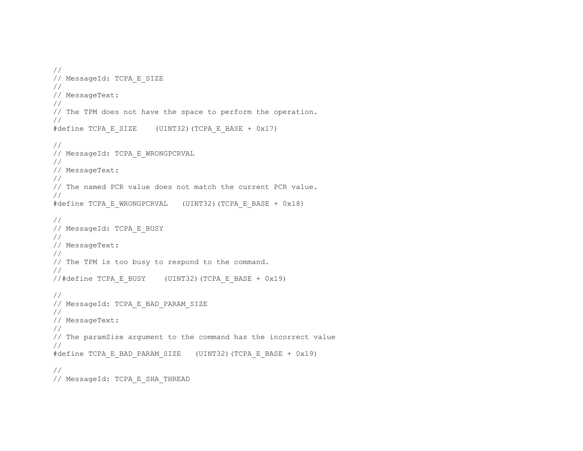```
// 
// MessageId: TCPA E SIZE
// 
// MessageText: 
// 
// The TPM does not have the space to perform the operation. 
// 
#define TCPA_E_SIZE (UINT32)(TCPA_E_BASE + 0x17) 
// 
// MessageId: TCPA_E_WRONGPCRVAL 
// 
// MessageText: 
// 
// The named PCR value does not match the current PCR value. 
// 
#define TCPA E WRONGPCRVAL (UINT32)(TCPA E BASE + 0x18)
// 
// MessageId: TCPA_E_BUSY 
// 
// MessageText: 
// 
// The TPM is too busy to respond to the command. 
// 
//#define TCPA E BUSY (UINT32)(TCPA E BASE + 0x19)
// 
// MessageId: TCPA_E_BAD_PARAM_SIZE 
// 
// MessageText: 
// 
// The paramSize argument to the command has the incorrect value 
// 
#define TCPA_E_BAD_PARAM_SIZE (UINT32)(TCPA_E_BASE + 0x19) 
// 
// MessageId: TCPA_E_SHA_THREAD
```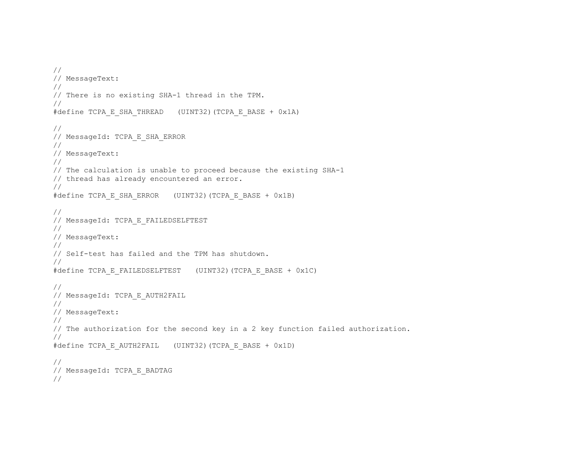```
// 
// MessageText: 
// 
// There is no existing SHA-1 thread in the TPM. 
// 
#define TCPA_E_SHA_THREAD (UINT32)(TCPA_E_BASE + 0x1A) 
// 
// MessageId: TCPA_E_SHA_ERROR 
// 
// MessageText: 
// 
// The calculation is unable to proceed because the existing SHA-1 
// thread has already encountered an error. 
// 
#define TCPA E_SHA_ERROR (UINT32)(TCPA_E_BASE + 0x1B)
// 
// MessageId: TCPA_E_FAILEDSELFTEST 
// 
// MessageText: 
// 
// Self-test has failed and the TPM has shutdown. 
// 
#define TCPA E FAILEDSELFTEST (UINT32)(TCPA E BASE + 0x1C)
// 
// MessageId: TCPA E AUTH2FAIL
// 
// MessageText: 
// 
// The authorization for the second key in a 2 key function failed authorization. 
// 
#define TCPA_E_AUTH2FAIL (UINT32)(TCPA_E_BASE + 0x1D) 
// 
// MessageId: TCPA_E_BADTAG 
//
```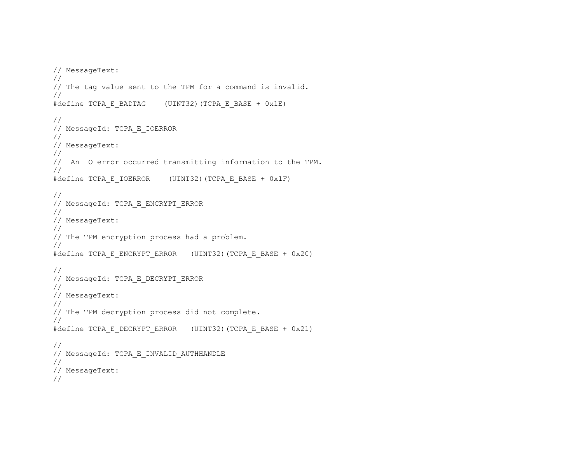```
// MessageText: 
// 
// The tag value sent to the TPM for a command is invalid. 
// 
#define TCPA_E_BADTAG (UINT32)(TCPA_E_BASE + 0x1E) 
// 
// MessageId: TCPA_E_IOERROR 
// 
// MessageText: 
// 
// An IO error occurred transmitting information to the TPM. 
// 
#define TCPA_E_IOERROR (UINT32)(TCPA_E_BASE + 0x1F) 
// 
// MessageId: TCPA_E_ENCRYPT_ERROR 
// 
// MessageText: 
// 
// The TPM encryption process had a problem. 
// 
#define TCPA E ENCRYPT ERROR (UINT32)(TCPA E BASE + 0x20)
// 
// MessageId: TCPA_E_DECRYPT_ERROR 
// 
// MessageText: 
// 
// The TPM decryption process did not complete. 
// 
#define TCPA E DECRYPT ERROR (UINT32)(TCPA E BASE + 0x21)
// 
// MessageId: TCPA_E_INVALID_AUTHHANDLE 
// 
// MessageText: 
//
```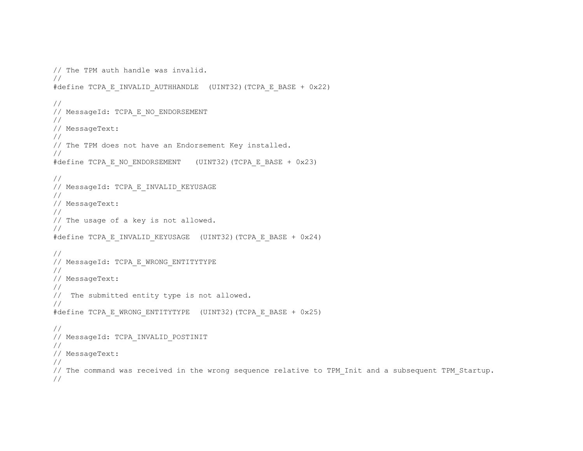```
// The TPM auth handle was invalid. 
// 
#define TCPA E INVALID AUTHHANDLE (UINT32)(TCPA E BASE + 0x22)
// 
// MessageId: TCPA_E_NO_ENDORSEMENT 
// 
// MessageText: 
// 
// The TPM does not have an Endorsement Key installed. 
// 
#define TCPA E NO ENDORSEMENT (UINT32)(TCPA E BASE + 0x23)
// 
// MessageId: TCPA_E_INVALID_KEYUSAGE 
// 
// MessageText: 
// 
// The usage of a key is not allowed. 
// 
#define TCPA E INVALID KEYUSAGE (UINT32)(TCPA E BASE + 0x24)
// 
// MessageId: TCPA_E_WRONG_ENTITYTYPE 
// 
// MessageText: 
// 
// The submitted entity type is not allowed. 
// 
#define TCPA E WRONG ENTITYTYPE (UINT32)(TCPA E BASE + 0x25)
// 
// MessageId: TCPA_INVALID_POSTINIT 
// 
// MessageText: 
// 
// The command was received in the wrong sequence relative to TPM Init and a subsequent TPM Startup.
//
```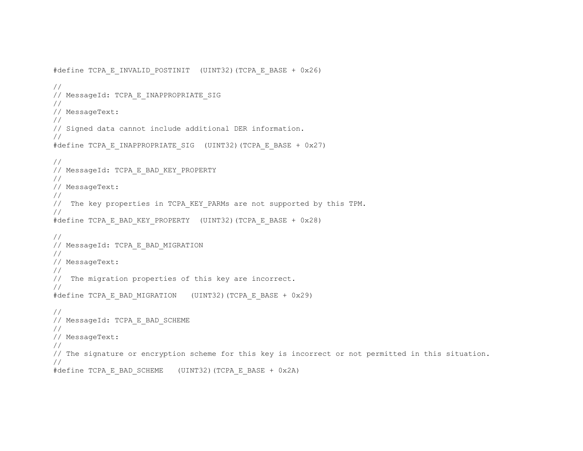```
#define TCPA E INVALID POSTINIT (UINT32)(TCPA E BASE + 0x26)
// 
// MessageId: TCPA_E_INAPPROPRIATE_SIG 
// 
// MessageText: 
// 
// Signed data cannot include additional DER information. 
// 
#define TCPA E INAPPROPRIATE SIG (UINT32)(TCPA E BASE + 0x27)
// 
// MessageId: TCPA_E_BAD_KEY_PROPERTY 
// 
// MessageText: 
// 
// The key properties in TCPA KEY PARMs are not supported by this TPM.
// 
#define TCPA_E_BAD_KEY_PROPERTY (UINT32)(TCPA_E_BASE + 0x28) 
// 
// MessageId: TCPA_E_BAD_MIGRATION 
// 
// MessageText: 
// 
// The migration properties of this key are incorrect. 
// 
#define TCPA_E_BAD_MIGRATION (UINT32)(TCPA_E_BASE + 0x29) 
// 
// MessageId: TCPA_E_BAD_SCHEME 
// 
// MessageText: 
// 
// The signature or encryption scheme for this key is incorrect or not permitted in this situation. 
// 
#define TCPA E BAD SCHEME (UINT32)(TCPA E BASE + 0x2A)
```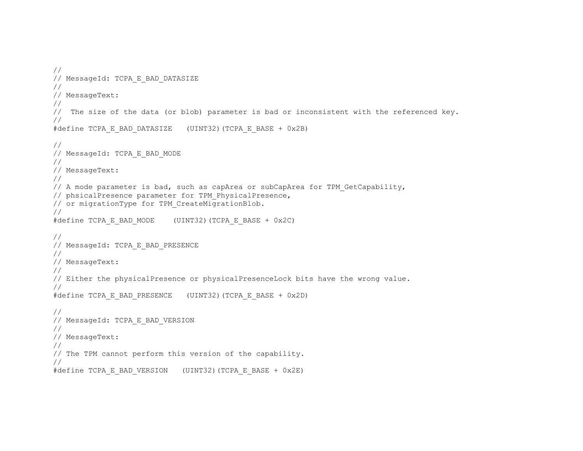```
// 
// MessageId: TCPA_E_BAD_DATASIZE 
// 
// MessageText: 
// 
// The size of the data (or blob) parameter is bad or inconsistent with the referenced key. 
// 
#define TCPA E BAD DATASIZE (UINT32)(TCPA E BASE + 0x2B)
// 
// MessageId: TCPA_E_BAD_MODE 
// 
// MessageText: 
// 
// A mode parameter is bad, such as capArea or subCapArea for TPM GetCapability,
// phsicalPresence parameter for TPM_PhysicalPresence, 
// or migrationType for TPM_CreateMigrationBlob. 
// 
#define TCPA_E_BAD_MODE (UINT32)(TCPA_E_BASE + 0x2C) 
// 
// MessageId: TCPA_E_BAD_PRESENCE 
// 
// MessageText: 
// 
// Either the physicalPresence or physicalPresenceLock bits have the wrong value. 
// 
#define TCPA E BAD PRESENCE (UINT32)(TCPA E BASE + 0x2D)
// 
// MessageId: TCPA_E_BAD_VERSION 
// 
// MessageText: 
// 
// The TPM cannot perform this version of the capability. 
// 
#define TCPA E BAD VERSION (UINT32)(TCPA E BASE + 0x2E)
```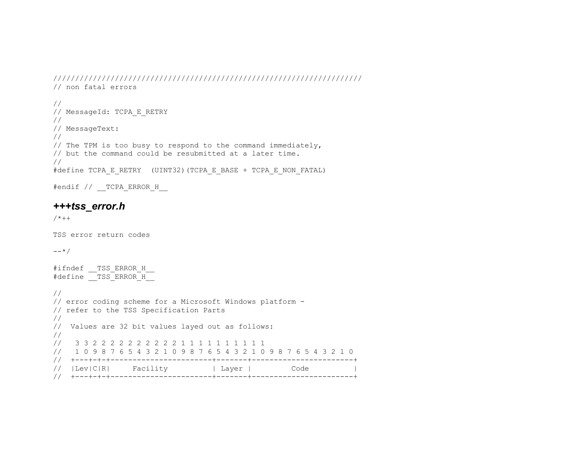```
////////////////////////////////////////////////////////////////////// 
// non fatal errors 
// 
// MessageId: TCPA_E_RETRY 
// 
// MessageText: 
// 
// The TPM is too busy to respond to the command immediately, 
// but the command could be resubmitted at a later time. 
// 
#define TCPA E_RETRY (UINT32)(TCPA E_BASE + TCPA_E_NON_FATAL)
```
#endif // \_\_TCPA\_ERROR\_H\_\_

# *+++tss\_error.h*

 $/ * + +$ 

TSS error return codes

 $--*/$ 

#ifndef TSS ERROR H #define TSS ERROR H

```
// 
// error coding scheme for a Microsoft Windows platform - 
// refer to the TSS Specification Parts 
// 
// Values are 32 bit values layed out as follows: 
// 
// 3 3 2 2 2 2 2 2 2 2 2 2 1 1 1 1 1 1 1 1 1 1 
// 1 0 9 8 7 6 5 4 3 2 1 0 9 8 7 6 5 4 3 2 1 0 9 8 7 6 5 4 3 2 1 0 
// +---+-+-+-----------------------+-------+-----------------------+ 
// |Lev|C|R| Facility | Layer | Code
// +---+-+-+-----------------------+-------+-----------------------+
```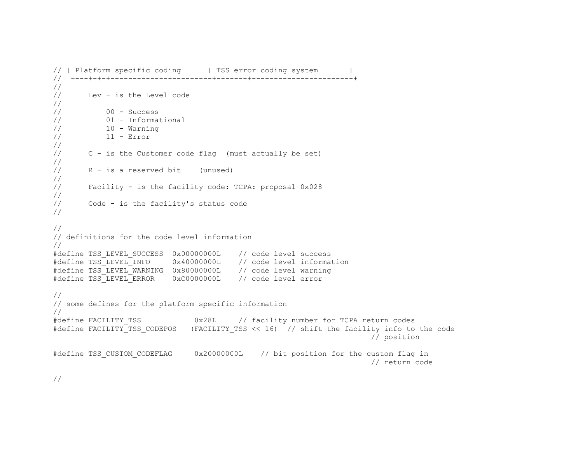```
// | Platform specific coding | TSS error coding system
// +---+-+-+-----------------------+-------+-----------------------+ 
// 
// Lev - is the Level code 
// 
// 00 - Success 
// 01 - Informational 
10 - \text{Warning}// 11 - Error 
// 
// C - is the Customer code flag (must actually be set) 
// 
// R - is a reserved bit (unused) 
// 
// Facility - is the facility code: TCPA: proposal 0x028 
// 
// Code - is the facility's status code 
// 
// 
// definitions for the code level information 
// 
#define TSS_LEVEL_SUCCESS 0x00000000L // code level success 
#define TSS_LEVEL_INFO 0x40000000L // code level information 
#define TSS_LEVEL_WARNING 0x80000000L // code level warning 
#define TSS_LEVEL_ERROR 0xC0000000L // code level error 
// 
// some defines for the platform specific information 
// 
#define FACILITY_TSS 0x28L // facility number for TCPA return codes 
#define FACILITY_TSS_CODEPOS (FACILITY_TSS << 16) // shift the facility info to the code 
                                                                    // position 
#define TSS_CUSTOM_CODEFLAG 0x20000000L // bit position for the custom flag in 
                                                                    // return code
```
//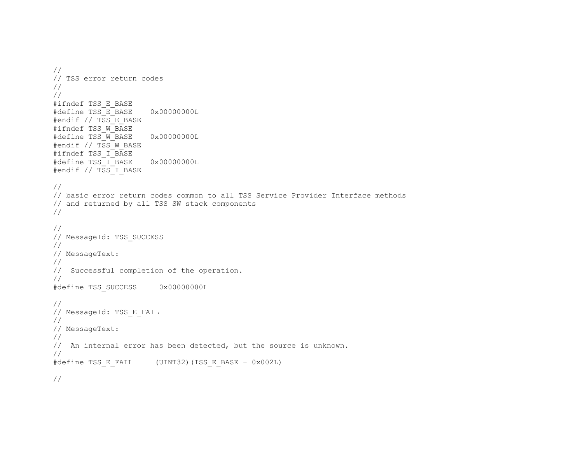// // TSS error return codes // // #ifndef TSS\_E\_BASE #define TSS\_E\_BASE 0x00000000L #endif // TSS E BASE #ifndef TSS\_W\_BASE #define TSS\_W\_BASE 0x00000000L #endif // TSS W BASE #ifndef TSS I\_BASE #define TSS\_I\_BASE 0x00000000L #endif // TSS I BASE // // basic error return codes common to all TSS Service Provider Interface methods // and returned by all TSS SW stack components // // // MessageId: TSS SUCCESS // // MessageText: // // Successful completion of the operation. // #define TSS\_SUCCESS 0x00000000L // // MessageId: TSS E FAIL // // MessageText: // // An internal error has been detected, but the source is unknown. // #define TSS E FAIL (UINT32)(TSS E BASE + 0x002L) //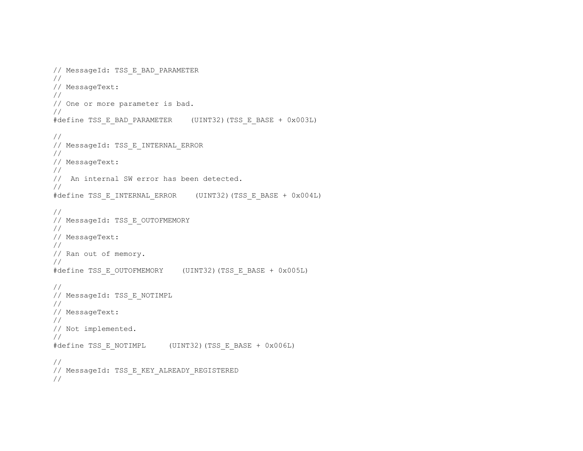```
// MessageId: TSS_E_BAD_PARAMETER 
// 
// MessageText: 
// 
// One or more parameter is bad. 
// 
#define TSS_E_BAD_PARAMETER (UINT32)(TSS_E_BASE + 0x003L)
// 
// MessageId: TSS_E_INTERNAL_ERROR 
// 
// MessageText: 
// 
// An internal SW error has been detected. 
// 
#define TSS_E_INTERNAL_ERROR (UINT32)(TSS_E_BASE + 0x004L) 
// 
// MessageId: TSS E OUTOFMEMORY
// 
// MessageText: 
// 
// Ran out of memory. 
// 
#define TSS_E_OUTOFMEMORY (UINT32)(TSS_E_BASE + 0x005L) 
// 
// MessageId: TSS_E_NOTIMPL 
// 
// MessageText: 
// 
// Not implemented. 
// 
#define TSS_E_NOTIMPL (UINT32)(TSS_E_BASE + 0x006L) 
// 
// MessageId: TSS E KEY ALREADY REGISTERED
//
```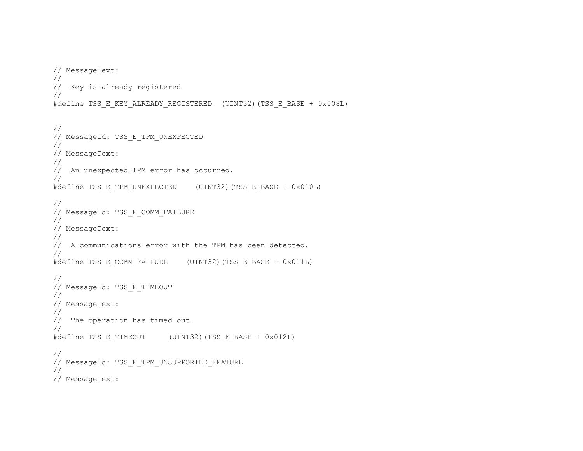```
// MessageText: 
// 
// Key is already registered 
// 
#define TSS_E_KEY_ALREADY_REGISTERED (UINT32)(TSS_E_BASE + 0x008L) 
// 
// MessageId: TSS E TPM UNEXPECTED
// 
// MessageText: 
// 
// An unexpected TPM error has occurred. 
// 
#define TSS_E_TPM_UNEXPECTED (UINT32)(TSS_E_BASE + 0x010L) 
// 
// MessageId: TSS_E_COMM_FAILURE 
// 
// MessageText: 
// 
// A communications error with the TPM has been detected. 
// 
#define TSS_E_COMM_FAILURE (UINT32)(TSS_E_BASE + 0x011L) 
// 
// MessageId: TSS_E_TIMEOUT 
// 
// MessageText: 
// 
// The operation has timed out. 
// 
#define TSS_E_TIMEOUT (UINT32)(TSS_E_BASE + 0x012L) 
// 
// MessageId: TSS_E_TPM_UNSUPPORTED_FEATURE 
// 
// MessageText:
```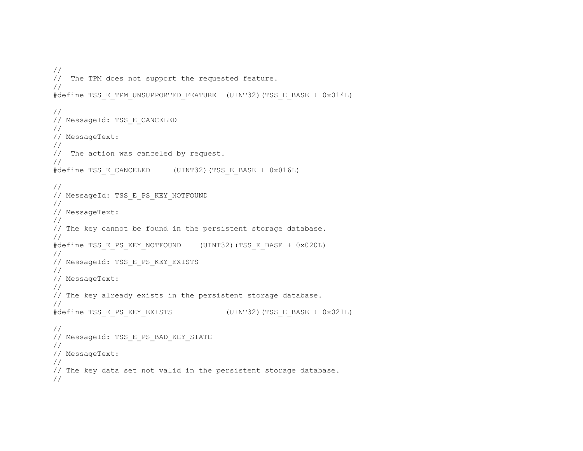```
// 
// The TPM does not support the requested feature. 
// 
#define TSS_E_TPM_UNSUPPORTED_FEATURE (UINT32)(TSS_E_BASE + 0x014L)
// 
// MessageId: TSS E CANCELED
// 
// MessageText: 
// 
// The action was canceled by request. 
// 
#define TSS_E_CANCELED (UINT32)(TSS_E_BASE + 0x016L)
// 
// MessageId: TSS E PS KEY NOTFOUND
// 
// MessageText: 
// 
// The key cannot be found in the persistent storage database. 
// 
#define TSS_E_PS_KEY_NOTFOUND (UINT32)(TSS_E_BASE + 0x020L)
// 
// MessageId: TSS_E_PS_KEY_EXISTS 
// 
// MessageText: 
// 
// The key already exists in the persistent storage database. 
// 
#define TSS E PS KEY EXISTS (UINT32) (TSS E BASE + 0x021L)
// 
// MessageId: TSS E PS BAD KEY STATE
// 
// MessageText: 
// 
// The key data set not valid in the persistent storage database. 
//
```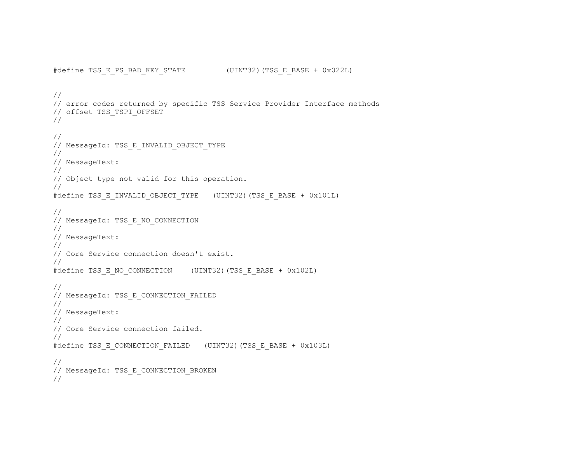```
#define TSS E PS BAD KEY STATE (UINT32)(TSS E BASE + 0x022L)
// 
// error codes returned by specific TSS Service Provider Interface methods 
// offset TSS_TSPI_OFFSET 
// 
// 
// MessageId: TSS_E_INVALID_OBJECT_TYPE 
// 
// MessageText: 
// 
// Object type not valid for this operation. 
// 
#define TSS_E_INVALID_OBJECT_TYPE (UINT32)(TSS_E_BASE + 0x101L)
// 
// MessageId: TSS E NO CONNECTION
// 
// MessageText: 
// 
// Core Service connection doesn't exist. 
// 
#define TSS E NO CONNECTION (UINT32)(TSS E BASE + 0x102L)
// 
// MessageId: TSS E CONNECTION FAILED
// 
// MessageText: 
// 
// Core Service connection failed. 
// 
#define TSS_E_CONNECTION_FAILED (UINT32)(TSS_E_BASE + 0x103L) 
// 
// MessageId: TSS E CONNECTION BROKEN
//
```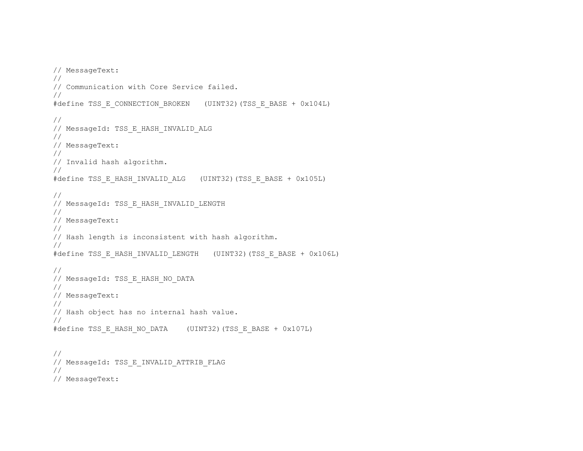```
// MessageText: 
// 
// Communication with Core Service failed. 
// 
#define TSS_E_CONNECTION_BROKEN (UINT32)(TSS_E_BASE + 0x104L) 
// 
// MessageId: TSS E HASH INVALID ALG
// 
// MessageText: 
// 
// Invalid hash algorithm. 
// 
#define TSS_E_HASH_INVALID_ALG (UINT32)(TSS_E_BASE + 0x105L) 
// 
// MessageId: TSS_E_HASH_INVALID_LENGTH 
// 
// MessageText: 
// 
// Hash length is inconsistent with hash algorithm. 
// 
#define TSS_E_HASH_INVALID_LENGTH (UINT32)(TSS_E_BASE + 0x106L)
// 
// MessageId: TSS E HASH NO DATA
// 
// MessageText: 
// 
// Hash object has no internal hash value. 
// 
#define TSS_E_HASH_NO_DATA (UINT32)(TSS_E_BASE + 0x107L)
// 
// MessageId: TSS_E_INVALID_ATTRIB_FLAG 
// 
// MessageText:
```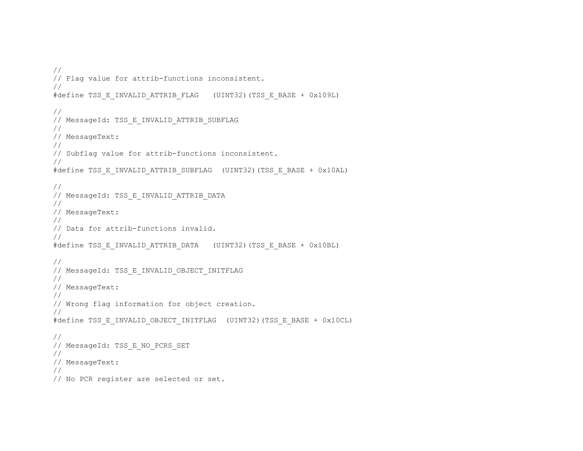```
// 
// Flag value for attrib-functions inconsistent. 
// 
#define TSS_E_INVALID_ATTRIB_FLAG (UINT32)(TSS_E_BASE + 0x109L)
// 
// MessageId: TSS E INVALID ATTRIB SUBFLAG
// 
// MessageText: 
// 
// Subflag value for attrib-functions inconsistent. 
// 
#define TSS_E_INVALID_ATTRIB_SUBFLAG (UINT32)(TSS_E_BASE + 0x10AL)
// 
// MessageId: TSS_E_INVALID_ATTRIB_DATA 
// 
// MessageText: 
// 
// Data for attrib-functions invalid. 
// 
#define TSS_E_INVALID_ATTRIB_DATA (UINT32)(TSS_E_BASE + 0x10BL) 
// 
// MessageId: TSS_E_INVALID_OBJECT_INITFLAG 
// 
// MessageText: 
// 
// Wrong flag information for object creation. 
// 
#define TSS_E_INVALID_OBJECT_INITFLAG (UINT32)(TSS_E_BASE + 0x10CL)
// 
// MessageId: TSS_E_NO_PCRS_SET 
// 
// MessageText: 
// 
// No PCR register are selected or set.
```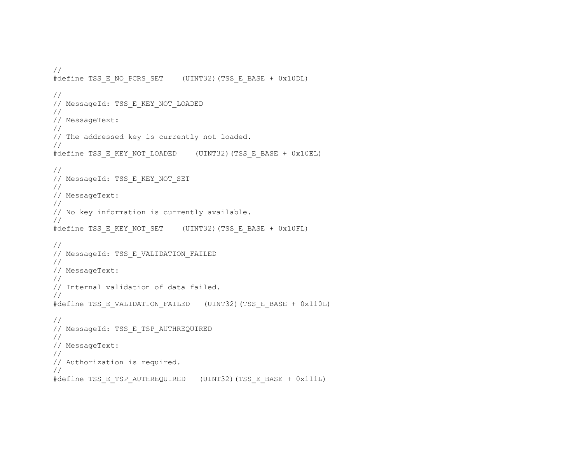```
// 
#define TSS_E_NO_PCRS_SET (UINT32)(TSS_E_BASE + 0x10DL)
// 
// MessageId: TSS_E_KEY_NOT_LOADED 
// 
// MessageText: 
// 
// The addressed key is currently not loaded. 
// 
#define TSS_E_KEY_NOT_LOADED (UINT32)(TSS_E_BASE + 0x10EL)
// 
// MessageId: TSS E KEY NOT SET
// 
// MessageText: 
// 
// No key information is currently available. 
// 
#define TSS_E_KEY_NOT_SET (UINT32)(TSS_E_BASE + 0x10FL)
// 
// MessageId: TSS E VALIDATION FAILED
// 
// MessageText: 
// 
// Internal validation of data failed. 
// 
#define TSS_E_VALIDATION_FAILED (UINT32)(TSS_E_BASE + 0x110L)
// 
// MessageId: TSS E TSP AUTHREQUIRED
// 
// MessageText: 
// 
// Authorization is required. 
// 
#define TSS_E_TSP_AUTHREQUIRED (UINT32)(TSS_E_BASE + 0x111L)
```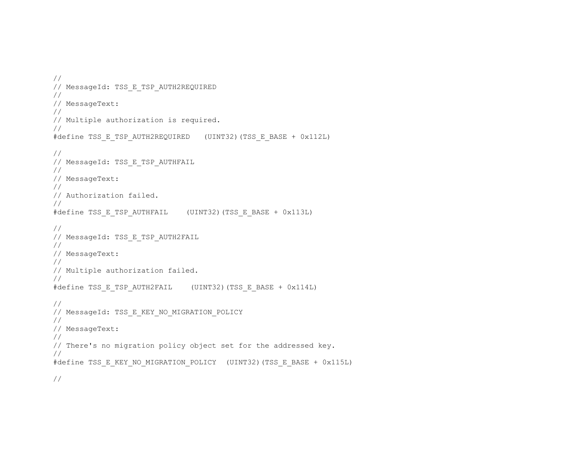```
// 
// MessageId: TSS E TSP AUTH2REQUIRED
// 
// MessageText: 
// 
// Multiple authorization is required. 
// 
#define TSS_E_TSP_AUTH2REQUIRED (UINT32)(TSS_E_BASE + 0x112L)
// 
// MessageId: TSS E TSP AUTHFAIL
// 
// MessageText: 
// 
// Authorization failed. 
// 
#define TSS E TSP AUTHFAIL (UINT32)(TSS E BASE + 0x113L)
// 
// MessageId: TSS_E_TSP_AUTH2FAIL 
// 
// MessageText: 
// 
// Multiple authorization failed. 
// 
#define TSS_E_TSP_AUTH2FAIL (UINT32)(TSS_E_BASE + 0x114L)
// 
// MessageId: TSS E KEY NO MIGRATION POLICY
// 
// MessageText: 
// 
// There's no migration policy object set for the addressed key. 
// 
#define TSS_E_KEY_NO_MIGRATION_POLICY (UINT32)(TSS_E_BASE + 0x115L)
```
//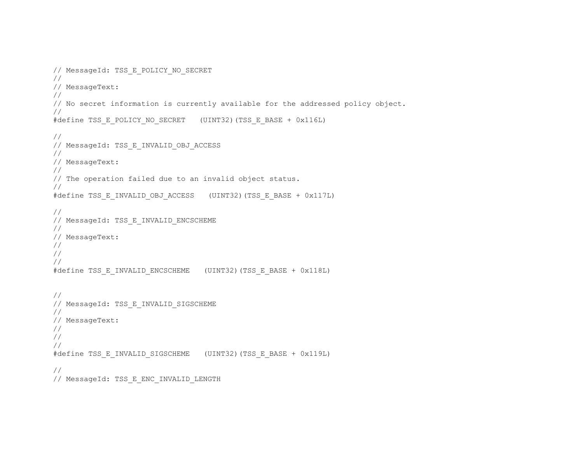```
// MessageId: TSS E POLICY NO SECRET
// 
// MessageText: 
// 
// No secret information is currently available for the addressed policy object. 
// 
#define TSS_E_POLICY_NO_SECRET (UINT32)(TSS_E_BASE + 0x116L)
// 
// MessageId: TSS_E_INVALID_OBJ_ACCESS 
// 
// MessageText: 
// 
// The operation failed due to an invalid object status. 
// 
#define TSS_E_INVALID_OBJ_ACCESS (UINT32)(TSS_E_BASE + 0x117L)
// 
// MessageId: TSS E INVALID ENCSCHEME
// 
// MessageText: 
// 
// 
// 
#define TSS_E_INVALID_ENCSCHEME (UINT32)(TSS_E_BASE + 0x118L) 
// 
// MessageId: TSS E INVALID SIGSCHEME
// 
// MessageText: 
// 
// 
// 
#define TSS_E_INVALID_SIGSCHEME (UINT32)(TSS_E_BASE + 0x119L) 
// 
// MessageId: TSS E ENC INVALID LENGTH
```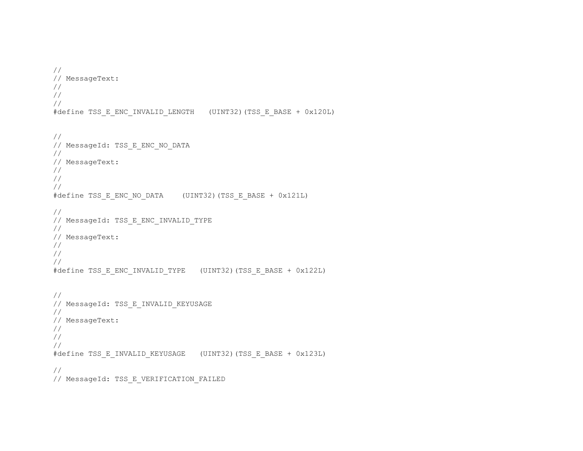```
// 
// MessageText: 
// 
// 
// 
#define TSS_E_ENC_INVALID_LENGTH (UINT32)(TSS_E_BASE + 0x120L) 
// 
// MessageId: TSS E ENC NO DATA
// 
// MessageText: 
// 
// 
// 
#define TSS E ENC NO DATA (UINT32)(TSS_E_BASE + 0x121L)
// 
// MessageId: TSS E ENC INVALID TYPE
// 
// MessageText: 
// 
// 
// 
#define TSS_E_ENC_INVALID_TYPE (UINT32)(TSS_E_BASE + 0x122L) 
// 
// MessageId: TSS E INVALID KEYUSAGE
// 
// MessageText: 
// 
// 
// 
#define TSS_E_INVALID_KEYUSAGE (UINT32)(TSS_E_BASE + 0x123L) 
// 
// MessageId: TSS E VERIFICATION FAILED
```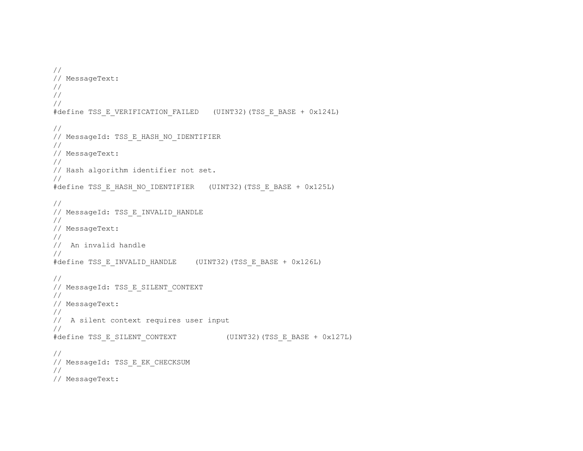```
// 
// MessageText: 
// 
// 
// 
#define TSS_E_VERIFICATION_FAILED (UINT32)(TSS_E_BASE + 0x124L) 
// 
// MessageId: TSS E HASH NO IDENTIFIER
// 
// MessageText: 
// 
// Hash algorithm identifier not set. 
// 
#define TSS_E_HASH_NO_IDENTIFIER (UINT32)(TSS_E_BASE + 0x125L) 
// 
// MessageId: TSS_E_INVALID_HANDLE 
// 
// MessageText: 
// 
// An invalid handle 
// 
#define TSS_E_INVALID_HANDLE (UINT32)(TSS_E_BASE + 0x126L) 
// 
// MessageId: TSS E SILENT CONTEXT
// 
// MessageText: 
// 
// A silent context requires user input 
// 
#define TSS_E_SILENT_CONTEXT (UINT32)(TSS_E_BASE + 0x127L) 
// 
// MessageId: TSS E EK CHECKSUM
// 
// MessageText:
```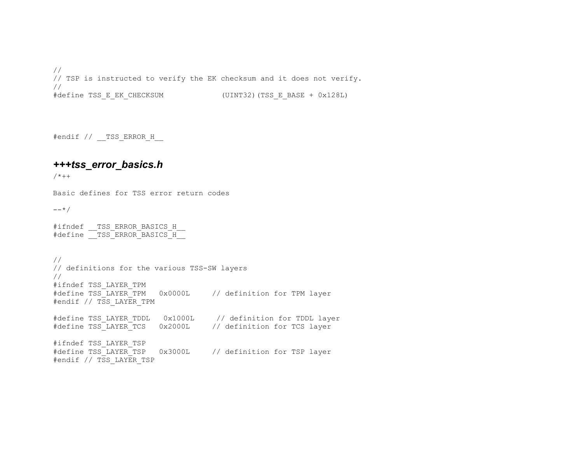// // TSP is instructed to verify the EK checksum and it does not verify. // #define TSS\_E\_EK\_CHECKSUM (UINT32)(TSS\_E\_BASE + 0x128L)

#endif // \_\_TSS\_ERROR\_H\_\_

## *+++tss\_error\_basics.h*

 $/$  \* + +

Basic defines for TSS error return codes

 $---*/$ 

```
#ifndef TSS ERROR BASICS H
#define TSS ERROR BASICS H
```
// // definitions for the various TSS-SW layers // #ifndef TSS\_LAYER\_TPM #define TSS\_LAYER\_TPM 0x0000L // definition for TPM layer #endif // TSS LAYER TPM #define TSS\_LAYER\_TDDL 0x1000L // definition for TDDL layer #define TSS\_LAYER\_TCS 0x2000L // definition for TCS layer #ifndef TSS\_LAYER\_TSP 0x3000L // definition for TSP layer #endif // TSS LAYER TSP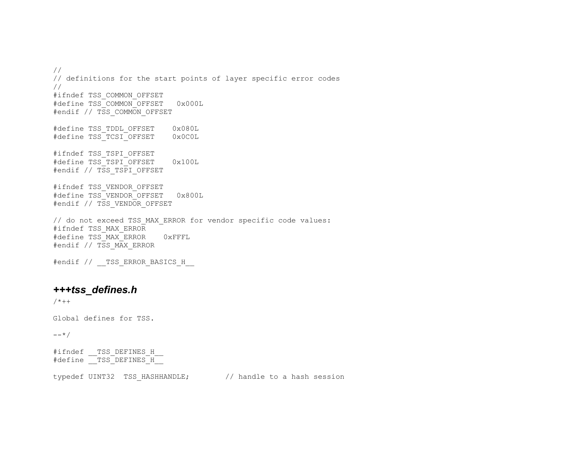// // definitions for the start points of layer specific error codes // #ifndef TSS\_COMMON\_OFFSET #define TSS\_COMMON\_OFFSET 0x000L #endif // TSS\_COMMON\_OFFSET #define TSS\_TDDL\_OFFSET 0x080L #define TSS\_TCSI\_OFFSET 0x0C0L #ifndef TSS\_TSPI\_OFFSET #define TSS\_TSPI\_OFFSET 0x100L #endif // TSS TSPI OFFSET #ifndef TSS\_VENDOR\_OFFSET #define TSS\_VENDOR\_OFFSET 0x800L #endif // TSS VENDOR OFFSET // do not exceed TSS\_MAX\_ERROR for vendor specific code values: #ifndef TSS\_MAX\_ERROR #define TSS\_MAX\_ERROR 0xFFFL #endif // TSS\_MAX\_ERROR #endif // \_\_TSS\_ERROR\_BASICS\_H\_\_

# *+++tss\_defines.h*

 $/ * + +$ 

Global defines for TSS.

 $--*/$ 

#ifndef TSS DEFINES H #define TSS DEFINES H

typedef UINT32 TSS\_HASHHANDLE; // handle to a hash session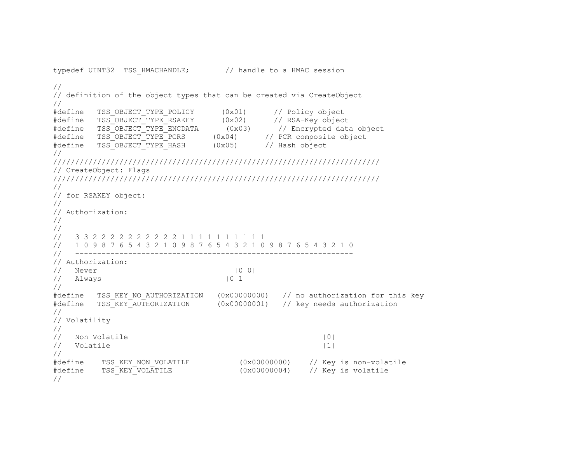```
typedef UINT32 TSS HMACHANDLE; // handle to a HMAC session
// 
// definition of the object types that can be created via CreateObject 
// 
#define TSS_OBJECT_TYPE_POLICY (0x01) // Policy object 
#define TSS_OBJECT_TYPE_RSAKEY (0x02) // RSA-Key object<br>#define TSS_OBJECT_TYPE_ENCDATA (0x03) // Encrypted data
#define TSS_OBJECT_TYPE_ENCDATA (0x03) // Encrypted data object<br>#define TSS_OBJECT_TYPE_PCRS (0x04) // PCR composite object
                                 (0x04) // PCR composite object
#define TSS_OBJECT_TYPE_HASH (0x05) // Hash object 
// 
////////////////////////////////////////////////////////////////////////// 
// CreateObject: Flags 
////////////////////////////////////////////////////////////////////////// 
// 
// for RSAKEY object: 
// 
// Authorization: 
// 
// 
// 3 3 2 2 2 2 2 2 2 2 2 2 1 1 1 1 1 1 1 1 1 1 
// 1 0 9 8 7 6 5 4 3 2 1 0 9 8 7 6 5 4 3 2 1 0 9 8 7 6 5 4 3 2 1 0 
// --------------------------------------------------------------- 
// Authorization: 
// Never |0 0|
\frac{1}{2} Always \frac{10}{1}// 
#define TSS_KEY_NO_AUTHORIZATION (0x00000000) // no authorization for this key 
#define TSS KEY AUTHORIZATION (0x00000001) // key needs authorization
// 
// Volatility 
// 
// Non Volatile |0|
\frac{1}{1} Volatile \frac{1}{1}// 
#define TSS_KEY_NON_VOLATILE (0x00000000) // Key is non-volatile 
#define TSS_KEY_VOLATILE (0x00000004) // Key is volatile 
//
```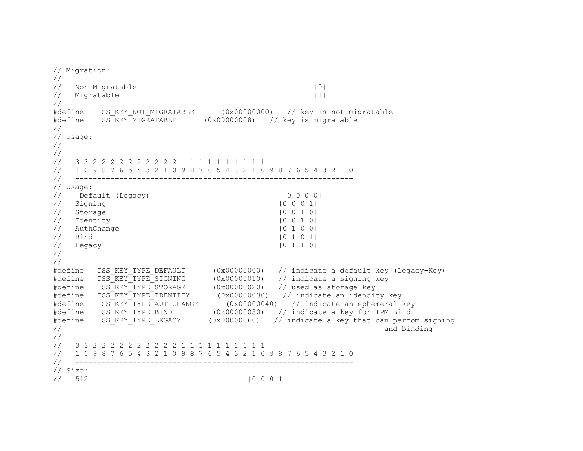```
// Migration: 
// 
// Non Migratable 10|
// Migratable |1|
// 
#define TSS KEY NOT MIGRATABLE (0x00000000) // key is not migratable
#define TSS_KEY_MIGRATABLE (0x00000008) // key is migratable 
// 
// Usage: 
// 
// 
// 3 3 2 2 2 2 2 2 2 2 2 2 1 1 1 1 1 1 1 1 1 1 
// 1 0 9 8 7 6 5 4 3 2 1 0 9 8 7 6 5 4 3 2 1 0 9 8 7 6 5 4 3 2 1 0 
// --------------------------------------------------------------- 
// Usage: 
// Default (Legacy) |0 0 0 0| 
\frac{1}{2} Signing \frac{1}{2} Signing \frac{1}{2} Signing \frac{1}{2}// Storage |0 0 1 0|
\frac{1}{2} Identity \frac{1}{2} 10 0 1 0|
// AuthChange |0 1 0 0| 
\frac{1}{2} Bind \frac{1}{2} Bind \frac{1}{2} Bind \frac{1}{2} Bind \frac{1}{2} Bind \frac{1}{2} Bind \frac{1}{2} Bind \frac{1}{2} Bind \frac{1}{2} Bind \frac{1}{2} Bind \frac{1}{2} Bind \frac{1}{2} Bind \frac{1}{2} Bind \frac{1}{2} Bind \frac{1}{2} B
// Legacy |0 1 1 0| 
// 
// 
#define TSS_KEY_TYPE_DEFAULT (0x00000000) // indicate a default key (Legacy-Key) 
#define TSS KEY TYPE SIGNING (0x00000010) // indicate a signing key
#define TSS_KEY_TYPE_STORAGE (0x00000020) // used as storage key 
*define TSS_KEY_TYPE_IDENTITY (0x00000030) // indicate an idendity key<br>
*define TSS_KEY_TYPE_AUTHCHANGE (0x00000040) // indicate an ephemeral
#define TSS_KEY_TYPE_AUTHCHANGE (0x00000040) // indicate an ephemeral key<br>#define TSS_KEY_TYPE_BIND (0x00000050) // indicate a key for TPM Bind
         TSS<sup>\overline{K}EY<sup>T</sup>YPE<sup>T</sup>BIND (0x00000050) // indicate a key for TPM_Bind<br>
TSS KEY TYPE LEGACY (0x00000060) // indicate a key that can perfo</sup>
#define TSS_KEY_TYPE_LEGACY (0x00000060) // indicate a key that can perfom signing
\frac{1}{2} and binding
// 
// 3 3 2 2 2 2 2 2 2 2 2 2 1 1 1 1 1 1 1 1 1 1 
// 1 0 9 8 7 6 5 4 3 2 1 0 9 8 7 6 5 4 3 2 1 0 9 8 7 6 5 4 3 2 1 0 
// --------------------------------------------------------------- 
// Size: 
// 512 |0 0 0 1|
```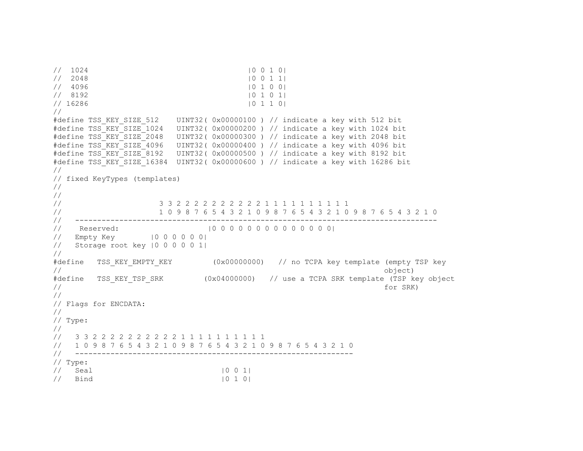```
// 1024 |0 0 1 0 |
// 2048 |0 0 1 1| 
// 4096 |0 1 0 0| 
// 8192 |0 1 0 1 |
// 16286 |0 1 1 0| 
// 
#define TSS KEY SIZE 512 UINT32( 0x00000100 ) // indicate a key with 512 bit
#define TSS_KEY_SIZE_1024 UINT32( 0x00000200 ) // indicate a key with 1024 bit 
#define TSS_KEY_SIZE_2048 UINT32( 0x00000300 ) // indicate a key with 2048 bit 
#define TSS_KEY_SIZE_4096 UINT32( 0x00000400 ) // indicate a key with 4096 bit 
#define TSS_KEY_SIZE_8192 UINT32( 0x00000500 ) // indicate a key with 8192 bit 
#define TSS_KEY_SIZE_16384 UINT32( 0x00000600 ) // indicate a key with 16286 bit 
// 
// fixed KeyTypes (templates) 
// 
// 
// 3 3 2 2 2 2 2 2 2 2 2 2 1 1 1 1 1 1 1 1 1 1 
// 1 0 9 8 7 6 5 4 3 2 1 0 9 8 7 6 5 4 3 2 1 0 9 8 7 6 5 4 3 2 1 0 
// ---------------------------------------------------------------------------------- 
// Reserved: |0 0 0 0 0 0 0 0 0 0 0 0 0 0| 
// Empty Key |0 0 0 0 0 0| 
// Storage root key |0 0 0 0 0 1| 
// 
#define TSS_KEY_EMPTY_KEY (0x00000000) // no TCPA key template (empty TSP key 
// object) 
#define TSS_KEY_TSP_SRK (0x04000000) // use a TCPA SRK template (TSP key object 
// for SRK) 
// 
// Flags for ENCDATA: 
// 
// Type: 
// 
// 3 3 2 2 2 2 2 2 2 2 2 2 1 1 1 1 1 1 1 1 1 1 
// 1 0 9 8 7 6 5 4 3 2 1 0 9 8 7 6 5 4 3 2 1 0 9 8 7 6 5 4 3 2 1 0 
// --------------------------------------------------------------- 
// Type: 
1/ Seal |0 \t0 \t1|1/ Bind |0 \t1 \t0|
```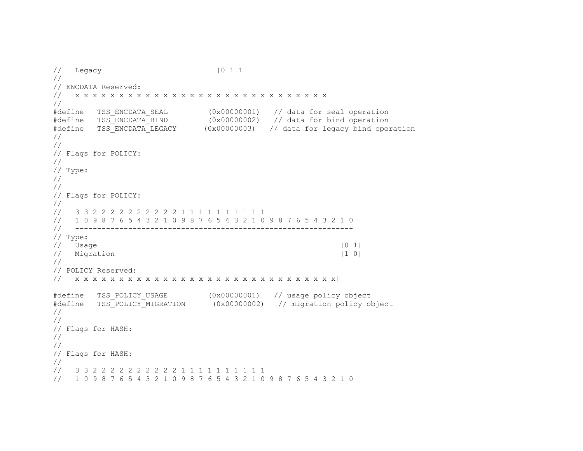```
// Legacy |0 1 1| 
// 
// ENCDATA Reserved: 
// |x x x x x x x x x x x x x x x x x x x x x x x x x x x x x| 
// 
#define TSS_ENCDATA_SEAL (0x00000001) // data for seal operation<br>#define TSS_ENCDATA_BIND (0x00000002) // data for bind operation
                              (0x00000002) // data for bind operation
#define TSS_ENCDATA_LEGACY (0x00000003) // data for legacy bind operation 
// 
// 
// Flags for POLICY: 
// 
// Type: 
// 
// 
// Flags for POLICY: 
// 
// 3 3 2 2 2 2 2 2 2 2 2 2 1 1 1 1 1 1 1 1 1 1 
// 1 0 9 8 7 6 5 4 3 2 1 0 9 8 7 6 5 4 3 2 1 0 9 8 7 6 5 4 3 2 1 0 
// --------------------------------------------------------------- 
// Type: 
\frac{1}{2} Usage \frac{1}{2} Usage \frac{1}{2}// Migration |1 0|
// 
// POLICY Reserved: 
// |x x x x x x x x x x x x x x x x x x x x x x x x x x x x x x| 
#define TSS_POLICY_USAGE (0x00000001) // usage policy object 
                             (0x00000002) // migration policy object
// 
// 
// Flags for HASH: 
// 
// 
// Flags for HASH: 
// 
// 3 3 2 2 2 2 2 2 2 2 2 2 1 1 1 1 1 1 1 1 1 1 
// 1 0 9 8 7 6 5 4 3 2 1 0 9 8 7 6 5 4 3 2 1 0 9 8 7 6 5 4 3 2 1 0
```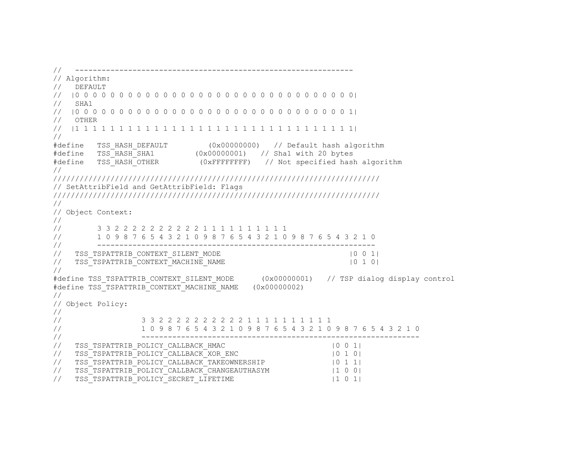```
// --------------------------------------------------------------- 
// Algorithm: 
// DEFAULT 
// |0 0 0 0 0 0 0 0 0 0 0 0 0 0 0 0 0 0 0 0 0 0 0 0 0 0 0 0 0 0 0 0| 
// SHA1 
// |0 0 0 0 0 0 0 0 0 0 0 0 0 0 0 0 0 0 0 0 0 0 0 0 0 0 0 0 0 0 0 1| 
// OTHER 
// |1 1 1 1 1 1 1 1 1 1 1 1 1 1 1 1 1 1 1 1 1 1 1 1 1 1 1 1 1 1 1 1| 
// 
#define TSS_HASH_DEFAULT (0x00000000) // Default hash algorithm 
#define TSS_HASH_SHA1 (0x00000001) // Sha1 with 20 bytes 
#define TSS_HASH_OTHER (0xFFFFFFFF) // Not specified hash algorithm 
// 
////////////////////////////////////////////////////////////////////////// 
// SetAttribField and GetAttribField: Flags 
////////////////////////////////////////////////////////////////////////// 
// 
// Object Context: 
// 
// 3 3 2 2 2 2 2 2 2 2 2 2 1 1 1 1 1 1 1 1 1 1 
       // 1 0 9 8 7 6 5 4 3 2 1 0 9 8 7 6 5 4 3 2 1 0 9 8 7 6 5 4 3 2 1 0 
// --------------------------------------------------------------- 
// TSS_TSPATTRIB_CONTEXT_SILENT_MODE |0 \t0 \t1|// TSS_TSPATTRIB_CONTEXT_MACHINE_NAME | 0 1 0|
// 
#define TSS_TSPATTRIB_CONTEXT_SILENT_MODE (0x00000001) // TSP dialog display control 
#define TSS_TSPATTRIB_CONTEXT_MACHINE_NAME (0x00000002)
// 
// Object Policy: 
// 
// 3 3 2 2 2 2 2 2 2 2 2 2 1 1 1 1 1 1 1 1 1 1 
// 1 0 9 8 7 6 5 4 3 2 1 0 9 8 7 6 5 4 3 2 1 0 9 8 7 6 5 4 3 2 1 0 
// --------------------------------------------------------------- 
// TSS_TSPATTRIB_POLICY_CALLBACK_HMAC |0 0 1| 
// TSS_TSPATTRIB_POLICY_CALLBACK_XOR_ENC |0 1 0| 
// TSS_TSPATTRIB_POLICY_CALLBACK_TAKEOWNERSHIP |0 1 1| 
// TSS_TSPATTRIB_POLICY_CALLBACK_CHANGEAUTHASYM |1 0 0| 
// TSS_TSPATTRIB_POLICY_SECRET_LIFETIME |1 0 1|
```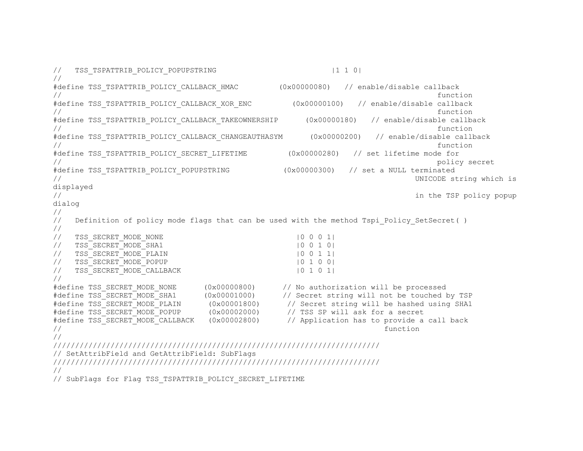```
// TSS TSPATTRIB_POLICY_POPUPSTRING |1 \t1 \t0|// 
#define TSS_TSPATTRIB_POLICY_CALLBACK_HMAC (0x00000080) // enable/disable callback 
\mathcal{M}/\mathcal{M} function
#define TSS TSPATTRIB POLICY CALLBACK XOR ENC (0x00000100) // enable/disable callback
\mathcal{M} function
#define TSS_TSPATTRIB_POLICY_CALLBACK_TAKEOWNERSHIP (0x00000180) // enable/disable callback 
\mathcal{M} function
#define TSS TSPATTRIB POLICY CALLBACK CHANGEAUTHASYM (0x00000200) // enable/disable callback
\mathcal{M} function
#define TSS_TSPATTRIB_POLICY_SECRET_LIFETIME (0x00000280) // set lifetime mode for 
// policy secret 
#define TSS_TSPATTRIB_POLICY_POPUPSTRING (0x00000300) // set a NULL terminated 
// UNICODE string which is 
displayed 
// in the TSP policy popup 
dialog 
// 
// Definition of policy mode flags that can be used with the method Tspi Policy SetSecret()
// 
// TSS_SECRET_MODE_NONE |0 0 0 1|
// TSS_SECRET_MODE_SHA1 | |0 0 1 0|
// TSS_SECRET_MODE_PLAIN | 0 0 1 1|
// TSS SECRET MODE POPUP | 0 1 0 0|
// TSS SECRET MODE CALLBACK | |0 1 0 1|
// 
#define TSS SECRET MODE NONE (0x00000800) // No authorization will be processed
#define TSS_SECRET_MODE_SHA1 (0x00001000) // Secret string will not be touched by TSP 
#define TSS_SECRET_MODE_PLAIN (0x00001800) // Secret string will be hashed using SHA1 
#define TSS SECRET MODE POPUP (0x00002000) // TSS SP will ask for a secret
#define TSS_SECRET_MODE_CALLBACK (0x00002800) // Application has to provide a call back 
\mathcal{U}/\mathcal{I} function
// 
////////////////////////////////////////////////////////////////////////// 
// SetAttribField and GetAttribField: SubFlags 
////////////////////////////////////////////////////////////////////////// 
// 
// SubFlags for Flag TSS TSPATTRIB POLICY SECRET LIFETIME
```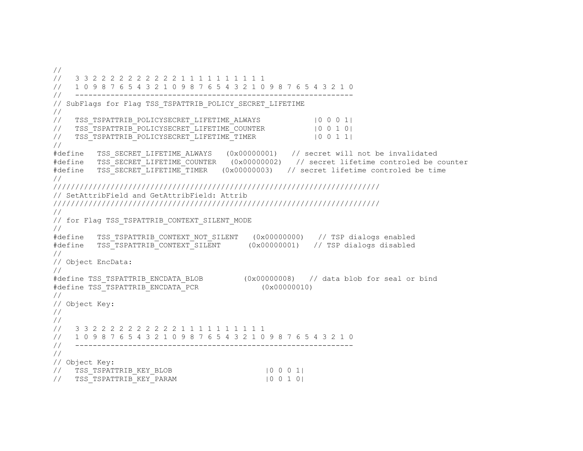// // 3 3 2 2 2 2 2 2 2 2 2 2 1 1 1 1 1 1 1 1 1 1 // 1 0 9 8 7 6 5 4 3 2 1 0 9 8 7 6 5 4 3 2 1 0 9 8 7 6 5 4 3 2 1 0 // --------------------------------------------------------------- // SubFlags for Flag TSS TSPATTRIB POLICY SECRET LIFETIME // // TSS TSPATTRIB\_POLICYSECRET\_LIFETIME\_ALWAYS |0 0 0 0 1| // TSS\_TSPATTRIB\_POLICYSECRET\_LIFETIME\_COUNTER |0 0 1 0| // TSS\_TSPATTRIB\_POLICYSECRET\_LIFETIME\_TIMER |0 0 1 1| // #define TSS\_SECRET\_LIFETIME\_ALWAYS (0x00000001) // secret will not be invalidated #define TSS\_SECRET\_LIFETIME\_COUNTER (0x00000002) // secret lifetime controled be counter #define TSS\_SECRET\_LIFETIME\_TIMER (0x00000003) // secret lifetime controled be time // ////////////////////////////////////////////////////////////////////////// // SetAttribField and GetAttribField: Attrib ////////////////////////////////////////////////////////////////////////// // // for Flag TSS TSPATTRIB CONTEXT SILENT MODE // #define TSS\_TSPATTRIB\_CONTEXT\_NOT\_SILENT (0x00000000) // TSP dialogs enabled  $(0x00000001)$  // TSP dialogs disabled // // Object EncData: // #define TSS\_TSPATTRIB\_ENCDATA\_BLOB (0x00000008) // data blob for seal or bind #define TSS\_TSPATTRIB\_ENCDATA\_PCR (0x00000010) // // Object Key: // // // 3 3 2 2 2 2 2 2 2 2 2 2 1 1 1 1 1 1 1 1 1 1 // 1 0 9 8 7 6 5 4 3 2 1 0 9 8 7 6 5 4 3 2 1 0 9 8 7 6 5 4 3 2 1 0 // --------------------------------------------------------------- // // Object Key: // TSS\_TSPATTRIB\_KEY\_BLOB |0 0 0 1| // TSS\_TSPATTRIB\_KEY\_PARAM  $|0 \t0 \t1 \t0|$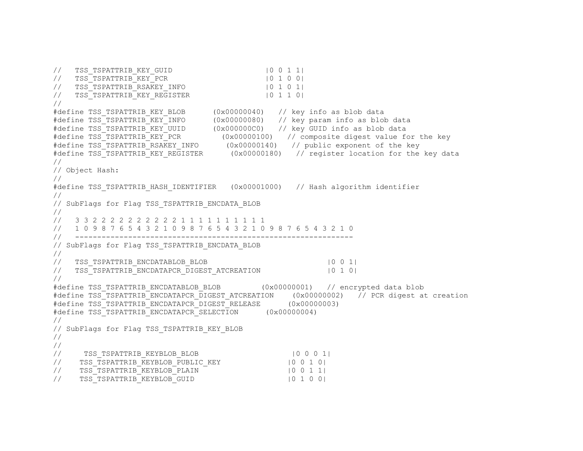```
// TSS_TSPATTRIB_KEY_GUID |0 0 1 1| 
// TSS_TSPATTRIB_KEY_PCR |0 1 0 0| 
// TSS_TSPATTRIB_RSAKEY_INFO |0 1 0 1| 
// TSS<sup>T</sup>TSPATTRIB<sup>T</sup>KEY_REGISTER
// 
#define TSS_TSPATTRIB_KEY_BLOB (0x00000040) // key info as blob data 
#define TSS_TSPATTRIB_KEY_INFO (0x00000080) // key param info as blob data 
#define TSS_TSPATTRIB_KEY_UUID (0x000000C0) // key GUID info as blob data 
#define TSS_TSPATTRIB_KEY_PCR (0x00000100) // composite digest value for the key 
#define TSS_TSPATTRIB_RSAKEY_INFO (0x00000140) // public exponent of the key 
#define TSS_TSPATTRIB_KEY_REGISTER (0x00000180) // register location for the key data 
// 
// Object Hash: 
// 
#define TSS_TSPATTRIB_HASH_IDENTIFIER (0x00001000) // Hash algorithm identifier 
// 
// SubFlags for Flag TSS TSPATTRIB ENCDATA BLOB
// 
// 3 3 2 2 2 2 2 2 2 2 2 2 1 1 1 1 1 1 1 1 1 1 
// 1 0 9 8 7 6 5 4 3 2 1 0 9 8 7 6 5 4 3 2 1 0 9 8 7 6 5 4 3 2 1 0 
// --------------------------------------------------------------- 
// SubFlags for Flag TSS TSPATTRIB ENCDATA BLOB
// 
// TSS_TSPATTRIB_ENCDATABLOB_BLOB |0 0 1|
// TSS<sup>T</sup>TSPATTRIB<sup>T</sup>ENCDATAPCR_DIGEST_ATCREATION | 0 1 0|
// 
#define TSS TSPATTRIB ENCDATABLOB BLOB (0x00000001) // encrypted data blob
#define TSS TSPATTRIB ENCDATAPCR DIGEST ATCREATION (0x00000002) // PCR digest at creation
#define TSS_TSPATTRIB_ENCDATAPCR_DIGEST_RELEASE (0x00000003) 
#define TSS_TSPATTRIB_ENCDATAPCR_SELECTION (0x00000004) 
// 
// SubFlags for Flag TSS TSPATTRIB KEY BLOB
// 
// 
// TSS_TSPATTRIB_KEYBLOB_BLOB | 0 0 0 1|
// TSS_TSPATTRIB_KEYBLOB_PUBLIC_KEY          |0 0 1 0|
// TSS_TSPATTRIB_KEYBLOB_PLAIN |0 0 1 1| 
// TSS_TSPATTRIB_KEYBLOB_GUID | 0 1 0 0|
```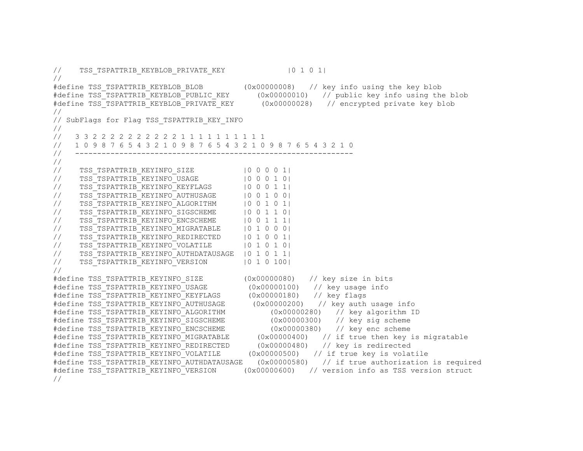// TSS\_TSPATTRIB\_KEYBLOB\_PRIVATE\_KEY |0 1 0 1| // #define TSS TSPATTRIB KEYBLOB BLOB (0x00000008) // key info using the key blob #define TSS<sup>T</sup>TSPATTRIB<sup>T</sup>KEYBLOB<sup>T</sup>PUBLIC KEY (0x00000010) // public key info using the blob #define TSS<sup>T</sup>TSPATTRIB<sup>T</sup>KEYBLOB<sup>T</sup>PRIVATE KEY (0x00000028) // encrypted private key blob // // SubFlags for Flag TSS TSPATTRIB KEY INFO // // 3 3 2 2 2 2 2 2 2 2 2 2 1 1 1 1 1 1 1 1 1 1 // 1 0 9 8 7 6 5 4 3 2 1 0 9 8 7 6 5 4 3 2 1 0 9 8 7 6 5 4 3 2 1 0 // --------------------------------------------------------------- // %// TSS\_TSPATTRIB\_KEYINFO\_SIZE |0 0 0 0 1|<br>// TSS\_TSPATTRIB\_KEYINFO\_USAGE |0 0 0 1 0| // TSS<sup>T</sup>TSPATTRIB<sup>T</sup>KEYINFO<sup>T</sup>USAGE // TSS\_TSPATTRIB\_KEYINFO\_KEYFLAGS |0 0 0 1 1| // TSS\_TSPATTRIB\_KEYINFO\_AUTHUSAGE |0 0 1 0 0| // TSS\_TSPATTRIB\_KEYINFO\_ALGORITHM |0 0 1 0 1| // TSS TSPATTRIB KEYINFO SIGSCHEME |0 0 1 1 0| // TSS\_TSPATTRIB\_KEYINFO\_ENCSCHEME |0 0 1 1 1| // TSS TSPATTRIB KEYINFO MIGRATABLE | 0 1 0 0 0| // TSS\_TSPATTRIB\_KEYINFO\_REDIRECTED |0 1 0 0 1| // TSS\_TSPATTRIB\_KEYINFO\_VOLATILE |0 1 0 1 0 | // TSS\_TSPATTRIB\_KEYINFO\_AUTHDATAUSAGE |0 1 0 1 1| // TSS TSPATTRIB\_KEYINFO\_VERSION |0 1 0 100| // #define TSS TSPATTRIB KEYINFO SIZE (0x00000080) // key size in bits #define TSS TSPATTRIB KEYINFO USAGE (0x00000100) // key usage info #define TSS\_TSPATTRIB\_KEYINFO\_KEYFLAGS (0x00000180) // key flags #define TSS\_TSPATTRIB\_KEYINFO\_AUTHUSAGE (0x00000200) // key auth usage info<br>#define TSS\_TSPATTRIB\_KEYINFO\_ALGORITHM (0x00000280) // key alqorithm ID #define TSS\_TSPATTRIB\_KEYINFO\_ALGORITHM #define TSS\_TSPATTRIB\_KEYINFO\_SIGSCHEME (0x00000300) // key sig scheme #define TSS\_TSPATTRIB\_KEYINFO\_ENCSCHEME (0x00000380) // key enc scheme #define TSS\_TSPATTRIB\_KEYINFO\_MIGRATABLE (0x00000400) // if true then key is migratable<br>#define TSS TSPATTRIB KEYINFO REDIRECTED (0x00000480) // key is redirected #define TSS TSPATTRIB KEYINFO REDIRECTED #define TSS TSPATTRIB KEYINFO VOLATILE (0x00000500) // if true key is volatile #define TSS\_TSPATTRIB\_KEYINFO\_AUTHDATAUSAGE (0x00000580) // if true authorization is required #define TSS TSPATTRIB KEYINFO VERSION (0x0000600) // version info as TSS version struct //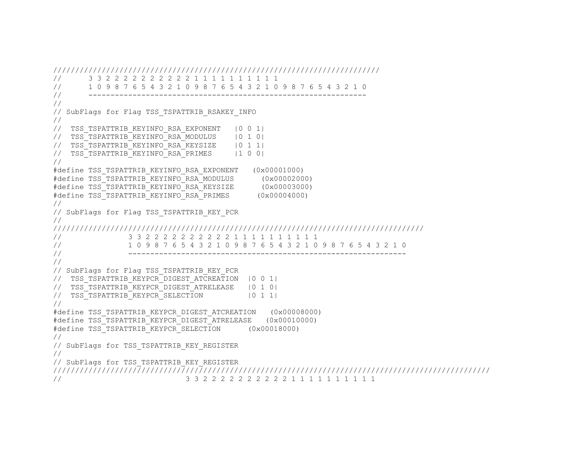```
////////////////////////////////////////////////////////////////////////// 
// 3 3 2 2 2 2 2 2 2 2 2 2 1 1 1 1 1 1 1 1 1 1 
// 1 0 9 8 7 6 5 4 3 2 1 0 9 8 7 6 5 4 3 2 1 0 9 8 7 6 5 4 3 2 1 0 
// --------------------------------------------------------------- 
// 
// SubFlags for Flag TSS_TSPATTRIB_RSAKEY_INFO 
// 
// TSS_TSPATTRIB_KEYINFO_RSA_EXPONENT |0 0 1| 
// TSS TSPATTRIB KEYINFO RSA MODULUS | 0 1 0|
// TSS_TSPATTRIB_KEYINFO_RSA_KEYSIZE | 0 1 1|
// TSS_TSPATTRIB_KEYINFO_RSA_PRIMES |1 0 0|
// 
#define TSS_TSPATTRIB_KEYINFO_RSA_EXPONENT (0x00001000) 
#define TSS_TSPATTRIB_KEYINFO_RSA_MODULUS (0x00002000) 
#define TSS_TSPATTRIB_KEYINFO_RSA_KEYSIZE (0x00003000) 
#define TSS_TSPATTRIB_KEYINFO_RSA_PRIMES (0x00004000) 
// 
// SubFlags for Flag TSS TSPATTRIB KEY PCR
// 
//////////////////////////////////////////////////////////////////////////////////// 
// 3 3 2 2 2 2 2 2 2 2 2 2 1 1 1 1 1 1 1 1 1 1 
// 1 0 9 8 7 6 5 4 3 2 1 0 9 8 7 6 5 4 3 2 1 0 9 8 7 6 5 4 3 2 1 0 
// --------------------------------------------------------------- 
// 
// SubFlags for Flag TSS TSPATTRIB KEY PCR
// TSS_TSPATTRIB_KEYPCR_DIGEST_ATCREATION |0 0 1| 
// TSS_TSPATTRIB_KEYPCR_DIGEST_ATRELEASE |0 1 0| 
// TSS TSPATTRIB KEYPCR SELECTION | 0 1 1|
// 
#define TSS_TSPATTRIB_KEYPCR_DIGEST_ATCREATION (0x00008000) 
#define TSS_TSPATTRIB_KEYPCR_DIGEST_ATRELEASE (0x00010000) 
#define TSS_TSPATTRIB_KEYPCR_SELECTION (0x00018000) 
// 
// SubFlags for TSS TSPATTRIB KEY REGISTER
// 
// SubFlags for TSS TSPATTRIB KEY REGISTER
/////////////////////////////////////////////////////////////////////////////////////////////////// 
// 3 3 2 2 2 2 2 2 2 2 2 2 1 1 1 1 1 1 1 1 1 1
```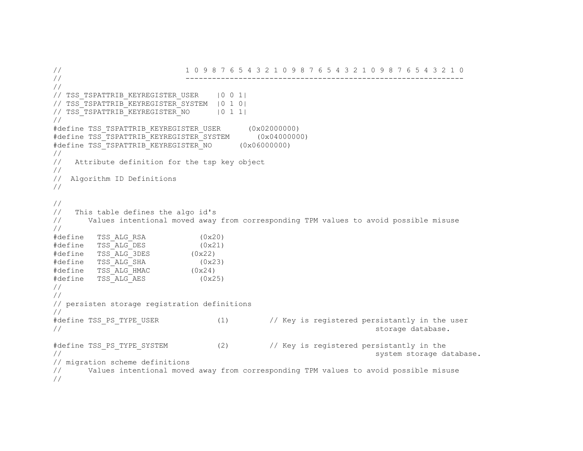// 1 0 9 8 7 6 5 4 3 2 1 0 9 8 7 6 5 4 3 2 1 0 9 8 7 6 5 4 3 2 1 0 // --------------------------------------------------------------- // // TSS\_TSPATTRIB\_KEYREGISTER\_USER |0 0 1| // TSS\_TSPATTRIB\_KEYREGISTER\_SYSTEM |0 1 0| // TSS\_TSPATTRIB\_KEYREGISTER\_NO | 0 1 1| // #define TSS TSPATTRIB KEYREGISTER USER (0x02000000) #define TSS\_TSPATTRIB\_KEYREGISTER\_SYSTEM (0x04000000) #define TSS\_TSPATTRIB\_KEYREGISTER\_NO (0x06000000) // // Attribute definition for the tsp key object // // Algorithm ID Definitions // // // This table defines the algo id's // Values intentional moved away from corresponding TPM values to avoid possible misuse // #define TSS\_ALG\_RSA (0x20)  $\# \text{define}$   $TSS$  ALG DES (0x21) #define TSS\_ALG\_3DES (0x22) #define TSS\_ALG\_SHA (0x23)  $\# \text{define}$   $TSS$   $\overline{\text{ALG}}$   $\text{HMAC}$  (0x24) #define TSS\_ALG\_AES (0x25) // // // persisten storage registration definitions // #define TSS PS TYPE USER (1) // Key is registered persistantly in the user // storage database. #define TSS PS TYPE SYSTEM (2) // Key is registered persistantly in the // system storage database. // migration scheme definitions // Values intentional moved away from corresponding TPM values to avoid possible misuse //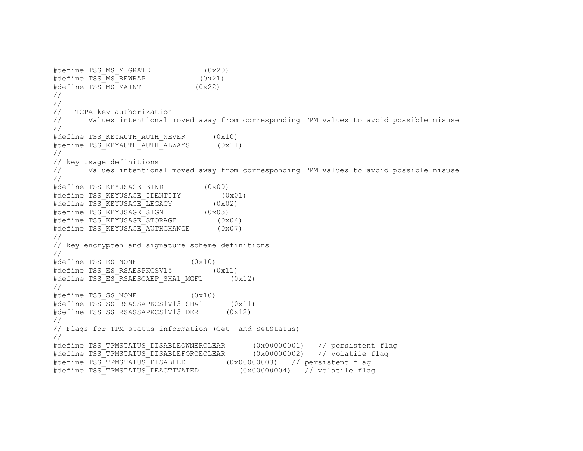```
#define TSS MS MIGRATE (0x20)
#define TSS MS REWRAP (0x21)
\# \text{define } TSS\MAINT (0x22)
// 
// 
// TCPA key authorization 
// Values intentional moved away from corresponding TPM values to avoid possible misuse 
// 
#define TSS KEYAUTH AUTH NEVER (0x10)
#define TSS KEYAUTH AUTH ALWAYS (0x11)
// 
// key usage definitions 
// Values intentional moved away from corresponding TPM values to avoid possible misuse 
// 
#define TSS_KEYUSAGE_BIND (0x00) 
#define TSS KEYUSAGE IDENTITY (0x01)
#define TSS_KEYUSAGE_LEGACY (0x02) 
#define TSS_KEYUSAGE_SIGN (0x03) 
#define TSS KEYUSAGE STORAGE (0x04)
#define TSS_KEYUSAGE_AUTHCHANGE (0x07) 
// 
// key encrypten and signature scheme definitions 
// 
#define TSS ES NONE (0x10)
#define TSS ES RSAESPKCSV15 (0x11)
#define TSS_ES_RSAESOAEP_SHA1_MGF1 (0x12)
// 
#define TSS_SS_NONE (0x10) 
#define TSS SS RSASSAPKCS1V15 SHA1 (0x11)
#define TSS SS RSASSAPKCS1V15 DER (0x12)
// 
// Flags for TPM status information (Get- and SetStatus) 
// 
#define TSS_TPMSTATUS_DISABLEOWNERCLEAR (0x00000001) // persistent flag 
#define TSS_TPMSTATUS_DISABLEFORCECLEAR (0x00000002) // volatile flag 
#define TSS_TPMSTATUS_DISABLED (0x00000003) // persistent flag 
#define TSS_TPMSTATUS_DEACTIVATED (0x00000004) // volatile flag
```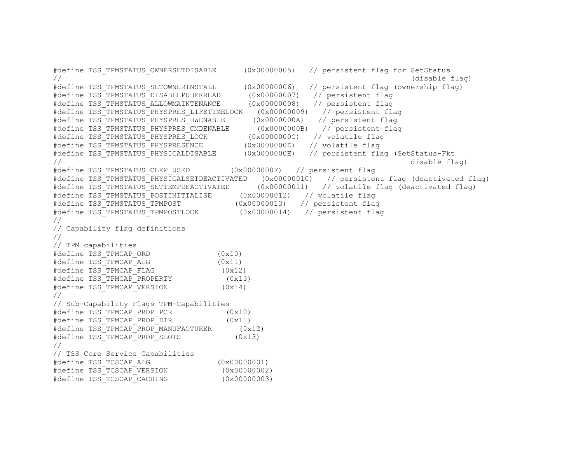```
#define TSS_TPMSTATUS_OWNERSETDISABLE (0x00000005) // persistent flag for SetStatus 
\frac{1}{2} (disable flag)
#define TSS_TPMSTATUS_SETOWNERINSTALL (0x00000006) // persistent flag (ownership flag) 
#define TSS_TPMSTATUS_DISABLEPUBEKREAD (0x00000007) // persistent flag 
#define TSS_TPMSTATUS_ALLOWMAINTENANCE (0x00000008) // persistent flag 
#define TSS_TPMSTATUS_PHYSPRES_LIFETIMELOCK (0x00000009) // persistent flag 
#define TSS_TPMSTATUS_PHYSPRES_HWENABLE (0x0000000A) // persistent flag 
#define TSS_TPMSTATUS_PHYSPRES_CMDENABLE (0x0000000B) // persistent flag 
#define TSS_TPMSTATUS_PHYSPRES_LOCK (0x0000000C) // volatile flag 
#define TSS_TPMSTATUS_PHYSPRESENCE (0x0000000D) // volatile flag 
#define TSS_TPMSTATUS_PHYSICALDISABLE (0x0000000E) // persistent flag (SetStatus-Fkt 
\frac{1}{2} disable flag)
#define TSS_TPMSTATUS_CEKP_USED (0x0000000F) // persistent flag 
#define TSS TPMSTATUS PHYSICALSETDEACTIVATED (0x00000010) // persistent flag (deactivated flag)
#define TSS_TPMSTATUS_SETTEMPDEACTIVATED (0x00000011) // volatile flag (deactivated flag) 
#define TSS_TPMSTATUS_POSTINITIALISE (0x00000012) // volatile flag 
#define TSS_TPMSTATUS_TPMPOST (0x00000013) // persistent flag 
#define TSS_TPMSTATUS_TPMPOSTLOCK (0x00000014) // persistent flag 
// 
// Capability flag definitions 
// 
// TPM capabilities 
#define TSS TPMCAP ORD (0x10)
#define TSS TPMCAP ALG (0x11)
#define TSS TPMCAP FLAG (0x12)
#define TSS_TPMCAP_PROPERTY (0x13) 
#define TSS TPMCAP VERSION (0x14)
// 
// Sub-Capability Flags TPM-Capabilities 
#define TSS TPMCAP PROP PCR (0x10)
#define TSS TPMCAP PROP DIR (0x11)
#define TSS_TPMCAP_PROP_MANUFACTURER (0x12) 
#define TSS TPMCAP PROP SLOTS (0x13)
// 
// TSS Core Service Capabilities 
#define TSS_TCSCAP_ALG (0x00000001) 
#define TSS_TCSCAP_VERSION (0x00000002) 
#define TSS TCSCAP CACHING (0x00000003)
```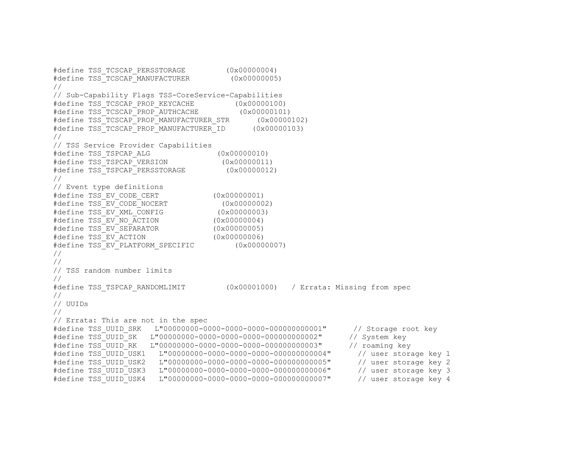```
#define TSS_TCSCAP_PERSSTORAGE (0x00000004) 
#define TSS_TCSCAP_MANUFACTURER (0x00000005) 
// 
// Sub-Capability Flags TSS-CoreService-Capabilities 
#define TSS_TCSCAP_PROP_KEYCACHE (0x00000100) 
#define TSS_TCSCAP_PROP_AUTHCACHE (0x00000101) 
#define TSS_TCSCAP_PROP_MANUFACTURER_STR (0x00000102) 
#define TSS_TCSCAP_PROP_MANUFACTURER_ID (0x00000103) 
// 
// TSS Service Provider Capabilities 
#define TSS_TSPCAP_ALG (0x00000010) 
#define TSS TSPCAP VERSION (0x00000011)
#define TSS_TSPCAP_PERSSTORAGE (0x00000012) 
// 
// Event type definitions 
#define TSS_EV_CODE_CERT (0x00000001) 
#define TSS_EV_CODE_NOCERT (0x00000002)<br>#define TSS_EV_XML_CONFIG (0x00000003)<br>#define TSS_EV_NO_ACTION (0x00000004)
#define TSS EV XML CONFIG
#define TSS EV NO ACTION
#define TSS_EV_SEPARATOR (0x00000005)<br>#define TSS_EV_ACTION (0x00000006)
#define TSS EV ACTION
#define TSS EV PLATFORM SPECIFIC (0x00000007)
// 
// 
// TSS random number limits 
// 
#define TSS_TSPCAP_RANDOMLIMIT (0x00001000) / Errata: Missing from spec 
// 
// UUIDs 
// 
// Errata: This are not in the spec 
#define TSS_UUID_SRK L"00000000-0000-0000-0000-000000000001" // Storage root key 
#define TSS_UUID_SK L"00000000-0000-0000-0000-000000000002" // System key 
#define TSS_UUID_RK L"00000000-0000-0000-0000-000000000003" // roaming key 
#define TSS_UUID_USK1 L"00000000-0000-0000-0000-000000000004" // user storage key 1 
#define TSS_UUID_USK2 L"00000000-0000-0000-0000-000000000005" // user storage key 2 
#define TSS_UUID_USK3 L"00000000-0000-0000-0000-000000000006" // user storage key 3 
#define TSS_UUID_USK4 L"00000000-0000-0000-0000-000000000007" // user storage key 4
```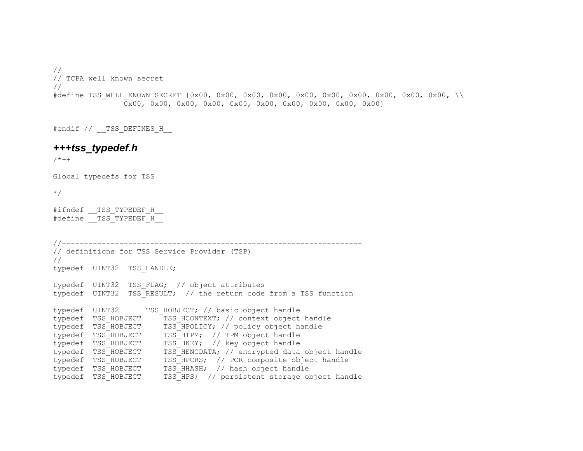// // TCPA well known secret // #define TSS WELL KNOWN SECRET {0x00, 0x00, 0x00, 0x00, 0x00, 0x00, 0x00, 0x00, 0x00, \\ 0x00, 0x00, 0x00, 0x00, 0x00, 0x00, 0x00, 0x00, 0x00, 0x00}

#endif // TSS DEFINES H

#### *+++tss\_typedef.h*

 $/ * + +$ 

Global typedefs for TSS

\*/

#ifndef TSS TYPEDEF H #define TSS TYPEDEF H

```
//-------------------------------------------------------------------- 
// definitions for TSS Service Provider (TSP) 
// 
typedef UINT32 TSS_HANDLE; 
typedef UINT32 TSS FLAG; // object attributes
typedef UINT32 TSS_RESULT; // the return code from a TSS function 
typedef UINT32 TSS HOBJECT; // basic object handle
typedef TSS HOBJECT TSS HCONTEXT; // context object handle
typedef TSS HOBJECT TSS HPOLICY; // policy object handle
typedef TSS HOBJECT TSS HTPM; // TPM object handle
typedef TSS HOBJECT TSS HKEY; // key object handle
typedef TSS_HOBJECT TSS_HENCDATA; // encrypted data object handle 
typedef TSS HOBJECT TSS HPCRS; // PCR composite object handle
typedef TSS HOBJECT TSS HHASH; // hash object handle
typedef TSS HOBJECT TSS HPS; // persistent storage object handle
```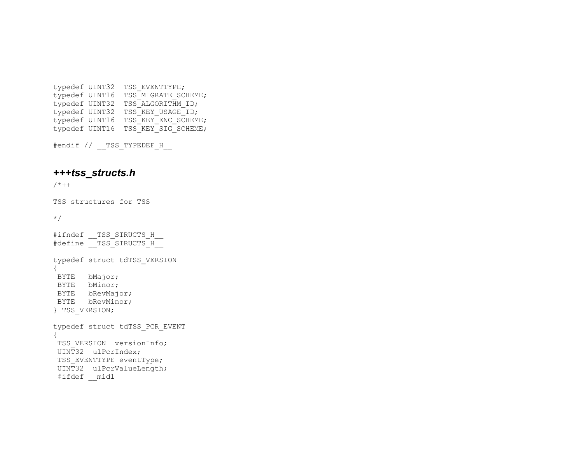typedef UINT32 TSS\_EVENTTYPE; typedef UINT16 TSS MIGRATE SCHEME; typedef UINT32 TSS ALGORITHM ID; typedef UINT32 TSS KEY USAGE ID; typedef UINT16 TSS KEY ENC SCHEME; typedef UINT16 TSS KEY SIG SCHEME;

#endif // TSS TYPEDEF H

## *+++tss\_structs.h*

 $/ * + +$ 

TSS structures for TSS

\*/

```
#ifndef TSS STRUCTS H
#define TSS STRUCTS H
typedef struct tdTSS_VERSION 
{ 
 BYTE bMajor; 
 BYTE bMinor; 
 BYTE bRevMajor; 
  BYTE bRevMinor; 
} TSS_VERSION; 
typedef struct tdTSS_PCR_EVENT 
{ 
TSS VERSION versionInfo;
 UINT32 ulPcrIndex; 
TSS EVENTTYPE eventType;
 UINT32 ulPcrValueLength; 
  #ifdef __midl
```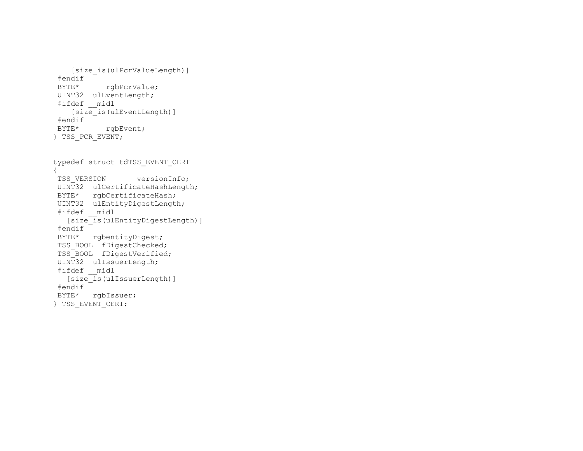```
 [size_is(ulPcrValueLength)] 
  #endif 
 BYTE* rgbPcrValue;
  UINT32 ulEventLength; 
  #ifdef __midl 
    [size_is(ulEventLength)]
  #endif 
 BYTE* rgbEvent;
} TSS_PCR_EVENT; 
typedef struct tdTSS_EVENT_CERT 
{ 
TSS VERSION versionInfo;
 UINT32 ulCertificateHashLength; 
 BYTE* rgbCertificateHash; 
 UINT32 ulEntityDigestLength; 
  #ifdef __midl 
  [size_is(ulEntityDigestLength)] 
  #endif 
 BYTE* rgbentityDigest; 
TSS BOOL fDigestChecked;
 TSS_BOOL fDigestVerified; 
  UINT32 ulIssuerLength; 
 #ifdef __midl 
   [size_is(ulIssuerLength)]
  #endif 
 BYTE* rgbIssuer; 
} TSS_EVENT_CERT;
```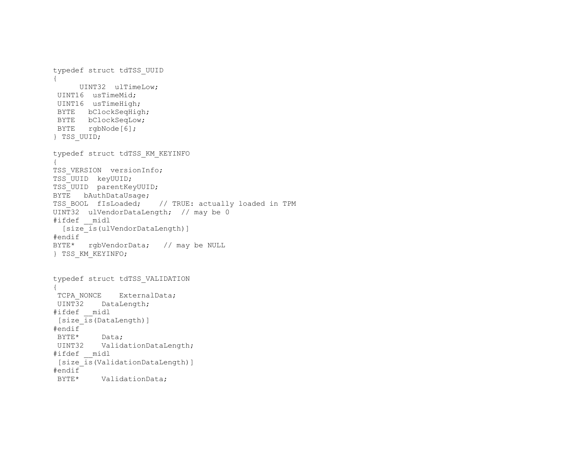```
typedef struct tdTSS_UUID 
{ 
     UINT32 ulTimeLow; 
  UINT16 usTimeMid; 
  UINT16 usTimeHigh; 
 BYTE bClockSeqHigh; 
 BYTE bClockSeqLow; 
BYTE rgbNode[6];
} TSS_UUID; 
typedef struct tdTSS_KM_KEYINFO 
{ 
TSS VERSION versionInfo;
TSS_UUID keyUUID; 
TSS UUID parentKeyUUID;
BYTE bAuthDataUsage;
TSS BOOL fIsLoaded; // TRUE: actually loaded in TPM
UINT32 ulVendorDataLength; // may be 0 
#ifdef __midl 
 [size_is(ulVendorDataLength)]
#endif 
BYTE* rgbVendorData; // may be NULL 
} TSS_KM_KEYINFO; 
typedef struct tdTSS_VALIDATION 
{ 
TCPA NONCE ExternalData;
 UINT32 DataLength;
#ifdef __midl 
[size is(DataLength)]
#endif 
 BYTE* Data; 
 UINT32 ValidationDataLength; 
#ifdef __midl 
 [size_is(ValidationDataLength)] 
#endif 
  BYTE* ValidationData;
```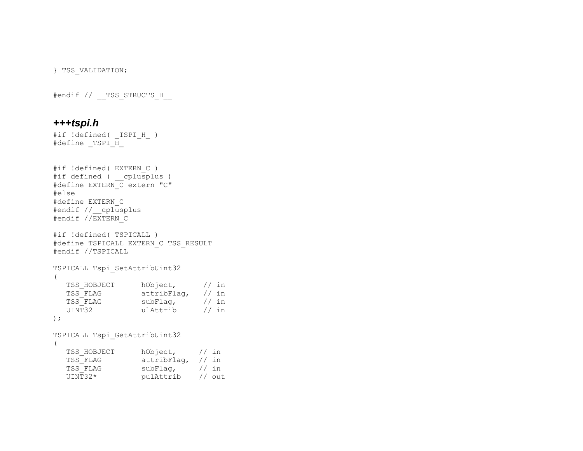} TSS\_VALIDATION;

#endif // \_\_TSS\_STRUCTS\_H\_\_

### *+++tspi.h*

```
#if !defined( TSPI H )
#define TSPI H
#if !defined( EXTERN_C ) 
#if defined ( __cplusplus ) 
#define EXTERN_C extern "C" 
#else 
#define EXTERN_C 
#endif //__cplusplus 
#endif //EXTERN_C 
#if !defined( TSPICALL ) 
#define TSPICALL EXTERN_C TSS_RESULT 
#endif //TSPICALL 
TSPICALL Tspi_SetAttribUint32 
\left( TSS_HOBJECT hObject, // in 
 TSS_FLAG attribFlag, // in 
TSS_FLAG subFlag, // in
 UINT32 ulAttrib // in 
); 
TSPICALL Tspi_GetAttribUint32 
( 
  TSS HOBJECT hObject, // in
 TSS_FLAG attribFlag, // in 
 TSS_FLAG subFlag, // in
```
UINT32\* pulAttrib // out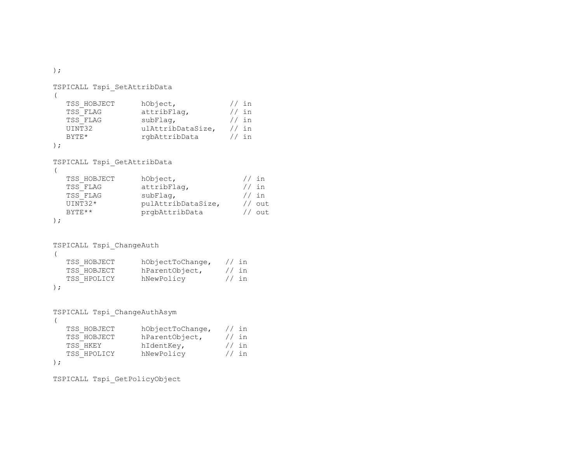```
TSPICALL Tspi_SetAttribData 
\left( TSS_HOBJECT hObject, // in 
TSS_FLAG attribFlag, \frac{1}{10} attribFlag,
TSS FLAG subFlag, \frac{1}{10} in
 UINT32 ulAttribDataSize, // in 
  BYTE* rgbAttribData // in
); 
TSPICALL Tspi_GetAttribData 
( 
  TSS_HOBJECT hObject, \frac{1}{10} hObject, \frac{1}{10} in
TSS_FLAG attribFlag, \frac{1}{10} in
TSS FLAG subFlag, \frac{1}{10} in
 UINT32* pulAttribDataSize, // out 
  BYTE** PrgbAttribData // out
); 
TSPICALL Tspi_ChangeAuth 
\left(TSS HOBJECT hObjectToChange, // in
   TSS_HOBJECT hParentObject, // in 
  TSS HPOLICY hNewPolicy // in
); 
TSPICALL Tspi_ChangeAuthAsym 
\left(TSS_HOBJECT hObjectToChange, // in<br>TSS_HOBJECT hParentObject, // in
  TSS_HOBJECT hParentObject, // in<br>TSS_HKEY hIdentKey, // in
  TSS_HKEY hIdentKey, //in<br>TSS_HPOLICY hNewPolicy //in
```
hNewPolicy // in

```
);
```
TSPICALL Tspi\_GetPolicyObject

);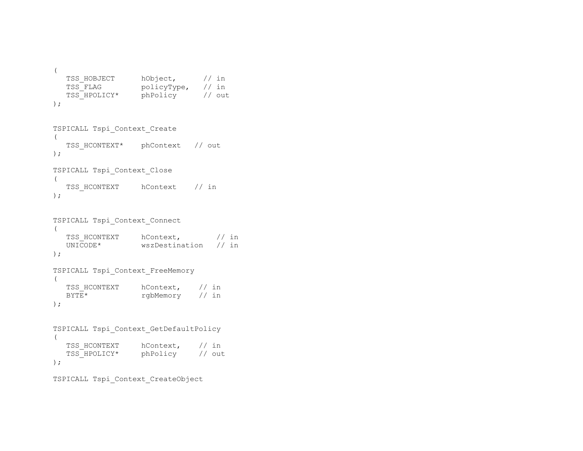```
( 
  TSS HOBJECT hObject, // in
 TSS_FLAG policyType, // in 
 TSS_HPOLICY* phPolicy // out 
);
```

```
TSPICALL Tspi_Context_Create 
\left(TSS HCONTEXT* phContext // out
); 
TSPICALL Tspi_Context_Close 
\left( TSS_HCONTEXT hContext // in
```

```
);
```

```
TSPICALL Tspi_Context_Connect 
\left(TSS_HCONTEXT hContext, \frac{1}{1} h \frac{1}{1} 1 m = wszpestination // in
                wszDestination // in
); 
TSPICALL Tspi_Context_FreeMemory 
\left(TSS_HCONTEXT hContext, // in<br>BYTE* rabMemory // in
                        rgbMemory // in
);
```

```
TSPICALL Tspi_Context_GetDefaultPolicy 
( 
  TSS HCONTEXT hContext, // in
   TSS_HPOLICY* phPolicy // out 
);
```

```
TSPICALL Tspi_Context_CreateObject
```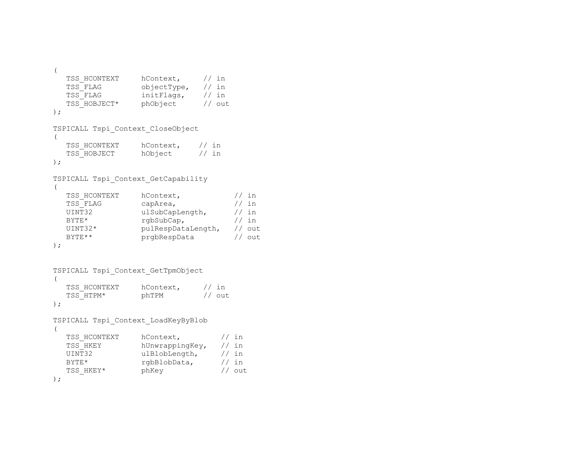```
( 
  TSS_HCONTEXT hContext, // in<br>TSS_FLAG objectType, // in
  TSS_FLAG objectType, // in<br>TSS_FLAG initFlags, // in
                 initFlags,
  TSS HOBJECT* phObject // out
); 
TSPICALL Tspi_Context_CloseObject 
( 
  TSS HCONTEXT hContext, // in
  TSS HOBJECT hObject // in
); 
TSPICALL Tspi_Context_GetCapability 
( 
  TSS HCONTEXT hContext, // inTSS FLAG capArea, // in UINT32 ulSubCapLength, // in 
  BYTE* rgbSubCap, 1/ sin UINT32* pulRespDataLength, // out 
  BYTE** prgbRespData // out
); 
TSPICALL Tspi_Context_GetTpmObject 
\left(TSS HCONTEXT hContext, // in
  TSS HTPM* phTPM // out
); 
TSPICALL Tspi_Context_LoadKeyByBlob 
( 
  TSS HCONTEXT hContext, // in TSS_HKEY hUnwrappingKey, // in 
  UINT32 ulBlobLength, // in
  BYTE* rgbBlobData, // in
  TSS HKEY* phKey \frac{1}{2} phKey \frac{1}{2} out
```
);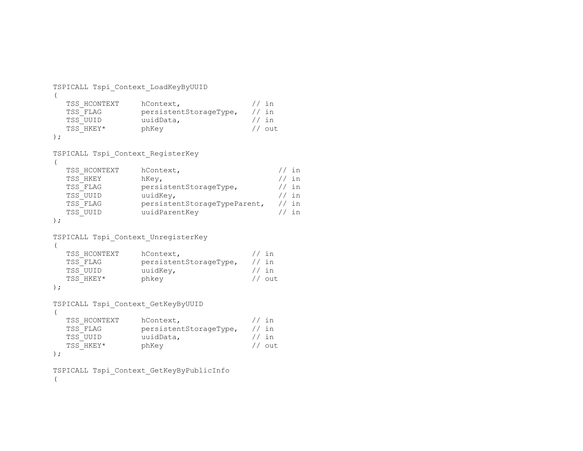```
TSPICALL Tspi_Context_LoadKeyByUUID 
\left(TSS HCONTEXT hContext, // inTSS_FLAG persistentStorageType, // in<br>TSS_UUID uuidData, // in
   TSS UUID uuidData,
   TSS HKEY* phKey \frac{1}{2} phKey \frac{1}{2} out
); 
TSPICALL Tspi_Context_RegisterKey 
\left(TSS HCONTEXT hContext, \frac{1}{1} has help has help has help has help has help has help has help has help has help has help has help has help has help has help has help has help has help has help has help has help has help 
   TSS HKEY hKey, \frac{1}{10} hKey,
   TSS_FLAG persistentStorageType, // inTSS_FLAG persistentStorageType, //in<br>TSS_UUID uuidKey, //in
    TSS_FLAG persistentStorageTypeParent, // in 
   TSS UUID uuidParentKey // in
); 
TSPICALL Tspi_Context_UnregisterKey 
\left(TSS HCONTEXT hContext, // in TSS_FLAG persistentStorageType, // in 
   TSS UUID uuidKey, \frac{1}{1} in
   TSS_HKEY* phkey \left/ \right/ out
);
TSPICALL Tspi_Context_GetKeyByUUID 
\left(TSS_HCONTEXT hContext, \frac{1}{1} hContext, \frac{1}{1} h TSS FLAG persistentStorageType, \frac{1}{1} in
                     persistentStorageType, // in
   TSS UUID uuidData, \frac{1}{1} in
   TSS HKEY* phKey \frac{1}{2} phKey \frac{1}{2} out
); 
TSPICALL Tspi_Context_GetKeyByPublicInfo 
\left(
```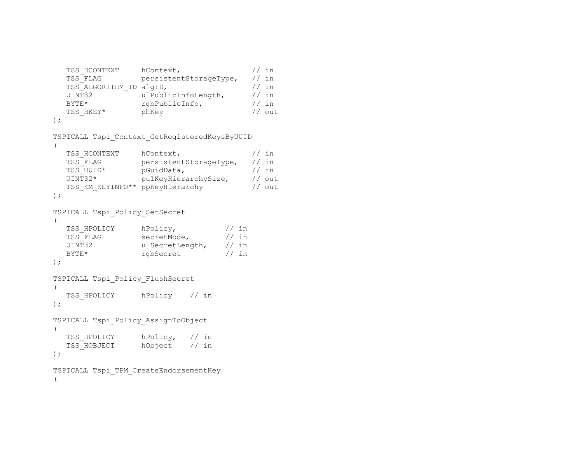```
TSS HCONTEXT hContext, // inTSS_FLAG persistentStorageType, // in<br>TSS_ALGORITHM_ID_algID, // in
  TSS_ALGORITHM_ID algID, \frac{1}{10} // in UINT32 ulPublicInfoLength, \frac{1}{10} // in
  UINT32 ulPublicInfoLength,
  BYTE* rgbPublicInfo, \frac{1}{1} in
  BYTE* rgbPublicInfo, // in<br>TSS_HKEY* phKey // out
);
TSPICALL Tspi_Context_GetRegisteredKeysByUUID 
\left(TSS HCONTEXT hContext, // in TSS_FLAG persistentStorageType, // in 
 TSS_UUID* pGuidData, // in 
 UINT32* pulKeyHierarchySize, // out 
  TSS KM KEYINFO** ppKeyHierarchy // out
); 
TSPICALL Tspi_Policy_SetSecret 
\left(
```

```
TSS HPOLICY hPolicy, // inTSS FLAG secretMode, \frac{1}{10} in
 UINT32 ulSecretLength, // in 
 BYTE* rgbSecret // in
);
```

```
TSPICALL Tspi_Policy_FlushSecret 
\left(TSS HPOLICY hPolicy // in
);
```

```
TSPICALL Tspi_Policy_AssignToObject 
( 
  TSS HPOLICY hPolicy, // in
  TSS HOBJECT hObject // in
);
```

```
TSPICALL Tspi_TPM_CreateEndorsementKey 
\left(
```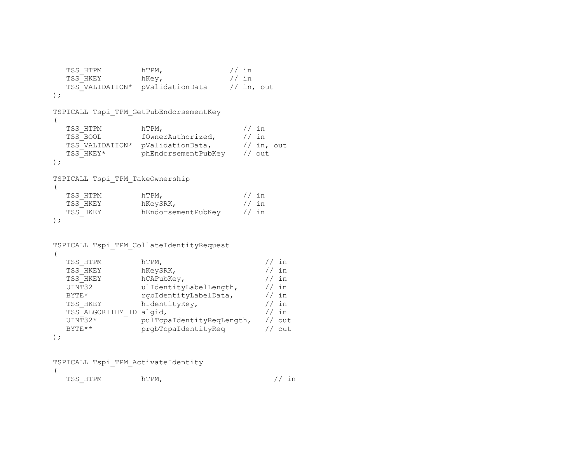```
TSS HTPM hTPM, // inTSS HKEY hKey, 1/1 in
   TSS_VALIDATION* pValidationData // in, out 
); 
TSPICALL Tspi_TPM_GetPubEndorsementKey 
\left(TSS HTPM hTPM, \frac{1}{10} hTPM,
  TSS BOOL fOwnerAuthorized, // in
  TSS VALIDATION* pValidationData, // in, out
  TSS_HKEY* phEndorsementPubKey // out
);
TSPICALL Tspi_TPM_TakeOwnership 
(TSS HTPM hTPM, \frac{1}{10} html
  TSS HKEY hKeySRK, \sqrt{} // in
  TSS HKEY hEndorsementPubKey // in
); 
TSPICALL Tspi_TPM_CollateIdentityRequest 
\left( TSS_HTPM hTPM, // in 
                hKeySRK,
  TSS_HKEY hCAPubKey, \frac{1}{1} // in UINT32 ulidentityLabelLength, // in
               ulIdentityLabelLength, // in
  BYTE* rgbIdentityLabelData, // in
  TSS HKEY hIdentityKey, \frac{1}{1} in
  TSS ALGORITHM ID algid, \frac{1}{10} // in
   UINT32* pulTcpaIdentityReqLength, // out 
  BYTE** prgbTcpaIdentityReq // out
);
```
TSPICALL Tspi\_TPM\_ActivateIdentity  $\left($ 

TSS HTPM hTPM,  $\frac{1}{10}$  hTPM,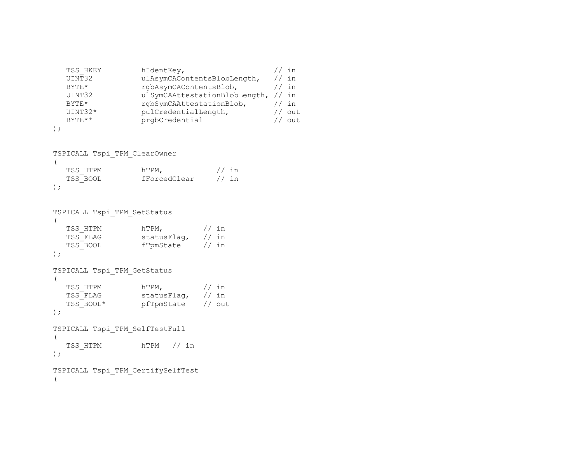| TSS HKEY  | hIdentKey,                    | in     |
|-----------|-------------------------------|--------|
| UINT32    | ulAsymCAContentsBlobLength,   | in     |
| $BYTF.*$  | rgbAsymCAContentsBlob,        | in     |
| UINT32    | ulSymCAAttestationBlobLength, | in     |
| $BYTF.*$  | rgbSymCAAttestationBlob,      | in     |
| $UINT32*$ | pulCredentialLength,          | out.   |
| $BYTR**$  | prgbCredential                | $011+$ |
|           |                               |        |

```
);
```

```
TSPICALL Tspi_TPM_ClearOwner 
(TSS_HTPM hTPM, \frac{1}{10} http://in
 TSS_BOOL fForcedClear // in 
);
```

```
TSPICALL Tspi_TPM_SetStatus 
(TSS HTPM hTPM, \frac{1}{10} hTPM,
TSS FLAG statusFlag, // in
TSS BOOL fTpmState // in
);
TSPICALL Tspi_TPM_GetStatus 
(TSS HTPM hTPM, \frac{1}{10} html
TSS_FLAG statusFlag, // in
 TSS_BOOL* pfTpmState // out 
);
TSPICALL Tspi_TPM_SelfTestFull 
\left(
```

```
 TSS_HTPM hTPM // in 
);
```

```
TSPICALL Tspi_TPM_CertifySelfTest 
\left(
```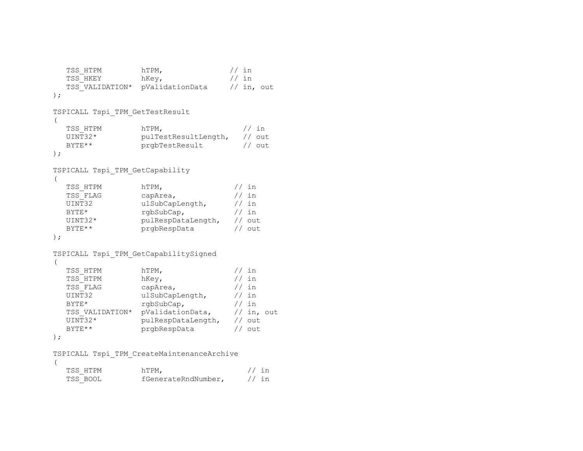```
TSS_HTPM hTPM, \frac{1}{10} http://in
  TSS_HKEY hKey, \frac{1}{10} hKey, \frac{1}{10} in TSS_VALIDATION* pValidationData // in, out
  TSS_VALIDATION* pValidationData
); 
TSPICALL Tspi_TPM_GetTestResult 
\left(TSS HTPM hTPM, \frac{1}{10} hTPM,
   UINT32* pulTestResultLength, // out 
  BYTE** prgbTestResult // out
); 
TSPICALL Tspi_TPM_GetCapability 
( 
  TSS_HTPM hTPM, \frac{1}{10} hTPM, \frac{1}{10} hTSS FLAG capArea, \frac{1}{10} in
  TSS_FLAG capArea, / in<br>UINT32 ulSubCapLength, / in
  UINT32 ulSubCapLength,
  BYTE* rgbSubCap, // in
   UINT32* pulRespDataLength, // out 
  BYTE** prgbRespData // out
); 
TSPICALL Tspi_TPM_GetCapabilitySigned 
( 
  TSS HTPM hTPM, \frac{1}{10} htpm,
  TSS HTPM hKey, // inTSS FLAG capArea, \sqrt{7} in
  UINT32 ulSubCapLength, // in
  BYTE* rgbSubCap, 1/ in
  TSS VALIDATION* pValidationData, // in, out
   UINT32* pulRespDataLength, // out 
  BYTE** prgbRespData // out
); 
TSPICALL Tspi_TPM_CreateMaintenanceArchive 
( 
  TSS_HTPM hTPM, \frac{1}{10} hTPM, \frac{1}{10} fGenerateRndNumber, \frac{1}{10} in
                  fGenerateRndNumber, // in
```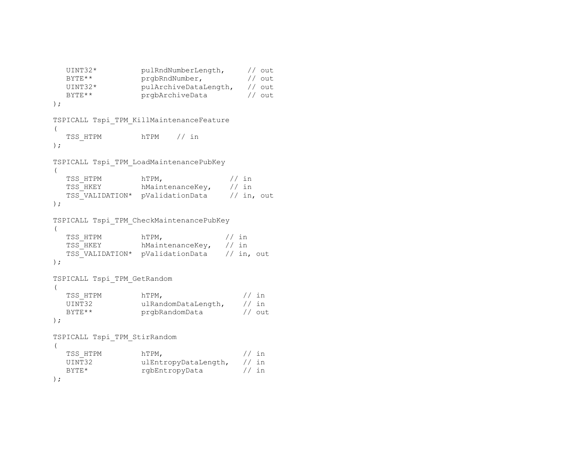```
 UINT32* pulRndNumberLength, // out 
  BYTE** prgbRndNumber, // out
   UINT32* pulArchiveDataLength, // out 
  BYTE** prgbArchiveData // out
); 
TSPICALL Tspi_TPM_KillMaintenanceFeature 
(TSS HTPM hTPM // in
); 
TSPICALL Tspi_TPM_LoadMaintenancePubKey 
( 
  TSS HTPM hTPM, \frac{1}{10} hTPM, \frac{1}{10} in
  TSS HKEY hMaintenanceKey, // in
  TSS VALIDATION* pValidationData // in, out
); 
TSPICALL Tspi_TPM_CheckMaintenancePubKey 
\left(TSS_HTPM hTPM, \frac{1}{10} hTPM, \frac{1}{10} fSS_HKEY hMaintenanceKey, // in
                  hMaintenanceKey, // in<br>pValidationData // in, out
  TSS_VALIDATION* pValidationData
); 
TSPICALL Tspi_TPM_GetRandom 
\left(TSS_HTPM hTPM, / in UINT32 ulRandomDataLength, / in
  UINT32 ulRandomDataLength,
  BYTE** prgbRandomData // out
); 
TSPICALL Tspi_TPM_StirRandom 
\left(TSS HTPM hTPM, \frac{1}{10} hTPM,
   UINT32 ulEntropyDataLength, // in 
  BYTE* rgbEntropyData // in
);
```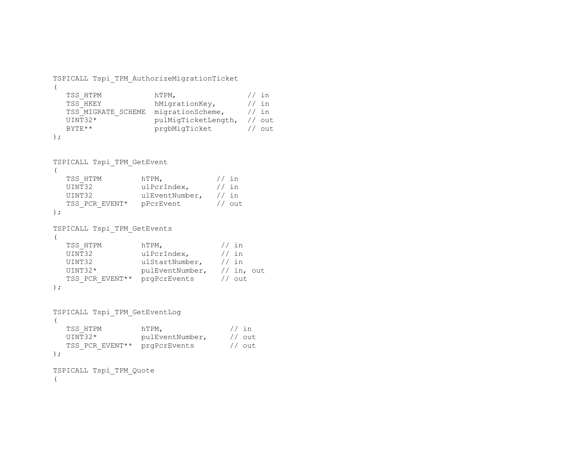```
TSPICALL Tspi_TPM_AuthorizeMigrationTicket 
\left(TSS_HTPM hTPM, \frac{1}{10} hTPM, \frac{1}{10} hTSS HKEY hMigrationKey, \frac{1}{10} in
  TSS HKEY hMigrationKey,
   TSS_MIGRATE_SCHEME migrationScheme, // in 
                     pulMigTicketLength, // out
  BYTE** prgbMigTicket // out
); 
TSPICALL Tspi_TPM_GetEvent 
( 
  TSS HTPM hTPM, \frac{1}{10} htpm, \frac{1}{10} in
  UINT32 ulPcrIndex, // in
   UINT32 ulEventNumber, // in 
  TSS PCR EVENT* pPcrEvent // out
); 
TSPICALL Tspi_TPM_GetEvents 
\left(TSS_HTPM hTPM, // in<br>UINT32 ulPcrIndex, // in
                  ulPcrIndex,
  UINT32 ulStartNumber, // in
   UINT32* pulEventNumber, // in, out 
  TSS_PCR_EVENT** prgPcrEvents // out
); 
TSPICALL Tspi_TPM_GetEventLog 
\left(TSS HTPM hTPM, // in UINT32* pulEventNumber, // out 
  TSS PCR EVENT** prgPcrEvents // out
); 
TSPICALL Tspi_TPM_Quote 
\left(
```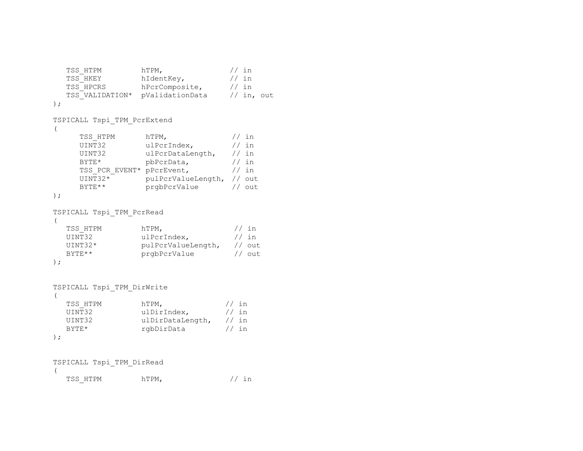```
TSS_HTPM hTPM, / in TSS HKEY hIdentKey, / in
  TSS_HKEY hIdentKey, //in<br>TSS_HPCRS hPcrComposite, //in
                  hPcrComposite, // in<br>pValidationData // in, out
  TSS_VALIDATION* pValidationData
); 
TSPICALL Tspi_TPM_PcrExtend 
\left(TSS HTPM hTPM, // inUINT32 ulPcrIndex, // in
     UINT32 ulPcrDataLength, // in 
     BYTE* pbPcrData, // in
     TSS_PCR_EVENT* pPcrEvent, // in<br>UINT32* pulPcrValueLength, // ou
                   pulPcrValueLength, // out
     BYTE** prgbPcrValue // out
); 
TSPICALL Tspi_TPM_PcrRead 
\left(TSS_HTPM hTPM, / in UINT32 ulpcrindex. / in
                  ulPcrIndex,
   UINT32* pulPcrValueLength, // out 
  BYTE** prgbPcrValue // out
); 
TSPICALL Tspi_TPM_DirWrite 
\left(TSS_HTPM hTPM, / in UINT32 ulDirIndex, / in
                  ulDirIndex,
  UINT32 ulDirDataLength, // in
  BYTE* rgbDirData // in
); 
TSPICALL Tspi_TPM_DirRead 
\left(
```

```
TSS HTPM hTPM, \frac{1}{hT} in
```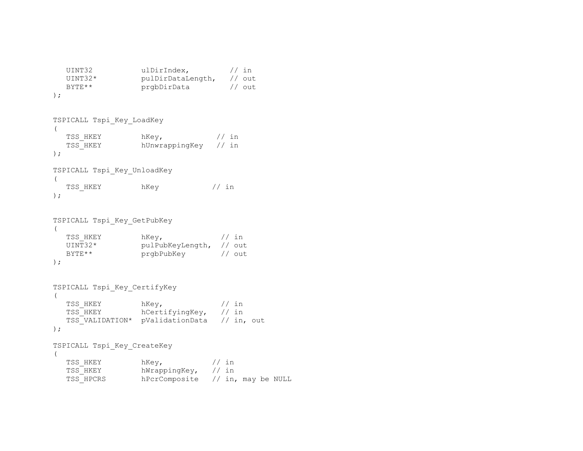```
UINT32 ulDirIndex, // in
 UINT32* pulDirDataLength, // out 
BYTE** prgbDirData // out
);
```

```
TSPICALL Tspi_Key_LoadKey 
(TSS HKEY hKey, \frac{1}{10} hKey, \frac{1}{10} in
   TSS_HKEY hUnwrappingKey // in 
); 
TSPICALL Tspi_Key_UnloadKey 
(TSS HKEY hKey \frac{1}{10} hKey
);
```

```
TSPICALL Tspi_Key_GetPubKey 
(TSS HKEY hKey, \frac{1}{10} hKey,
 UINT32* pulPubKeyLength, // out 
 BYTE** prgbPubKey // out
);
```

```
TSPICALL Tspi_Key_CertifyKey 
( TSS_HKEY hKey, // in 
 TSS_HKEY hCertifyingKey, // in 
       TSS_VALIDATION* pValidationData // in, out 
); 
TSPICALL Tspi_Key_CreateKey 
(\frac{1}{\sqrt{1-\frac{1}{\sqrt{1-\frac{1}{\sqrt{1-\frac{1}{\sqrt{1-\frac{1}{\sqrt{1-\frac{1}{\sqrt{1-\frac{1}{\sqrt{1-\frac{1}{\sqrt{1-\frac{1}{\sqrt{1-\frac{1}{\sqrt{1-\frac{1}{\sqrt{1-\frac{1}{\sqrt{1-\frac{1}{\sqrt{1-\frac{1}{\sqrt{1-\frac{1}{\sqrt{1-\frac{1}{\sqrt{1-\frac{1}{\sqrt{1-\frac{1}{\sqrt{1-\frac{1}{\sqrt{1-\frac{1}{\sqrt{1-\frac{1}{\sqrt{1-\frac{1}{\sqrt{1-\frac{1}{\sqrt{1-\frac{1}{\sqrt{1-\frac{1
```

| TSS HKEY  | nkev,               | 77 in                              |
|-----------|---------------------|------------------------------------|
| TSS HKEY  | hWrappingKey, // in |                                    |
| TSS HPCRS |                     | hPcrComposite $//$ in, may be NULL |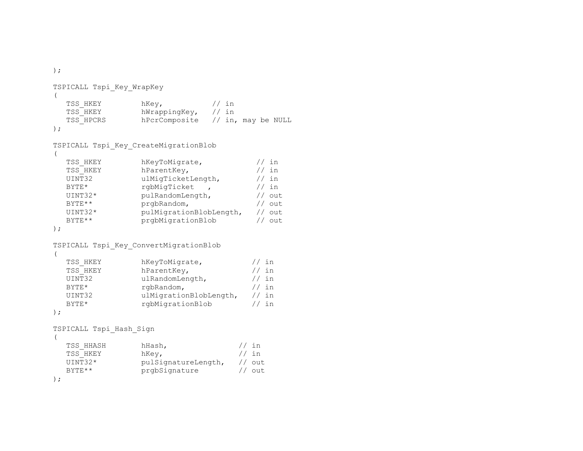TSPICALL Tspi\_Key\_WrapKey  $\left($ TSS\_HKEY hKey,  $\frac{1}{10}$  hKey,  $\frac{1}{10}$  in TSS HKEY hWrappingKey, // in TSS HPCRS hPcrComposite // in, may be NULL ); TSPICALL Tspi\_Key\_CreateMigrationBlob  $\left($ TSS\_HKEY hKeyToMigrate,  $\frac{1}{1}$  // in TSS HKEY hParentKey,  $\frac{1}{1}$  // in TSS\_HKEY hParentKey,  $\frac{1}{10}$  // in UINT32 ulMigTicketLength,  $\frac{1}{10}$  // in ulMigTicketLength,  $// in$ BYTE\* rgbMigTicket ,  $\frac{1}{1}$  // in UINT32\* pulRandomLength, // out BYTE\*\* prgbRandom,  $//$  out UINT32\* pulMigrationBlobLength, // out BYTE\*\* prgbMigrationBlob // out ); TSPICALL Tspi\_Key\_ConvertMigrationBlob  $\left($ TSS\_HKEY hKeyToMigrate,  $\frac{1}{1}$  hKeyToMigrate,  $\frac{1}{1}$  in hParentKey, UINT32 ulRandomLength, // in BYTE\* rgbRandom,  $// in$  UINT32 ulMigrationBlobLength, // in BYTE\* rgbMigrationBlob // in ); TSPICALL Tspi\_Hash\_Sign  $\left($ TSS HHASH hHash,  $\frac{1}{1}$  hHash,  $\frac{1}{1}$  in TSS\_HKEY hKey, <br>UINT32\* pulSignatureLength, // out  $UINT32*$  pulSignatureLength, BYTE\*\* prgbSignature // out );

);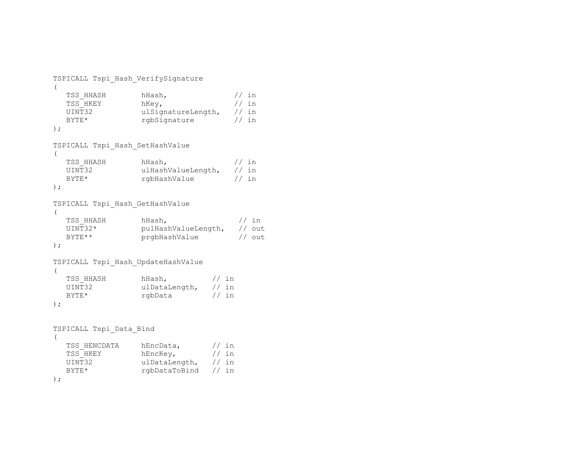```
TSPICALL Tspi_Hash_VerifySignature 
\left(TSS_HHASH hHash, \frac{1}{1} hHash, \frac{1}{1} in
  TSS_HKEY hKey,<br>UINT32 ulSiqr
                   ulSignatureLength, // in
   BYTE* rgbSignature // in
); 
TSPICALL Tspi_Hash_SetHashValue 
\left(TSS_HHASH hHash, \frac{1}{10} hHash, \frac{1}{10} in UINT32
                   ulHashValueLength, // in
   BYTE* rgbHashValue // in
); 
TSPICALL Tspi_Hash_GetHashValue 
\left(TSS_HHASH hHash, hHash, //in<br>UINT32* pulHashValueLength, //out
                   pulHashValueLength, // out
   BYTE** prgbHashValue // out
); 
TSPICALL Tspi_Hash_UpdateHashValue 
\left(TSS HHASH hHash, \frac{1}{1} hHash, \frac{1}{1} in
   UINT32 ulDataLength, // in
   BYTE* rgbData // in
); 
TSPICALL Tspi_Data_Bind 
\left(TSS_HENCDATA hEncData, \frac{1}{1} henckey, \frac{1}{1} in
                    hEncKey,
    UINT32 ulDataLength, // in 
   BYTE* rgbDataToBind // in
);
```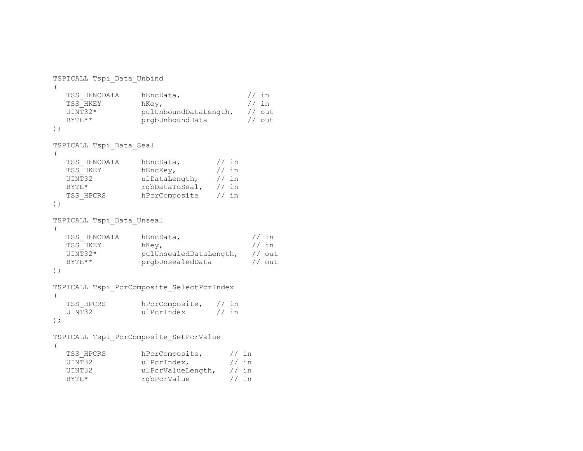```
TSPICALL Tspi_Data_Unbind 
\left(TSS HENCDATA hEncData, // inTSS HKEY hKey, \frac{1}{1} hKey,
   UINT32* pulUnboundDataLength, // out 
  BYTE** prgbUnboundData // out
); 
TSPICALL Tspi_Data_Seal 
\left(TSS HENCDATA hEncData, // inTSS HKEY hEncKey, \frac{1}{1} in
   UINT32 ulDataLength, // in 
  BYTE* rgbDataToSeal, // in
  TSS HPCRS hPcrComposite // in
);
TSPICALL Tspi_Data_Unseal 
( 
  TSS_HENCDATA hEncData, \frac{1}{1} hench \frac{1}{1} in TSS_HKEY hKev. \frac{1}{1} in
  TSS HKEY hKey,
   UINT32* pulUnsealedDataLength, // out 
  BYTE** prgbUnsealedData // out
); 
TSPICALL Tspi_PcrComposite_SelectPcrIndex 
\left(TSS_HPCRS hPcrComposite, // in<br>UINT32 ulPcrIndex // in
                 ulPcrIndex
); 
TSPICALL Tspi_PcrComposite_SetPcrValue 
\left(TSS HPCRS hPcrComposite, // in
  UINT32 ulPcrIndex, // in
   UINT32 ulPcrValueLength, // in 
  BYTE* rgbPcrValue // in
```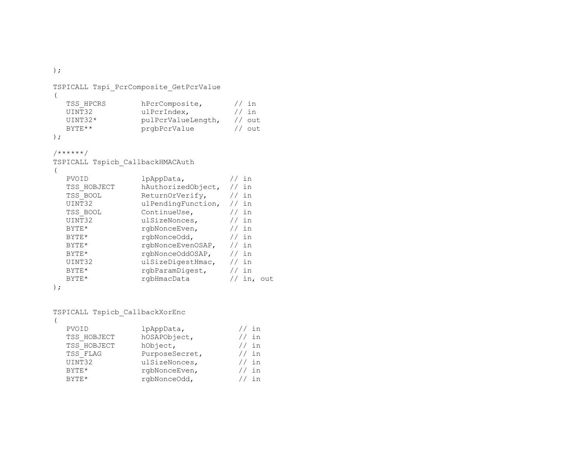);

```
TSPICALL Tspi_PcrComposite_GetPcrValue 
( 
   TSS_HPCRS hPcrComposite, // in<br>UINT32 ulPcrIndex, // in
                       ulPcrIndex,
   UINT32* pulPcrValueLength, // out<br>BYTE** prgbPcrValue // out
                       prgbPcrValue
);
```

```
/******/
```
TSPICALL Tspicb\_CallbackHMACAuth

(

| PVOID       | lpAppData,         | in      |     |
|-------------|--------------------|---------|-----|
| TSS HOBJECT | hAuthorizedObject, | // in   |     |
| TSS BOOL    | ReturnOrVerify,    | // in   |     |
| UINT32      | ulPendingFunction, | // in   |     |
| TSS BOOL    | ContinueUse,       | in      |     |
| UINT32      | ulSizeNonces,      | // in   |     |
| BYTE*       | rqbNonceEven,      | $//$ in |     |
| BYTE*       | rqbNonceOdd,       | // in   |     |
| BYTE*       | rqbNonceEvenOSAP,  | // in   |     |
| BYTE*       | rqbNonceOddOSAP,   | // in   |     |
| UINT32      | ulSizeDigestHmac,  | in      |     |
| BYTE*       | rgbParamDigest,    | in      |     |
| $BYTE*$     | rgbHmacData        |         | out |
|             |                    |         |     |

```
);
```
TSPICALL Tspicb\_CallbackXorEnc

(

| PVOID       | lpAppData,     | $/$ in |
|-------------|----------------|--------|
| TSS HOBJECT | hOSAPObject,   | // in  |
| TSS HOBJECT | hObject,       | // in  |
| TSS FLAG    | PurposeSecret, | // in  |
| UINT32      | ulSizeNonces,  | // in  |
| BYTE*       | rgbNonceEven,  | // in  |
| RYTE*       | rgbNonceOdd,   | in     |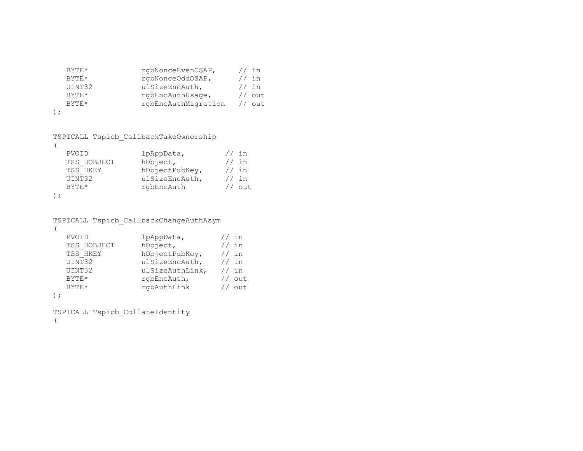| BYTF     | rqbNonceEvenOSAP,   | $/$ in  |
|----------|---------------------|---------|
| $BYTF.*$ | rgbNonceOddOSAP,    | $//$ in |
| UINT32   | ulSizeEncAuth,      | $//$ in |
| $BYTF.*$ | rgbEncAuthUsage,    | out.    |
| $BYTF.*$ | rgbEncAuthMigration | out     |
|          |                     |         |

```
TSPICALL Tspicb_CallbackTakeOwnership
```
 $)$ 

```
\left(PVOID lpAppData, // in
 TSS HOBJECT hObject, // in TSS_HKEY hObjectPubKey, // in 
 UINT32 ulSizeEncAuth, // in
  BYTE* rgbEncAuth // out
);
```

```
TSPICALL Tspicb_CallbackChangeAuthAsym
```

```
\left(PVOID 1 pAppData, \frac{1}{10} 15S HOBJECT hObject, \frac{1}{10} hobject, \frac{1}{10} hobject,
   TSS_HOBJECT hObject, // in<br>TSS_HKEY hObjectPubKey, // in
                     hObjectPubKey,
   UINT32 ulSizeEncAuth, // in
    UINT32 ulSizeAuthLink, // in 
   BYTE* rgbEncAuth, // out
   BYTE* rgbAuthLink // out
);
```

```
TSPICALL Tspicb_CollateIdentity 
(
```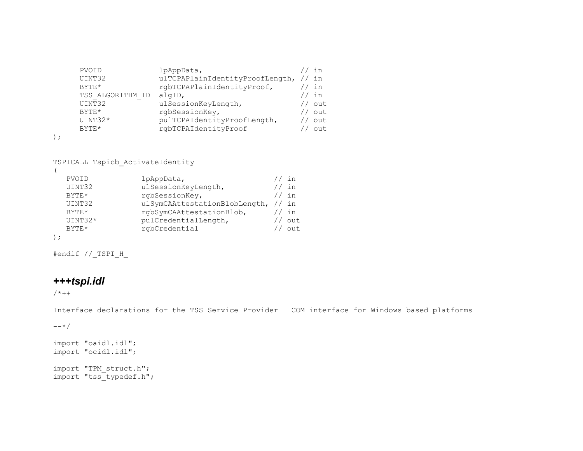| PVOID            | lpAppData,                      | in     |
|------------------|---------------------------------|--------|
| UINT32           | ulTCPAPlainIdentityProofLength, | in     |
| $BYTF.*$         | rgbTCPAPlainIdentityProof,      | in     |
| TSS ALGORITHM ID | algID,                          | in     |
| UINT32           | ulSessionKeyLength,             | out.   |
| BYTF             | rgbSessionKey,                  | out.   |
| UINT32*          | pulTCPAIdentityProofLength,     | out.   |
| BYTF             | rgbTCPAIdentityProof            | $011+$ |
|                  |                                 |        |

```
);
```
TSPICALL Tspicb\_ActivateIdentity

| PVOID        | lpAppData,                    | in     |
|--------------|-------------------------------|--------|
| UINT32       | ulSessionKeyLength,           | in     |
| $BYTF.*$     | rgbSessionKey,                | in     |
| UINT32       | ulSymCAAttestationBlobLength, | // in  |
| <b>BYTE*</b> | rgbSymCAAttestationBlob,      | in     |
| $UINT32*$    | pulCredentialLength,          | out.   |
| <b>BYTE*</b> | rgbCredential                 | $011+$ |
|              |                               |        |

#endif //\_TSPI\_H\_

# *+++tspi.idl*

 $/$ \*++

Interface declarations for the TSS Service Provider – COM interface for Windows based platforms

 $--*/$ 

import "oaidl.idl"; import "ocidl.idl"; import "TPM\_struct.h"; import "tss\_typedef.h";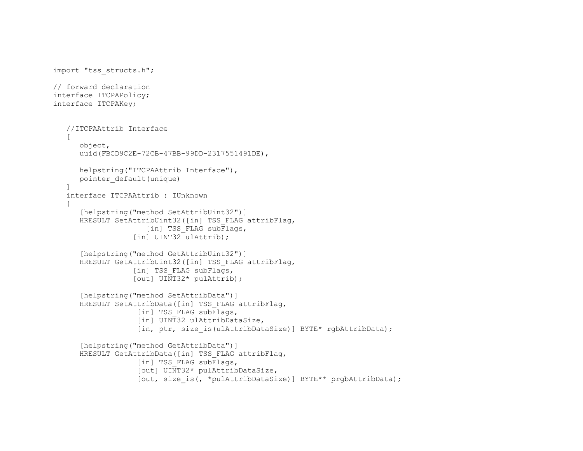```
import "tss_structs.h"; 
// forward declaration 
interface ITCPAPolicy; 
interface ITCPAKey; 
    //ITCPAAttrib Interface 
   \sqrt{ } object, 
       uuid(FBCD9C2E-72CB-47BB-99DD-2317551491DE), 
       helpstring("ITCPAAttrib Interface"), 
       pointer_default(unique) 
    ] 
    interface ITCPAAttrib : IUnknown  { 
       [helpstring("method SetAttribUint32")] 
      HRESULT SetAttribUint32([in] TSS FLAG attribFlag,
                      [in] TSS FLAG subFlags,
                   \lceilin] UINT32\bar{\text{u}}lattrib);
       [helpstring("method GetAttribUint32")] 
       HRESULT GetAttribUint32([in] TSS_FLAG attribFlag, 
                   [in] TSS FLAG subFlags,
                    [out] UINT32* pulAttrib); 
      [helpstring("method SetAttribData")]
       HRESULT SetAttribData([in] TSS_FLAG attribFlag, 
                    [in] TSS FLAG subFlags,
                    [in] UINT32 ulAttribDataSize,
                    [in, ptr, size is(ulAttribDataSize)] BYTE* rgbAttribData);
       [helpstring("method GetAttribData")] 
       HRESULT GetAttribData([in] TSS_FLAG attribFlag, 
                    [in] TSS FLAG subFlags,
                     [out] UINT32* pulAttribDataSize, 
                    [out, size is(, *pulAttribDataSize)] BYTE** prgbAttribData);
```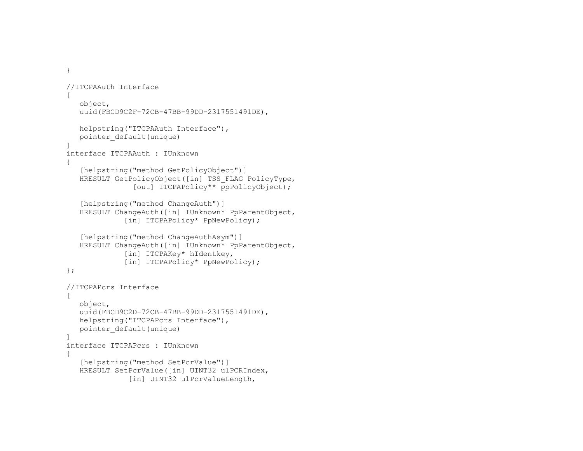```
 } 
   //ITCPAAuth Interface 
   \sqrt{2} object, 
       uuid(FBCD9C2F-72CB-47BB-99DD-2317551491DE), 
       helpstring("ITCPAAuth Interface"), 
      pointer_default(unique) 
   ] 
   interface ITCPAAuth : IUnknown  { 
       [helpstring("method GetPolicyObject")] 
      HRESULT GetPolicyObject([in] TSS_FLAG PolicyType, 
                   [out] ITCPAPolicy** ppPolicyObject);
      [helpstring("method ChangeAuth")]
       HRESULT ChangeAuth([in] IUnknown* PpParentObject, 
                 [in] ITCPAPolicy* PpNewPolicy);
       [helpstring("method ChangeAuthAsym")] 
       HRESULT ChangeAuth([in] IUnknown* PpParentObject, 
                 [in] ITCPAKey* hIdentkey,
                [in] ITCPAPolicy* PpNewPolicy);
   }; 
   //ITCPAPcrs Interface 
   \sqrt{2} object, 
       uuid(FBCD9C2D-72CB-47BB-99DD-2317551491DE), 
      helpstring("ITCPAPcrs Interface"), 
      pointer_default(unique) 
    ] 
 interface ITCPAPcrs : IUnknown 
    { 
       [helpstring("method SetPcrValue")] 
       HRESULT SetPcrValue([in] UINT32 ulPCRIndex, 
                  [in] UINT32 ulPcrValueLength,
```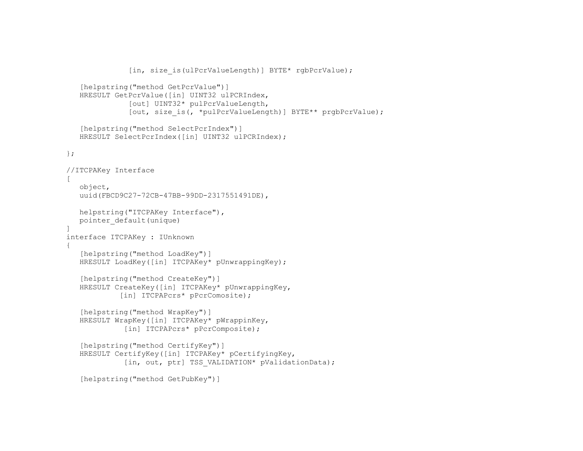```
[in, size is(ulPcrValueLength)] BYTE* rgbPcrValue);
   [helpstring("method GetPcrValue")]
    HRESULT GetPcrValue([in] UINT32 ulPCRIndex, 
                [out] UINT32* pulPcrValueLength, 
               [out, size is(, *pulPcrValueLength)] BYTE** prgbPcrValue);
   [helpstring("method SelectPcrIndex")]
   HRESULT SelectPcrIndex([in] UINT32 ulPCRIndex);
 }; 
 //ITCPAKey Interface 
\lceil object, 
    uuid(FBCD9C27-72CB-47BB-99DD-2317551491DE), 
    helpstring("ITCPAKey Interface"), 
    pointer_default(unique) 
 ] 
 interface ITCPAKey : IUnknown 
 { 
   [helpstring("method LoadKey")]
    HRESULT LoadKey([in] ITCPAKey* pUnwrappingKey); 
   [helpstring("method CreateKey")]
    HRESULT CreateKey([in] ITCPAKey* pUnwrappingKey, 
            [in] ITCPAPcrs* pPcrComosite);
    [helpstring("method WrapKey")] 
    HRESULT WrapKey([in] ITCPAKey* pWrappinKey, 
              [in] ITCPAPcrs* pPcrComposite);
    [helpstring("method CertifyKey")] 
    HRESULT CertifyKey([in] ITCPAKey* pCertifyingKey, 
              [in, out, ptr] TSS VALIDATION* pValidationData);
    [helpstring("method GetPubKey")]
```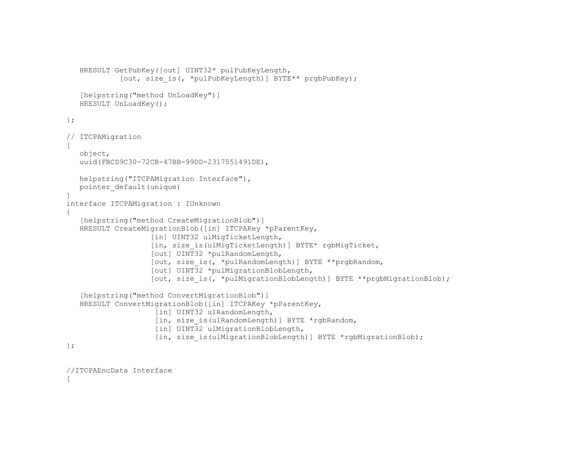```
 HRESULT GetPubKey([out] UINT32* pulPubKeyLength, 
               [out, size is(, *pulPubKeyLength)] BYTE** prgbPubKey);
      [helpstring("method UnLoadKey")]
      HRESULT UnLoadKey(); 
   }; 
   // ITCPAMigration 
  \sqrt{2} object, 
      uuid(FBCD9C30-72CB-47BB-99DD-2317551491DE), 
      helpstring("ITCPAMigration Interface"), 
      pointer_default(unique) 
\Box interface ITCPAMigration : IUnknown 
   { 
      [helpstring("method CreateMigrationBlob")]
     HRESULT CreateMigrationBlob([in] ITCPAKey *pParentKey,
                      [in] UINT32 ulMigTicketLength,
                       [in, size_is(ulMigTicketLength)] BYTE* rgbMigTicket, 
                       [out] UINT32 *pulRandomLength, 
                       [out, size_is(, *pulRandomLength)] BYTE **prgbRandom, 
                       [out] UINT32 *pulMigrationBlobLength, 
                      [out, size is(, *pulMigrationBlobLength)] BYTE **prgbMigrationBlob);
      [helpstring("method ConvertMigrationBlob")]
      HRESULT ConvertMigrationBlob([in] ITCPAKey *pParentKey, 
                       [in] UINT32 ulRandomLength,
                        [in, size is(ulRandomLength)] BYTE *rgbRandom,
                        [in] UINT32 ulMigrationBlobLength,
                        [in, size is(ulMigrationBlobLength)] BYTE *rgbMigrationBlob);
   };
```

```
 //ITCPAEncData Interface 
\blacksquare
```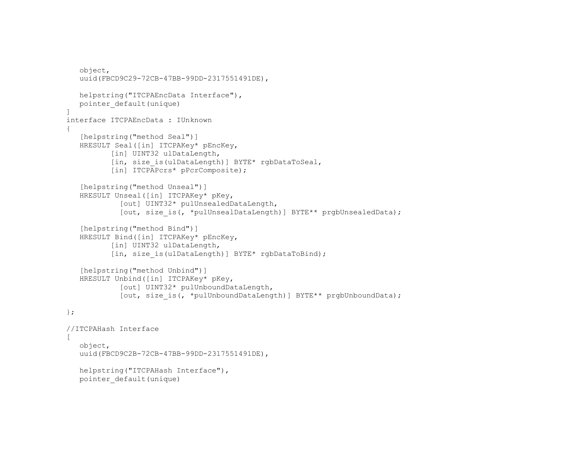```
 object, 
     uuid(FBCD9C29-72CB-47BB-99DD-2317551491DE),
      helpstring("ITCPAEncData Interface"), 
      pointer_default(unique) 
\blacksquare interface ITCPAEncData : IUnknown  { 
      [helpstring("method Seal")]
      HRESULT Seal([in] ITCPAKey* pEncKey, 
             [in] UINT32 ulDataLength,
             [in, size is(ulDataLength)] BYTE* rgbDataToSeal,
             [in] ITCPAPcrs* pPcrComposite);
       [helpstring("method Unseal")] 
      HRESULT Unseal([in] ITCPAKey* pKey, 
                [out] UINT32* pulUnsealedDataLength, 
               [out, size is(, *pulUnsealDataLength)] BYTE** prgbUnsealedData);
      [helpstring("method Bind")]
       HRESULT Bind([in] ITCPAKey* pEncKey, 
             [in] UINT32 ulDataLength,
             [in, size is(ulDataLength)] BYTE* rgbDataToBind);
       [helpstring("method Unbind")] 
      HRESULT Unbind([in] ITCPAKey* pKey, 
                [out] UINT32* pulUnboundDataLength, 
               [out, size is(, *pulUnboundDataLength)] BYTE** prgbUnboundData);
   }; 
   //ITCPAHash Interface 
  \Gamma object, 
     uuid(FBCD9C2B-72CB-47BB-99DD-2317551491DE),
      helpstring("ITCPAHash Interface"), 
      pointer_default(unique)
```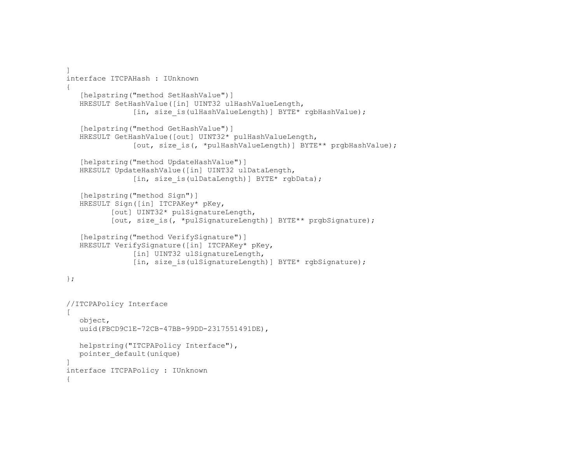```
 ] 
 interface ITCPAHash : IUnknown  { 
    [helpstring("method SetHashValue")] 
    HRESULT SetHashValue([in] UINT32 ulHashValueLength, 
                [in, size is(ulHashValueLength)] BYTE* rgbHashValue);
   [helpstring("method GetHashValue")]
    HRESULT GetHashValue([out] UINT32* pulHashValueLength, 
                [out, size is(, *pulHashValueLength)] BYTE** prgbHashValue);
   [helpstring("method UpdateHashValue")]
    HRESULT UpdateHashValue([in] UINT32 ulDataLength, 
                [in, size is(ulDataLength)] BYTE* rgbData);
   [helpstring("method Sign")]
    HRESULT Sign([in] ITCPAKey* pKey, 
           [out] UINT32* pulSignatureLength, 
          [out, size is(, *pulSignatureLength)] BYTE** prgbSignature);
    [helpstring("method VerifySignature")] 
    HRESULT VerifySignature([in] ITCPAKey* pKey, 
                [in] UINT32 ulSignatureLength,
                [in, size_is(ulSignatureLength)] BYTE* rgbSignature);
 }; 
 //ITCPAPolicy Interface 
\sqrt{2} object, 
    uuid(FBCD9C1E-72CB-47BB-99DD-2317551491DE), 
    helpstring("ITCPAPolicy Interface"), 
   pointer_default(unique) 
 ] 
 interface ITCPAPolicy : IUnknown 
 {
```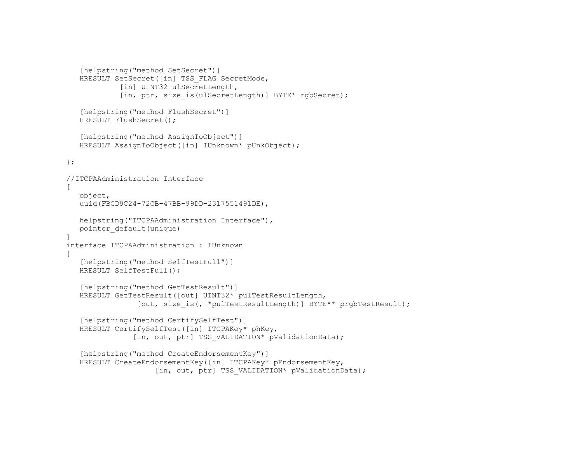```
[helpstring("method SetSecret")]
   HRESULT SetSecret([in] TSS FLAG SecretMode,
            [in] UINT32 ulSecretLength,
            [in, ptr, size is(ulSecretLength)] BYTE* rgbSecret);
    [helpstring("method FlushSecret")] 
    HRESULT FlushSecret(); 
    [helpstring("method AssignToObject")] 
    HRESULT AssignToObject([in] IUnknown* pUnkObject); 
 }; 
 //ITCPAAdministration Interface 
\lceil object, 
    uuid(FBCD9C24-72CB-47BB-99DD-2317551491DE), 
    helpstring("ITCPAAdministration Interface"), 
    pointer_default(unique) 
 ] 
 interface ITCPAAdministration : IUnknown  { 
    [helpstring("method SelfTestFull")] 
    HRESULT SelfTestFull(); 
    [helpstring("method GetTestResult")] 
    HRESULT GetTestResult([out] UINT32* pulTestResultLength, 
                 [out, size is(, *pulTestResultLength)] BYTE** prgbTestResult);
    [helpstring("method CertifySelfTest")] 
    HRESULT CertifySelfTest([in] ITCPAKey* phKey, 
                [in, out, ptr] TSS VALIDATION* pValidationData);
   [helpstring("method CreateEndorsementKey")]
    HRESULT CreateEndorsementKey([in] ITCPAKey* pEndorsementKey, 
                     [in, out, ptr] TSS VALIDATION* pValidationData);
```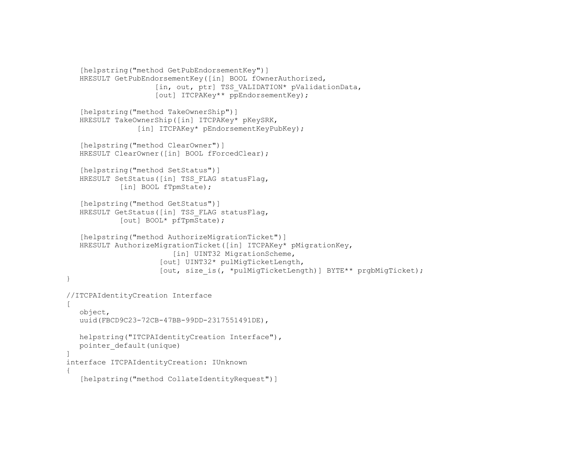```
[helpstring("method GetPubEndorsementKey")]
    HRESULT GetPubEndorsementKey([in] BOOL fOwnerAuthorized, 
                      [in, out, ptr] TSS_VALIDATION* pValidationData, 
                     [out] ITCPAKey** ppEndorsementKey);
    [helpstring("method TakeOwnerShip")] 
    HRESULT TakeOwnerShip([in] ITCPAKey* pKeySRK, 
                 [in] ITCPAKey* pEndorsementKeyPubKey);
   [helpstring("method ClearOwner")]
   HRESULT ClearOwner([in] BOOL fForcedClear);
    [helpstring("method SetStatus")] 
   HRESULT SetStatus([in] TSS FLAG statusFlag,
            [in] BOOL fTpmState);
   [helpstring("method GetStatus")]
   HRESULT GetStatus ([in] TSS FLAG statusFlag,
             [out] BOOL* pfTpmState); 
    [helpstring("method AuthorizeMigrationTicket")] 
    HRESULT AuthorizeMigrationTicket([in] ITCPAKey* pMigrationKey, 
                         [in] UINT32 MigrationScheme,
                       [out] UINT32* pulMigTicketLength, 
                       [out, size_is(, *pulMigTicketLength)] BYTE** prgbMigTicket); 
 } 
 //ITCPAIdentityCreation Interface 
\sqrt{2} object, 
    uuid(FBCD9C23-72CB-47BB-99DD-2317551491DE), 
   helpstring("ITCPAIdentityCreation Interface"), 
   pointer_default(unique) 
 ] 
 interface ITCPAIdentityCreation: IUnknown 
 { 
    [helpstring("method CollateIdentityRequest")]
```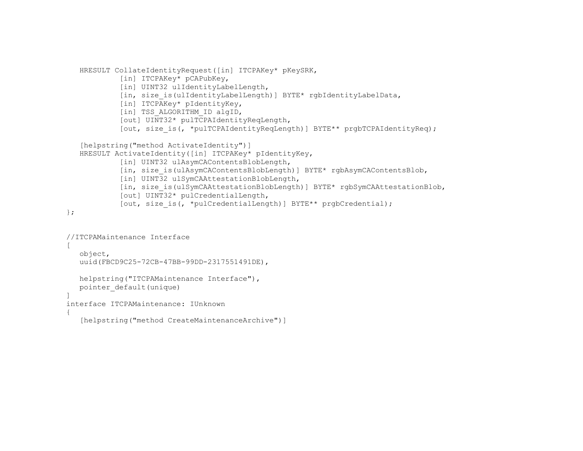```
HRESULT CollateIdentityRequest([in] ITCPAKey* pKeySRK, 
               [in] ITCPAKey* pCAPubKey,
               [in] UINT32 ulIdentityLabelLength,
               [in, size is(ulIdentityLabelLength)] BYTE* rgbIdentityLabelData,
               [in] ITCPAKey* pIdentityKey, 
               [in] TSS_ALGORITHM_ID algID, 
               [out] UINT32* pulTCPAIdentityReqLength, 
               [out, size is(, *pulTCPAIdentityReqLength)] BYTE** prgbTCPAIdentityReq);
      [helpstring("method ActivateIdentity")]
      HRESULT ActivateIdentity([in] ITCPAKey* pIdentityKey, 
               [in] UINT32 ulAsymCAContentsBlobLength,
               [in, size is(ulAsymCAContentsBlobLength)] BYTE* rgbAsymCAContentsBlob,
               [in] UINT32 ulSymCAAttestationBlobLength,
               [in, size is(ulSymCAAttestationBlobLength)] BYTE* rgbSymCAAttestationBlob,
               [out] UINT32* pulCredentialLength, 
               [out, size is(, *pulCredentialLength)] BYTE** prgbCredential);
   }; 
   //ITCPAMaintenance Interface 
  \Gamma object, 
      uuid(FBCD9C25-72CB-47BB-99DD-2317551491DE), 
      helpstring("ITCPAMaintenance Interface"), 
      pointer_default(unique) 
\blacksquare interface ITCPAMaintenance: IUnknown  { 
       [helpstring("method CreateMaintenanceArchive")]
```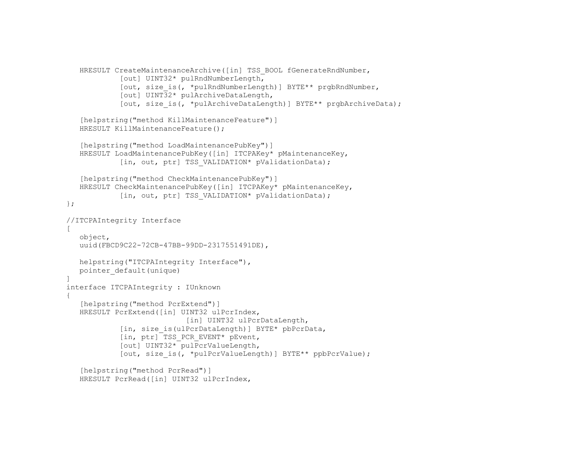```
HRESULT CreateMaintenanceArchive([in] TSS BOOL fGenerateRndNumber,
               [out] UINT32* pulRndNumberLength, 
               [out, size_is(, *pulRndNumberLength)] BYTE** prgbRndNumber, 
               [out] UINT32* pulArchiveDataLength, 
               [out, size is(, *pulArchiveDataLength)] BYTE** prgbArchiveData);
      [helpstring("method KillMaintenanceFeature")] 
      HRESULT KillMaintenanceFeature(); 
      [helpstring("method LoadMaintenancePubKey")]
      HRESULT LoadMaintenancePubKey([in] ITCPAKey* pMaintenanceKey, 
               [in, out, ptr] TSS VALIDATION* pValidationData);
      [helpstring("method CheckMaintenancePubKey")] 
      HRESULT CheckMaintenancePubKey([in] ITCPAKey* pMaintenanceKey, 
               [in, out, ptr] TSS VALIDATION* pValidationData);
   }; 
   //ITCPAIntegrity Interface 
  \sqrt{2} object, 
      uuid(FBCD9C22-72CB-47BB-99DD-2317551491DE), 
      helpstring("ITCPAIntegrity Interface"), 
      pointer_default(unique) 
   ] 
   interface ITCPAIntegrity : IUnknown 
\{[helpstring("method PcrExtend")]
      HRESULT PcrExtend([in] UINT32 ulPcrIndex, 
                              [in] UINT32 ulPcrDataLength,
               [in, size is(ulPcrDataLength)] BYTE* pbPcrData,
               [in, ptr] TSS PCR EVENT* pEvent,
                [out] UINT32* pulPcrValueLength, 
               [out, size is(, *pulPcrValueLength)] BYTE** ppbPcrValue);
      [helpstring("method PcrRead")]
      HRESULT PcrRead([in] UINT32 ulPcrIndex,
```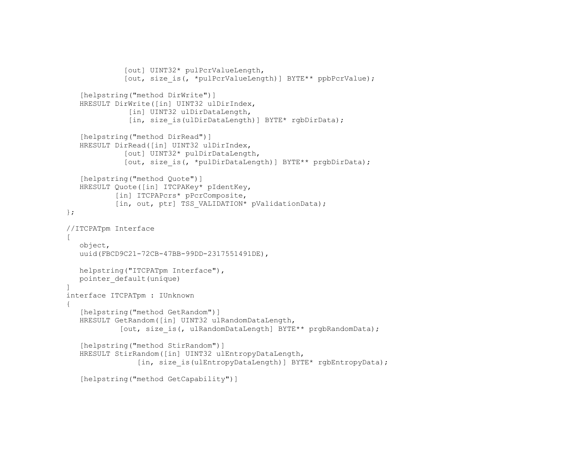```
 [out] UINT32* pulPcrValueLength, 
                [out, size is(, *pulPcrValueLength)] BYTE** ppbPcrValue);
       [helpstring("method DirWrite")] 
      HRESULT DirWrite([in] UINT32 ulDirIndex, 
                 [in] UINT32 ulDirDataLength,
                 [in, size is(ulDirDataLength)] BYTE* rgbDirData);
      [helpstring("method DirRead")]
      HRESULT DirRead([in] UINT32 ulDirIndex, 
                 [out] UINT32* pulDirDataLength, 
                [out, size is(, *pulDirDataLength)] BYTE** prgbDirData);
       [helpstring("method Quote")] 
      HRESULT Quote([in] ITCPAKey* pIdentKey, 
              [in] ITCPAPcrs* pPcrComposite,
              [in, out, ptr] TSS VALIDATION* pValidationData);
   }; 
   //ITCPATpm Interface 
  \Box object, 
      uuid(FBCD9C21-72CB-47BB-99DD-2317551491DE), 
      helpstring("ITCPATpm Interface"), 
      pointer_default(unique) 
   ] 
   interface ITCPATpm : IUnknown 
\{ [helpstring("method GetRandom")] 
      HRESULT GetRandom([in] UINT32 ulRandomDataLength, 
               [out, size is(, ulRandomDataLength] BYTE** prgbRandomData);
       [helpstring("method StirRandom")] 
      HRESULT StirRandom([in] UINT32 ulEntropyDataLength, 
                    [in, size is(ulEntropyDataLength)] BYTE* rgbEntropyData);
       [helpstring("method GetCapability")]
```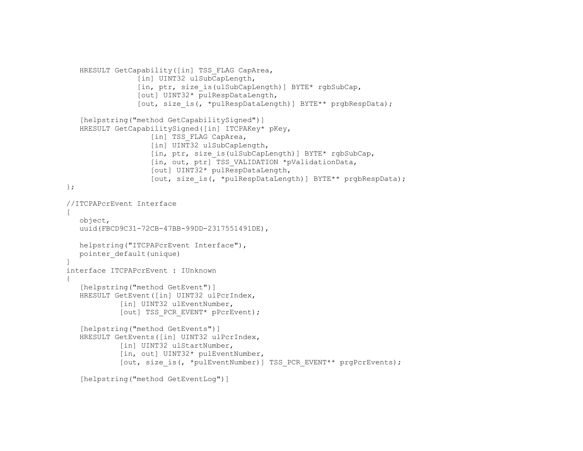```
HRESULT GetCapability([in] TSS FLAG CapArea,
                    [in] UINT32 ulSubCapLength,
                   [in, ptr, size is(ulSubCapLength)] BYTE* rgbSubCap,
                     [out] UINT32* pulRespDataLength, 
                    [out, size is(, *pulRespDataLength)] BYTE** prgbRespData);
      [helpstring("method GetCapabilitySigned")]
      HRESULT GetCapabilitySigned([in] ITCPAKey* pKey, 
                      [in] TSS FLAG CapArea,
                      [in] UINT32 ulSubCapLength,
                      [in, ptr, size is(ulSubCapLength)] BYTE* rgbSubCap,
                      [in, out, ptr] TSS VALIDATION *pValidationData,
                       [out] UINT32* pulRespDataLength, 
                       [out, size_is(, *pulRespDataLength)] BYTE** prgbRespData); 
   }; 
   //ITCPAPcrEvent Interface 
  \sqrt{2} object, 
      uuid(FBCD9C31-72CB-47BB-99DD-2317551491DE), 
      helpstring("ITCPAPcrEvent Interface"), 
      pointer_default(unique) 
\blacksquare interface ITCPAPcrEvent : IUnknown 
   { 
       [helpstring("method GetEvent")] 
     HRESULT GetEvent([in] UINT32 ulPcrIndex, 
               [in] UINT32 ulEventNumber,
               [out] TSS PCR EVENT* pPcrEvent);
      [helpstring("method GetEvents")] 
     HRESULT GetEvents([in] UINT32 ulPcrIndex, 
               [in] UINT32 ulStartNumber,
                [in, out] UINT32* pulEventNumber, 
               [out, size is(, *pulEventNumber)] TSS PCR EVENT** prgPcrEvents);
      [helpstring("method GetEventLog")]
```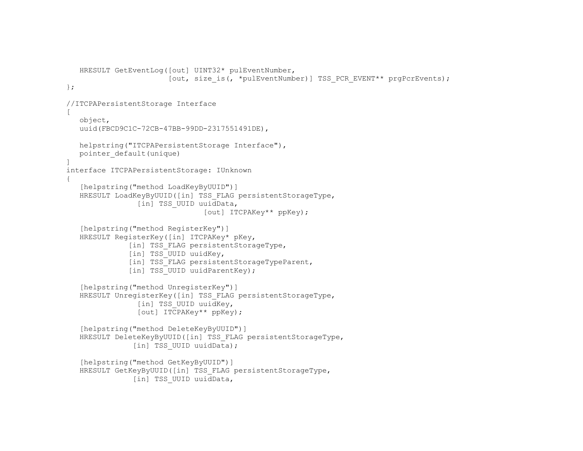```
HRESULT GetEventLog([out] UINT32* pulEventNumber, 
                        [out, size is(, *pulEventNumber)] TSS PCR EVENT** prgPcrEvents);
 }; 
 //ITCPAPersistentStorage Interface 
\lceil object, 
   uuid(FBCD9C1C-72CB-47BB-99DD-2317551491DE),
    helpstring("ITCPAPersistentStorage Interface"), 
    pointer_default(unique) 
 ] 
 interface ITCPAPersistentStorage: IUnknown 
 { 
    [helpstring("method LoadKeyByUUID")] 
   HRESULT LoadKeyByUUID([in] TSS FLAG persistentStorageType,
                 [in] TSS UUID uuidData,
                                 [out] ITCPAKey** ppKey); 
   [helpstring("method RegisterKey")]
    HRESULT RegisterKey([in] ITCPAKey* pKey, 
               [in] TSS FLAG persistentStorageType,
               [in] TSS UUID uuidKey,
               [in] TSS FLAG persistentStorageTypeParent,
               [in] TSS UUID uuidParentKey);
    [helpstring("method UnregisterKey")] 
   HRESULT UnregisterKey([in] TSS FLAG persistentStorageType,
                 [in] TSS UUID uuidKey,
                  [out] ITCPAKey** ppKey); 
    [helpstring("method DeleteKeyByUUID")] 
   HRESULT DeleteKeyByUUID([in] TSS FLAG persistentStorageType,
                [in] TSS UUID uuidData);
    [helpstring("method GetKeyByUUID")] 
   HRESULT GetKeyByUUID([in] TSS FLAG persistentStorageType,
                [in] TSS UUID uuidData,
```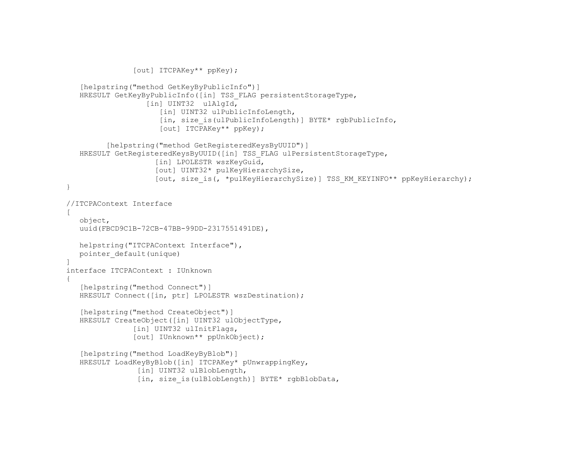```
 [out] ITCPAKey** ppKey); 
       [helpstring("method GetKeyByPublicInfo")] 
     HRESULT GetKeyByPublicInfo([in] TSS FLAG persistentStorageType,
                      [in] UINT32 ulAlgId,
                         [in] UINT32 ulPublicInfoLength,
                         [in, size is(ulPublicInfoLength)] BYTE* rgbPublicInfo,
                          [out] ITCPAKey** ppKey); 
            [helpstring("method GetRegisteredKeysByUUID")] 
     HRESULT GetRegisteredKeysByUUID([in] TSS FLAG ulPersistentStorageType,
                        [in] LPOLESTR wszKeyGuid,
                         [out] UINT32* pulKeyHierarchySize, 
                        [out, size_is(, *pulKeyHierarchySize)] TSS_KM_KEYINFO** ppKeyHierarchy);
   } 
   //ITCPAContext Interface 
  \sqrt{2} object, 
      uuid(FBCD9C1B-72CB-47BB-99DD-2317551491DE), 
      helpstring("ITCPAContext Interface"), 
      pointer_default(unique) 
\blacksquare interface ITCPAContext : IUnknown 
   { 
      [helpstring("method Connect")]
      HRESULT Connect([in, ptr] LPOLESTR wszDestination); 
       [helpstring("method CreateObject")] 
      HRESULT CreateObject([in] UINT32 ulObjectType, 
                  [in] UINT32 ulInitFlags,
                   [out] IUnknown** ppUnkObject); 
       [helpstring("method LoadKeyByBlob")] 
      HRESULT LoadKeyByBlob([in] ITCPAKey* pUnwrappingKey, 
                    [in] UINT32 ulBlobLength,
                   [in, size is(ulBlobLength)] BYTE* rgbBlobData,
```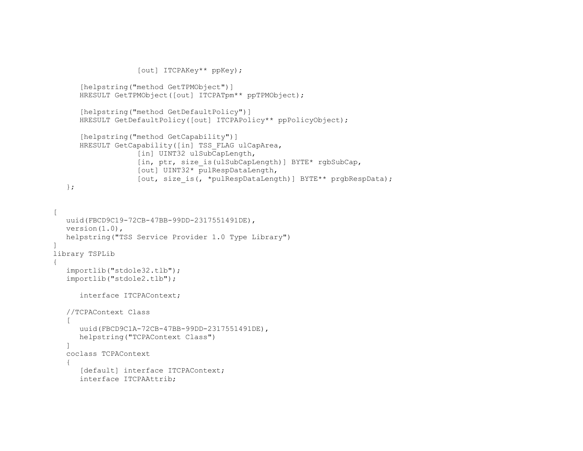```
 [out] ITCPAKey** ppKey); 
       [helpstring("method GetTPMObject")] 
       HRESULT GetTPMObject([out] ITCPATpm** ppTPMObject); 
       [helpstring("method GetDefaultPolicy")] 
      HRESULT GetDefaultPolicy([out] ITCPAPolicy** ppPolicyObject);
       [helpstring("method GetCapability")] 
      HRESULT GetCapability([in] TSS FLAG ulCapArea,
                    [in] UINT32 ulSubCapLength,
                    [in, ptr, size is(ulSubCapLength)] BYTE* rgbSubCap,
                     [out] UINT32* pulRespDataLength, 
                     [out, size_is(, *pulRespDataLength)] BYTE** prgbRespData); 
    }; 
\lceil uuid(FBCD9C19-72CB-47BB-99DD-2317551491DE), 
   version(1.0), 
    helpstring("TSS Service Provider 1.0 Type Library") 
] 
library TSPLib 
{ 
    importlib("stdole32.tlb"); 
    importlib("stdole2.tlb"); 
      interface ITCPAContext; 
    //TCPAContext Class 
   \sqrt{2} uuid(FBCD9C1A-72CB-47BB-99DD-2317551491DE), 
       helpstring("TCPAContext Class") 
    ] 
 coclass TCPAContext 
    { 
      [default] interface ITCPAContext;
       interface ITCPAAttrib;
```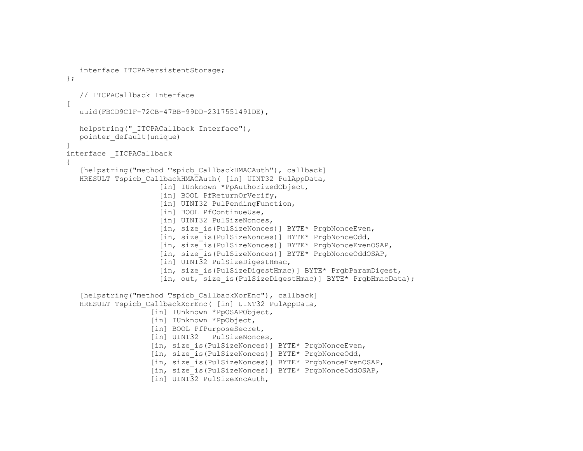```
 interface ITCPAPersistentStorage; 
   }; 
       // ITCPACallback Interface 
  \lceil uuid(FBCD9C1F-72CB-47BB-99DD-2317551491DE), 
     helpstring(" ITCPACallback Interface"),
      pointer_default(unique) 
\blacksquare interface _ITCPACallback 
   { 
      [helpstring("method Tspicb CallbackHMACAuth"), callback]
     HRESULT Tspicb CallbackHMACAuth( [in] UINT32 PulAppData,
                        [in] IUnknown *PpAuthorizedObject,
                        [in] BOOL PfReturnOrVerify,
                         [in] UINT32 PulPendingFunction,
                         [in] BOOL PfContinueUse,
                         [in] UINT32 PulSizeNonces,
                         [in, size is(PulSizeNonces)] BYTE* PrgbNonceEven,
                        [in, size is(PulSizeNonces)] BYTE* PrgbNonceOdd,
                         [in, size_is(PulSizeNonces)] BYTE* PrgbNonceEvenOSAP, 
                          [in, size_is(PulSizeNonces)] BYTE* PrgbNonceOddOSAP, 
                         [in] UINT32 PulSizeDigestHmac,
                          [in, size_is(PulSizeDigestHmac)] BYTE* PrgbParamDigest, 
                         [in, out, size is(PulSizeDigestHmac)] BYTE* PrgbHmacData);
      [helpstring("method Tspicb CallbackXorEnc"), callback]
     HRESULT Tspicb CallbackXorEnc( [in] UINT32 PulAppData,
                       [in] IUnknown *PpOSAPObject, 
                       [in] IUnknown *PpObject, 
                      [in] BOOL PfPurposeSecret,
                      [in] UINT32 PulSizeNonces,
                      [in, size is(PulSizeNonces)] BYTE* PrgbNonceEven,
                      [in, size is(PulSizeNonces)] BYTE* PrgbNonceOdd,
                       [in, size_is(PulSizeNonces)] BYTE* PrgbNonceEvenOSAP, 
                       [in, size_is(PulSizeNonces)] BYTE* PrgbNonceOddOSAP, 
                      [in] UINT32 PulSizeEncAuth,
```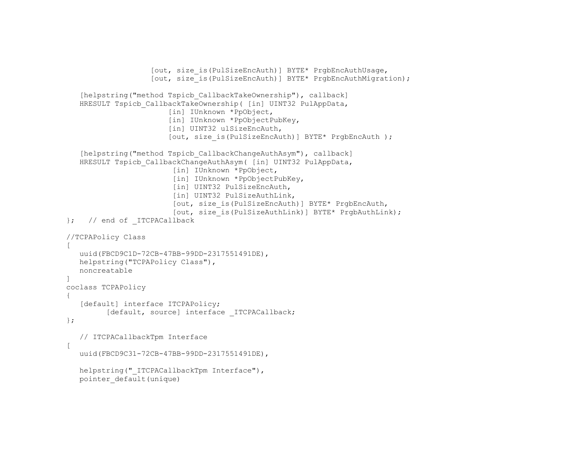```
 [out, size_is(PulSizeEncAuth)] BYTE* PrgbEncAuthUsage, 
                    [out, size is(PulSizeEncAuth)] BYTE* PrgbEncAuthMigration);
    [helpstring("method Tspicb_CallbackTakeOwnership"), callback] 
   HRESULT Tspicb CallbackTakeOwnership( [in] UINT32 PulAppData,
                         [in] IUnknown *PpObject, 
                        [in] IUnknown *PpObjectPubKey,
                        [in] UINT32 ulSizeEncAuth,
                         [out, size_is(PulSizeEncAuth)] BYTE* PrgbEncAuth ); 
    [helpstring("method Tspicb_CallbackChangeAuthAsym"), callback] 
   HRESULT Tspicb CallbackChangeAuthAsym( [in] UINT32 PulAppData,
                          [in] IUnknown *PpObject, 
                          [in] IUnknown *PpObjectPubKey, 
                         [in] UINT32 PulSizeEncAuth,
                         [in] UINT32 PulSizeAuthLink,
                          [out, size_is(PulSizeEncAuth)] BYTE* PrgbEncAuth, 
                          [out, size_is(PulSizeAuthLink)] BYTE* PrgbAuthLink); 
 }; // end of _ITCPACallback 
 //TCPAPolicy Class 
\sqrt{ } uuid(FBCD9C1D-72CB-47BB-99DD-2317551491DE), 
   helpstring("TCPAPolicy Class"), 
    noncreatable  ] 
 coclass TCPAPolicy 
 { 
   [default] interface ITCPAPolicy;
         [default, source] interface ITCPACallback;
 }; 
  // ITCPACallbackTpm Interface 
\lceil uuid(FBCD9C31-72CB-47BB-99DD-2317551491DE), 
   helpstring(" ITCPACallbackTpm Interface"),
   pointer_default(unique)
```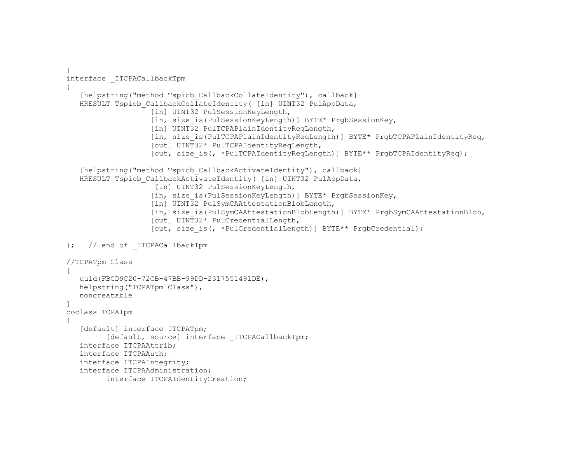```
\blacksquare interface _ITCPACallbackTpm 
   { 
      [helpstring("method Tspicb CallbackCollateIdentity"), callback]
     HRESULT Tspicb CallbackCollateIdentity( [in] UINT32 PulAppData,
                      [in] UINT32 PulSessionKeyLength,
                      [in, size is(PulSessionKeyLength)] BYTE* PrgbSessionKey,
                      [in] UINT32 PulTCPAPlainIdentityReqLength,
                      [in, size is(PulTCPAPlainIdentityReqLength)] BYTE* PrgbTCPAPlainIdentityReq,
                       [out] UINT32* PulTCPAIdentityReqLength, 
                      [out, size is(, *PulTCPAIdentityReqLength)] BYTE** PrgbTCPAIdentityReq);
      [helpstring("method Tspicb CallbackActivateIdentity"), callback]
     HRESULT Tspicb CallbackActivateIdentity( [in] UINT32 PulAppData,
                       [in] UINT32 PulSessionKeyLength,
                      [in, size is(PulSessionKeyLength)] BYTE* PrgbSessionKey,
                      [in] UINT32 PulSymCAAttestationBlobLength,
                      [in, size is(PulSymCAAttestationBlobLength)] BYTE* PrgbSymCAAttestationBlob,
                       [out] UINT32* PulCredentialLength, 
                      [out, size is(, *PulCredentialLength)] BYTE** PrgbCredential);
   }; // end of _ITCPACallbackTpm 
   //TCPATpm Class 
  \sqrt{2} uuid(FBCD9C20-72CB-47BB-99DD-2317551491DE), 
      helpstring("TCPATpm Class"), 
      noncreatable \blacksquare coclass TCPATpm 
   { 
      [default] interface ITCPATpm;
            [default, source] interface ITCPACallbackTpm;
      interface ITCPAAttrib; 
      interface ITCPAAuth; 
      interface ITCPAIntegrity; 
      interface ITCPAAdministration; 
            interface ITCPAIdentityCreation;
```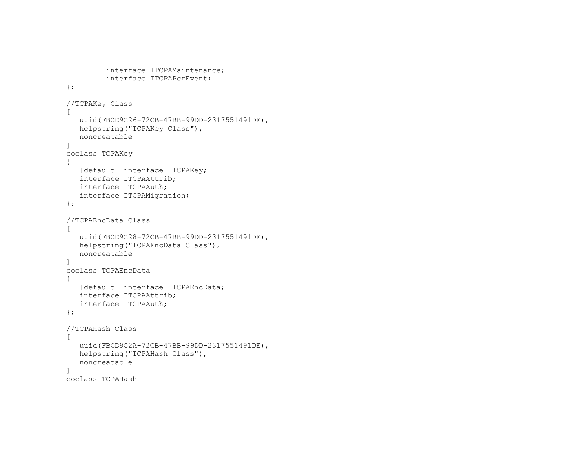```
interface ITCPAMaintenance; 
             interface ITCPAPcrEvent; 
    }; 
    //TCPAKey Class 
   \lceil uuid(FBCD9C26-72CB-47BB-99DD-2317551491DE), 
       helpstring("TCPAKey Class"), 
       noncreatable  ] 
    coclass TCPAKey 
    { 
      [default] interface ITCPAKey;
       interface ITCPAAttrib; 
       interface ITCPAAuth; 
       interface ITCPAMigration; 
   }; 
    //TCPAEncData Class 
   \sqrt{ }uuid(FBCD9C28-72CB-47BB-99DD-2317551491DE),
       helpstring("TCPAEncData Class"), 
       noncreatable \overline{\phantom{a}} coclass TCPAEncData 
    { 
      [default] interface ITCPAEncData;
       interface ITCPAAttrib; 
       interface ITCPAAuth; 
   }; 
    //TCPAHash Class 
   \Box uuid(FBCD9C2A-72CB-47BB-99DD-2317551491DE), 
       helpstring("TCPAHash Class"), 
       noncreatable  ] 
    coclass TCPAHash
```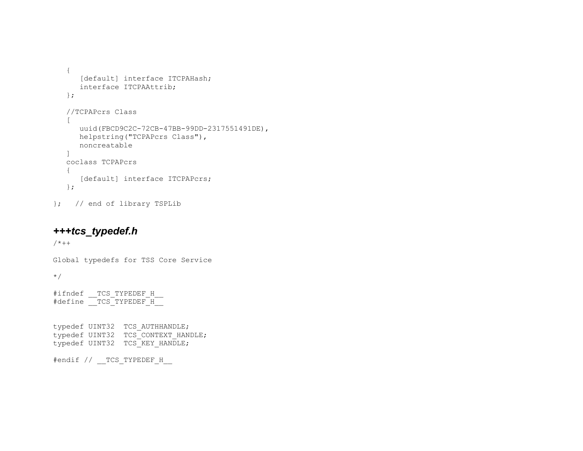```
 { 
   [default] interface ITCPAHash;
    interface ITCPAAttrib; 
 }; 
 //TCPAPcrs Class 
\sqrt{2}uuid(FBCD9C2C-72CB-47BB-99DD-2317551491DE),
    helpstring("TCPAPcrs Class"), 
    noncreatable  ] 
 coclass TCPAPcrs  { 
   [default] interface ITCPAPcrs;
 };
```
}; // end of library TSPLib

# *+++tcs\_typedef.h*

 $/ * + +$ 

Global typedefs for TSS Core Service

\*/

#ifndef TCS TYPEDEF H #define TCS TYPEDEF H

typedef UINT32 TCS\_AUTHHANDLE; typedef UINT32 TCS\_CONTEXT\_HANDLE; typedef UINT32 TCS KEY HANDLE;

#endif // TCS TYPEDEF H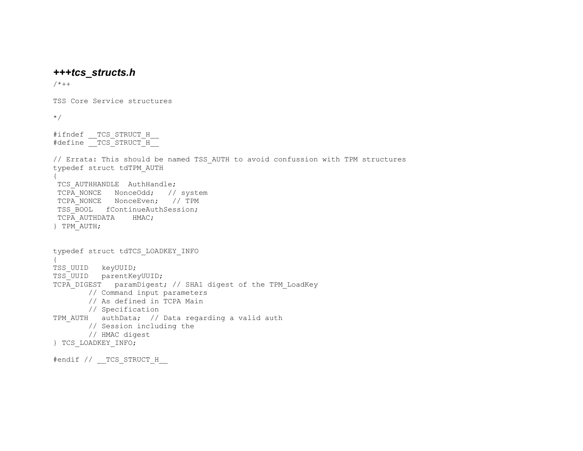## *+++tcs\_structs.h*

 $/ * + +$ 

TSS Core Service structures

\*/

#ifndef TCS STRUCT H  $#define$   $TCS$   $STRUCT$  $H$ 

// Errata: This should be named TSS\_AUTH to avoid confussion with TPM structures typedef struct tdTPM\_AUTH { TCS AUTHHANDLE AuthHandle; TCPA NONCE NonceOdd; // system TCPA\_NONCE NonceEven; // TPM TSS BOOL fContinueAuthSession; TCPA AUTHDATA HMAC; } TPM\_AUTH; typedef struct tdTCS\_LOADKEY\_INFO { TSS\_UUID keyUUID; TSS\_UUID parentKeyUUID; TCPA DIGEST paramDigest; // SHA1 digest of the TPM LoadKey // Command input parameters // As defined in TCPA Main // Specification TPM AUTH authData; // Data regarding a valid auth // Session including the // HMAC digest

```
} TCS_LOADKEY_INFO;
```
#endif // TCS STRUCT H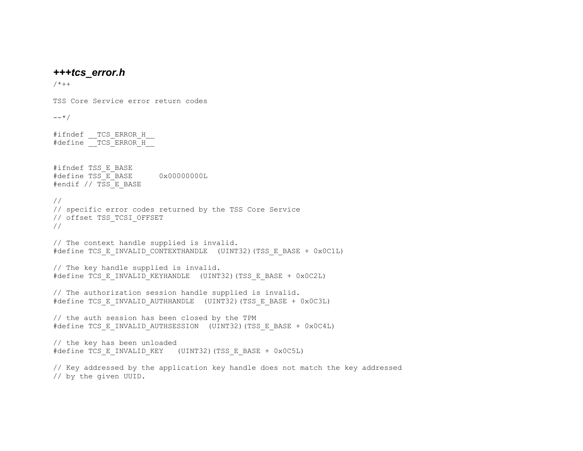### *+++tcs\_error.h*

TSS Core Service error return codes

 $/ * + +$ 

 $---*/$ #ifndef TCS ERROR H #define TCS ERROR H #ifndef TSS\_E\_BASE #define TSS\_E\_BASE 0x00000000L #endif // TSS E BASE // // specific error codes returned by the TSS Core Service // offset TSS\_TCSI\_OFFSET // // The context handle supplied is invalid. #define TCS\_E\_INVALID\_CONTEXTHANDLE (UINT32)(TSS\_E\_BASE + 0x0C1L) // The key handle supplied is invalid. #define TCS\_E\_INVALID\_KEYHANDLE (UINT32)(TSS\_E\_BASE + 0x0C2L) // The authorization session handle supplied is invalid. #define TCS\_E\_INVALID\_AUTHHANDLE (UINT32)(TSS\_E\_BASE + 0x0C3L) // the auth session has been closed by the TPM #define TCS\_E\_INVALID\_AUTHSESSION (UINT32)(TSS\_E\_BASE + 0x0C4L) // the key has been unloaded #define TCS\_E\_INVALID\_KEY (UINT32)(TSS\_E\_BASE + 0x0C5L) // Key addressed by the application key handle does not match the key addressed // by the given UUID.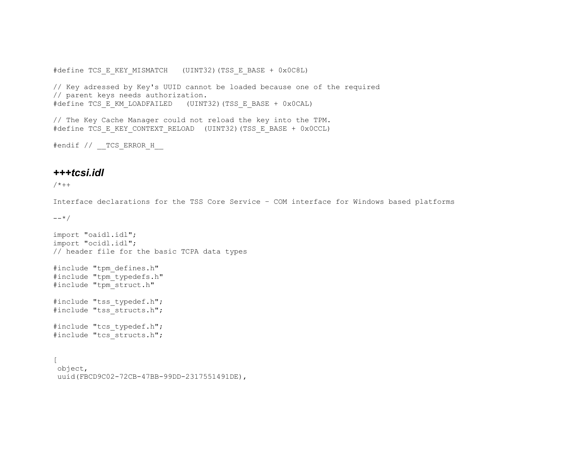#define TCS\_E\_KEY\_MISMATCH (UINT32)(TSS\_E\_BASE + 0x0C8L)

// Key adressed by Key's UUID cannot be loaded because one of the required // parent keys needs authorization. #define TCS\_E\_KM\_LOADFAILED (UINT32)(TSS\_E\_BASE + 0x0CAL)

// The Key Cache Manager could not reload the key into the TPM. #define TCS\_E\_KEY\_CONTEXT\_RELOAD (UINT32)(TSS\_E\_BASE + 0x0CCL)

#endif // TCS ERROR H

### *+++tcsi.idl*

 $/ * + +$ 

Interface declarations for the TSS Core Service – COM interface for Windows based platforms

 $---*/$ 

```
import "oaidl.idl"; 
import "ocidl.idl"; 
// header file for the basic TCPA data types 
#include "tpm_defines.h" 
#include "tpm_typedefs.h" 
#include "tpm_struct.h" 
#include "tss typedef.h";
#include "tss_structs.h"; 
#include "tcs typedef.h";
#include "tcs_structs.h"; 
\Gamma object, 
  uuid(FBCD9C02-72CB-47BB-99DD-2317551491DE),
```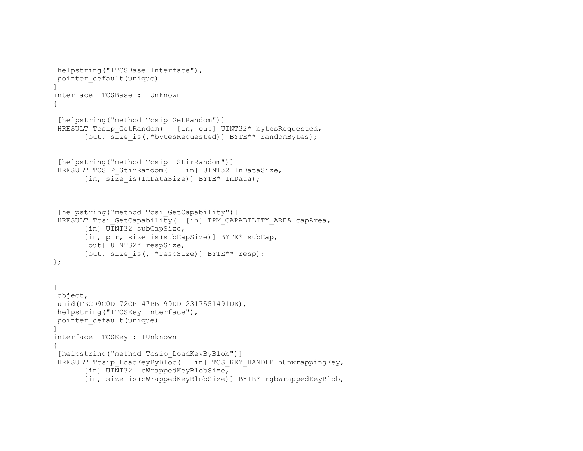```
 helpstring("ITCSBase Interface"), 
 pointer_default(unique) 
] 
interface ITCSBase : IUnknown { 
 [helpstring("method Tcsip GetRandom")]
HRESULT Tcsip GetRandom( [in, out] UINT32* bytesRequested,
       [out, size is(,*bytesRequested)] BYTE** randomBytes);
 [helpstring("method Tcsip StirRandom")]
HRESULT TCSIP StirRandom( [in] UINT32 InDataSize,
       [in, size is(InDataSize)] BYTE* InData);
 [helpstring("method Tcsi GetCapability")]
HRESULT Tcsi GetCapability( [in] TPM CAPABILITY AREA capArea,
       [in] UINT32 subCapSize,
       [in, ptr, size is(subCapSize)] BYTE* subCap,
        [out] UINT32* respSize, 
       [out, size is(, *respSize)] BYTE** resp);
}; 
\Gamma object, 
 uuid(FBCD9C0D-72CB-47BB-99DD-2317551491DE), 
 helpstring("ITCSKey Interface"), 
 pointer_default(unique) 
] 
interface ITCSKey : IUnknown 
{ 
  [helpstring("method Tcsip_LoadKeyByBlob")] 
HRESULT Tcsip LoadKeyByBlob( [in] TCS KEY HANDLE hUnwrappingKey,
       [in] UINT32 cWrappedKeyBlobSize,
        [in, size_is(cWrappedKeyBlobSize)] BYTE* rgbWrappedKeyBlob,
```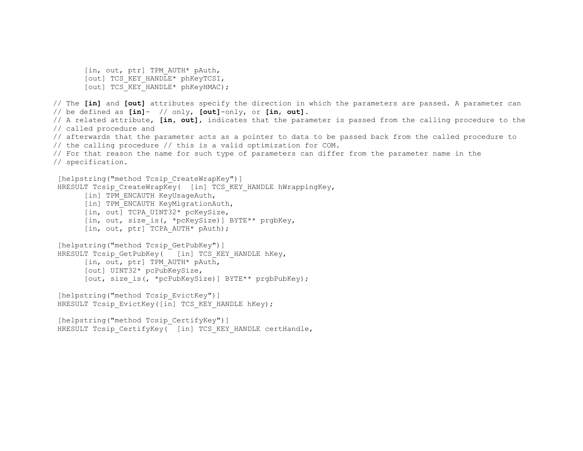```
[in, out, ptr] TPM AUTH* pAuth,
        [out] TCS_KEY_HANDLE* phKeyTCSI, 
       [out] TCS KEY HANDLE* phKeyHMAC);
// The [in] and [out] attributes specify the direction in which the parameters are passed. A parameter can 
// be defined as [in]- // only, [out]-only, or [in, out]. 
// A related attribute, [in, out], indicates that the parameter is passed from the calling procedure to the 
// called procedure and 
// afterwards that the parameter acts as a pointer to data to be passed back from the called procedure to 
// the calling procedure // this is a valid optimization for COM. 
// For that reason the name for such type of parameters can differ from the parameter name in the 
// specification. 
 [helpstring("method Tcsip CreateWrapKey")]
HRESULT Tcsip CreateWrapKey( [in] TCS KEY HANDLE hWrappingKey,
       [in] TPM ENCAUTH KeyUsageAuth,
       [in] TPM ENCAUTH KeyMigrationAuth,
       [in, out] TCPA UINT32* pcKeySize,
       [in, out, size is(, *pcKeySize)] BYTE** prgbKey,
       [in, out, ptr] TCPA AUTH* pAuth);
 [helpstring("method Tcsip GetPubKey")]
HRESULT Tcsip GetPubKey(\overline{ } [in] TCS KEY HANDLE hKey,
        [in, out, ptr] TPM_AUTH* pAuth, 
        [out] UINT32* pcPubKeySize, 
       [out, size is(, *pcPubKeySize)] BYTE** prgbPubKey);
 [helpstring("method Tcsip EvictKey")]
 HRESULT Tcsip EvictKey([in] TCS KEY HANDLE hKey);
  [helpstring("method Tcsip_CertifyKey")] 
 HRESULT Tcsip CertifyKey( [in] TCS KEY HANDLE certHandle,
```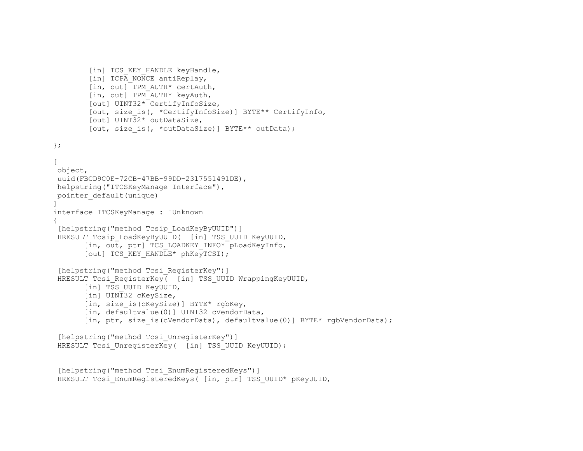```
[in] TCS KEY HANDLE keyHandle,
        [in] TCPA NONCE antiReplay,
         [in, out] TPM_AUTH* certAuth, 
         [in, out] TPM_AUTH* keyAuth, 
         [out] UINT32* CertifyInfoSize, 
         [out, size_is(, *CertifyInfoSize)] BYTE** CertifyInfo, 
         [out] UINT32* outDataSize, 
        [out, size is(, *outDataSize)] BYTE** outData);
}; 
\Gamma object, 
 uuid(FBCD9C0E-72CB-47BB-99DD-2317551491DE), 
 helpstring("ITCSKeyManage Interface"), 
 pointer_default(unique) 
] 
interface ITCSKeyManage : IUnknown 
{ 
 [helpstring("method Tcsip_LoadKeyByUUID")] 
HRESULT Tcsip LoadKeyByUUID( [in] TSS UUID KeyUUID,
       [in, out, ptr] TCS LOADKEY INFO* pLoadKeyInfo,
       [out] TCS KEY HANDLE* phKeyTCSI);
  [helpstring("method Tcsi_RegisterKey")] 
HRESULT Tcsi RegisterKey( [in] TSS UUID WrappingKeyUUID,
       [in] TSS UUID KeyUUID,
       [in] UINT32 cKeySize,
       [in, size is(cKeySize)] BYTE* rgbKey,
        [in, defaultvalue(0)] UINT32 cVendorData, 
       [in, ptr, size is(cVendorData), defaultvalue(0)] BYTE* rgbVendorData);
 [helpstring("method Tcsi UnregisterKey")]
 HRESULT Tcsi UnregisterKey( [in] TSS UUID KeyUUID);
  [helpstring("method Tcsi_EnumRegisteredKeys")]
```

```
HRESULT Tcsi EnumRegisteredKeys( [in, ptr] TSS UUID* pKeyUUID,
```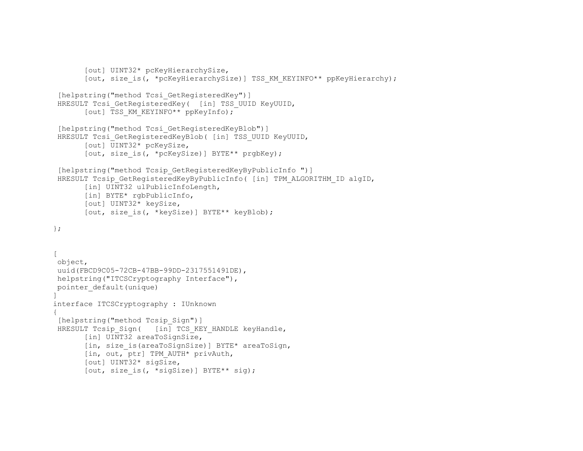```
 [out] UINT32* pcKeyHierarchySize, 
       [out, size is(, *pcKeyHierarchySize)] TSS KM KEYINFO** ppKeyHierarchy);
 [helpstring("method Tcsi GetRegisteredKey")]
HRESULT Tcsi GetRegisteredKey( [in] TSS UUID KeyUUID,
       [out] TSS KM KEYINFO** ppKeyInfo);
 [helpstring("method Tcsi GetRegisteredKeyBlob")]
 HRESULT Tcsi GetRegisteredKeyBlob( [in] TSS UUID KeyUUID,
       [out] UINT32* pcKeySize,
       [out, size is(, *pcKeySize)] BYTE** prgbKey);
  [helpstring("method Tcsip_GetRegisteredKeyByPublicInfo ")] 
HRESULT Tcsip GetRegisteredKeyByPublicInfo( [in] TPM_ALGORITHM_ID algID,
       [in] UINT32 ulPublicInfoLength,
        [in] BYTE* rgbPublicInfo, 
        [out] UINT32* keySize, 
        [out, size_is(, *keySize)] BYTE** keyBlob); 
}; 
[ 
 object, 
 uuid(FBCD9C05-72CB-47BB-99DD-2317551491DE), 
 helpstring("ITCSCryptography Interface"), 
 pointer_default(unique) 
\mathbf{I}interface ITCSCryptography : IUnknown 
{ 
 [helpstring("method Tcsip Sign")]
HRESULT Tcsip Sign( [in] TCS KEY HANDLE keyHandle,
       [in] UINT32 areaToSignSize,
        [in, size_is(areaToSignSize)] BYTE* areaToSign, 
        [in, out, ptr] TPM_AUTH* privAuth, 
        [out] UINT32* sigSize, 
       [out, size is(, *sigSize)] BYTE** sig);
```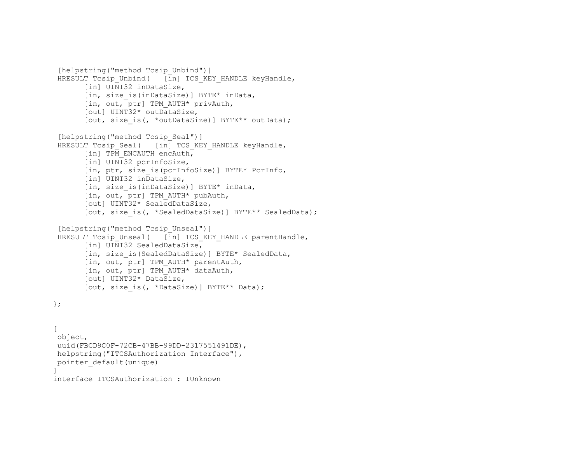```
[helpstring("method Tcsip Unbind")]
HRESULT Tcsip Unbind( [in] TCS KEY HANDLE keyHandle,
       [in] UINT32 inDataSize,
        [in, size_is(inDataSize)] BYTE* inData, 
       [in, out, ptr] TPM AUTH* privAuth,
        [out] UINT32* outDataSize, 
       [out, size is(, *outDataSize)] BYTE** outData);
 [helpstring("method Tcsip Seal")]
 HRESULT Tcsip Seal( [in] TCS KEY HANDLE keyHandle,
       [in] TPM ENCAUTH encAuth,
       [in] UINT32 pcrInfoSize,
       [in, ptr, size is(pcrInfoSize)] BYTE* PcrInfo,
        [in] UINT32 inDataSize, 
        [in, size_is(inDataSize)] BYTE* inData, 
        [in, out, ptr] TPM_AUTH* pubAuth, 
        [out] UINT32* SealedDataSize, 
       [out, size is(, *SealedDataSize)] BYTE** SealedData);
 [helpstring("method Tcsip Unseal")]
 HRESULT Tcsip Unseal( [in] TCS KEY HANDLE parentHandle,
       [in] UINT32 SealedDataSize,
       [in, size is(SealedDataSize)] BYTE* SealedData,
        [in, out, ptr] TPM_AUTH* parentAuth, 
        [in, out, ptr] TPM_AUTH* dataAuth, 
        [out] UINT32* DataSize, 
       [out, size is(, *DataSize)] BYTE** Data);
}; 
\Gamma object, 
 uuid(FBCD9C0F-72CB-47BB-99DD-2317551491DE), 
 helpstring("ITCSAuthorization Interface"),
```
 pointer\_default(unique)  $\mathbf{I}$ 

interface ITCSAuthorization : IUnknown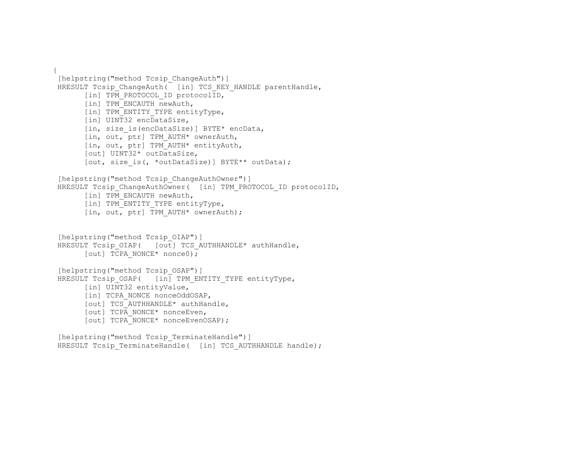```
{ 
[helpstring("method Tcsip ChangeAuth")]
HRESULT Tcsip ChangeAuth( [in] TCS KEY HANDLE parentHandle,
      [in] TPM PROTOCOL ID protocolID,
      [in] TPM ENCAUTH newAuth,
      [in] TPM ENTITY TYPE entityType,
      [in] UINT32 encDataSize,
      [in, size is(encDataSize)] BYTE* encData,
      [in, out, ptr] TPM AUTH* ownerAuth,
       [in, out, ptr] TPM_AUTH* entityAuth, 
       [out] UINT32* outDataSize, 
      [out, size is(, *outDataSize)] BYTE** outData);
 [helpstring("method Tcsip_ChangeAuthOwner")] 
 HRESULT Tcsip_ChangeAuthOwner( [in] TPM_PROTOCOL_ID protocolID, 
      [in] TPM ENCAUTH newAuth,
      [in] TPM ENTITY TYPE entityType,
      [in, out, ptr] TPM AUTH* ownerAuth);
 [helpstring("method Tcsip_OIAP")] 
HRESULT Tcsip OIAP( [out] TCS AUTHHANDLE* authHandle,
      [out] TCPA NONCE* nonce0);
 [helpstring("method Tcsip_OSAP")] 
HRESULT Tcsip OSAP( [in] TPM ENTITY TYPE entityType,
      [in] UINT32 entityValue,
      [in] TCPA NONCE nonceOddOSAP,
       [out] TCS_AUTHHANDLE* authHandle, 
       [out] TCPA_NONCE* nonceEven, 
      [out] TCPA NONCE* nonceEvenOSAP) ;
[helpstring("method Tcsip TerminateHandle")]
```
HRESULT Tcsip\_TerminateHandle( [in] TCS\_AUTHHANDLE handle);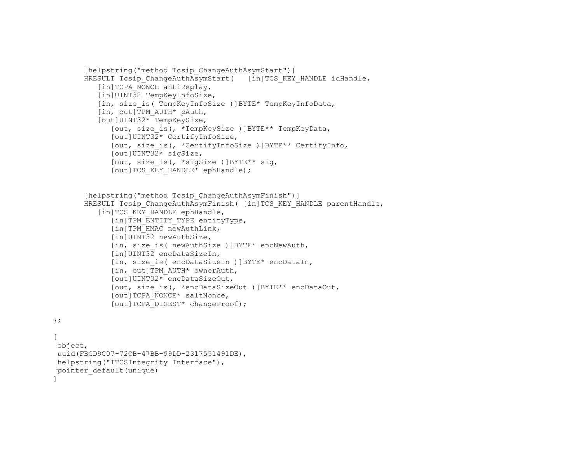```
[helpstring("method Tcsip ChangeAuthAsymStart")]
HRESULT Tcsip ChangeAuthAsymStart( [in]TCS KEY HANDLE idHandle,
    [in]TCPA_NONCE antiReplay,
    [in]UINT32 TempKeyInfoSize,
   [in, size is( TempKeyInfoSize )]BYTE* TempKeyInfoData,
   \begin{bmatrix} \text{in, out} \\ \text{TPM} \end{bmatrix} \begin{bmatrix} \text{AUTH*} \\ \text{PAuth,} \end{bmatrix} [out]UINT32* TempKeySize, 
        [out, size_is(, *TempKeySize )]BYTE** TempKeyData, 
        [out]UINT32* CertifyInfoSize, 
        [out, size_is(, *CertifyInfoSize )]BYTE** CertifyInfo, 
        [out]UINT32* sigSize, 
        [out, size_is(, *sigSize )]BYTE** sig, 
       [out]TCS KEY HANDLE* ephHandle);
[helpstring("method Tcsip ChangeAuthAsymFinish")]
HRESULT Tcsip ChangeAuthAsymFinish ( [in]TCS KEY HANDLE parentHandle,
    [in]TCS KEY HANDLE ephHandle,
       [in]TPM_ENTITY_TYPE entityType,
       [in]TPM HMAC newAuthLink,
       [in]UINT32 newAuthSize,
        [in, size_is( newAuthSize )]BYTE* encNewAuth, 
       [in]UINT32 encDataSizeIn,
        [in, size_is( encDataSizeIn )]BYTE* encDataIn, 
       \begin{bmatrix} \text{in, out} \\ \text{TPM} \end{bmatrix} \begin{bmatrix} \text{N} \\ \text{N} \end{bmatrix} \begin{bmatrix} \text{N} \\ \text{N} \end{bmatrix} [out]UINT32* encDataSizeOut, 
        [out, size_is(, *encDataSizeOut )]BYTE** encDataOut, 
       [out]TCPA_NONCE* saltNonce,
       [out]TCPA_DIGEST* changeProof);
```

```
};
```
 $\Gamma$  object, uuid(FBCD9C07-72CB-47BB-99DD-2317551491DE), helpstring("ITCSIntegrity Interface"), pointer\_default(unique) ]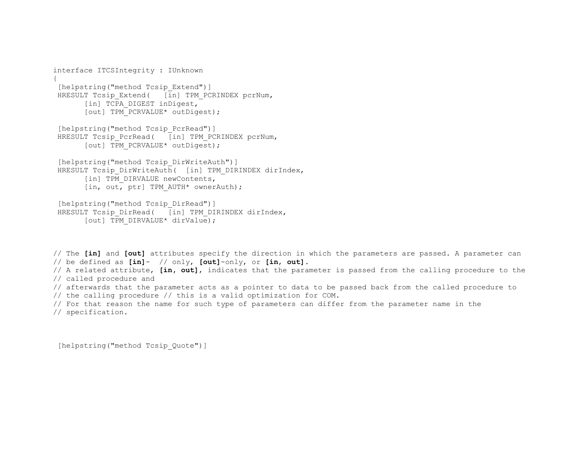```
interface ITCSIntegrity : IUnknown 
{ 
 [helpstring("method Tcsip Extend")]
 HRESULT Tcsip Extend( [in] TPM PCRINDEX pcrNum,
       [in] TCPA DIGEST inDigest,
       [out] TPM PCRVALUE* outDigest);
 [helpstring("method Tcsip PcrRead")]
 HRESULT Tcsip PcrRead( [in] TPM PCRINDEX pcrNum,
       [out] TPM PCRVALUE* outDigest);
 [helpstring("method Tcsip DirWriteAuth")]
 HRESULT Tcsip DirWriteAuth( [in] TPM DIRINDEX dirIndex,
       [in] TPM DIRVALUE newContents,
       [in, out, ptr] TPM AUTH* ownerAuth);
 [helpstring("method Tcsip DirRead")]
 HRESULT Tcsip DirRead( [in] TPM DIRINDEX dirIndex,
       [out] TPM DIRVALUE* dirValue);
```
// The **[in]** and **[out]** attributes specify the direction in which the parameters are passed. A parameter can // be defined as **[in]**- // only, **[out]**-only, or **[in**, **out]**. // A related attribute, **[in, out]**, indicates that the parameter is passed from the calling procedure to the // called procedure and // afterwards that the parameter acts as a pointer to data to be passed back from the called procedure to // the calling procedure // this is a valid optimization for COM. // For that reason the name for such type of parameters can differ from the parameter name in the // specification.

```
 [helpstring("method Tcsip_Quote")]
```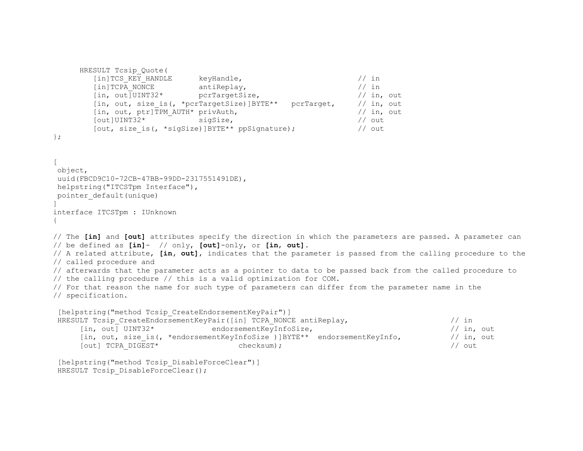```
HRESULT Tcsip_Quote( 
         [in]TCS KEY HANDLE keyHandle, // in
         [in]TCPA_NONCE antiReplay, \frac{1}{10} and \frac{1}{10}, \frac{1}{10}, \frac{1}{10}, \frac{1}{10}, \frac{1}{10}, \frac{1}{10}, \frac{1}{10}, \frac{1}{10}, \frac{1}{10}, \frac{1}{10}, \frac{1}{10}, \frac{1}{10}, \frac{1}{10}, \frac{1}{10}, \frac{1}{10},
                               pcrTargetSize,
         [in, out, size_is(, *pcrTargetSize)]BYTE** pcrTarget, // in, out
         [in, out, ptr]TPM_AUTH* privAuth, // in, out
          [out]UINT32* sigSize, // out 
         [out, size is(, *sigSize)]BYTE** ppSignature); // out
}; 
\sqrt{2} object, 
 uuid(FBCD9C10-72CB-47BB-99DD-2317551491DE), 
 helpstring("ITCSTpm Interface"), 
 pointer_default(unique) 
] 
interface ITCSTpm : IUnknown 
{ 
// The [in] and [out] attributes specify the direction in which the parameters are passed. A parameter can 
// be defined as [in]- // only, [out]-only, or [in, out]. 
// A related attribute, [in, out], indicates that the parameter is passed from the calling procedure to the 
// called procedure and 
// afterwards that the parameter acts as a pointer to data to be passed back from the called procedure to 
// the calling procedure // this is a valid optimization for COM. 
// For that reason the name for such type of parameters can differ from the parameter name in the 
// specification. 
 [helpstring("method Tcsip CreateEndorsementKeyPair")]
 HRESULT Tcsip CreateEndorsementKeyPair([in] TCPA NONCE antiReplay, // in
      [in, out] UINT32* endorsementKeyInfoSize, // in, out 
      [in, out, size is(, *endorsementKeyInfoSize )]BYTE** endorsementKeyInfo, // in, out
      [out] TCPA DIGEST* checksum); \left| \begin{array}{ccc} \end{array} \right| cut
 [helpstring("method Tcsip DisableForceClear")]
HRESULT Tcsip DisableForceClear();
```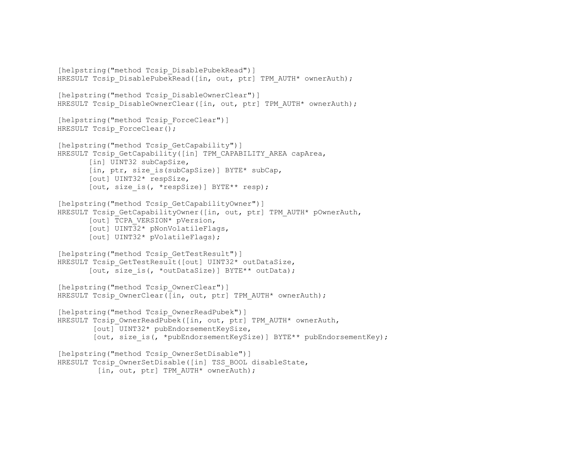```
[helpstring("method Tcsip DisablePubekRead")]
HRESULT Tcsip DisablePubekRead([in, out, ptr] TPM AUTH* ownerAuth);
[helpstring("method Tcsip DisableOwnerClear")]
HRESULT Tcsip DisableOwnerClear([in, out, ptr] TPM AUTH* ownerAuth);
[helpstring("method Tcsip ForceClear")]
HRESULT Tcsip ForceClear();
[helpstring("method Tcsip GetCapability")]
HRESULT Tcsip GetCapability([in] TPM CAPABILITY AREA capArea,
        [in] UINT32 subCapSize, 
       [in, ptr, size is(subCapSize)] BYTE* subCap,
        [out] UINT32* respSize, 
       [out, size is(, *respSize)] BYTE** resp);
[helpstring("method Tcsip GetCapabilityOwner")]
HRESULT Tcsip GetCapabilityOwner([in, out, ptr] TPM AUTH* pOwnerAuth,
        [out] TCPA_VERSION* pVersion, 
        [out] UINT32* pNonVolatileFlags, 
        [out] UINT32* pVolatileFlags); 
[helpstring("method Tcsip GetTestResult")]
HRESULT Tcsip GetTestResult([out] UINT32* outDataSize,
       [out, size is(, *outDataSize)] BYTE** outData);
[helpstring("method Tcsip OwnerClear")]
HRESULT Tcsip OwnerClear([in, out, ptr] TPM AUTH* ownerAuth);
[helpstring("method Tcsip OwnerReadPubek")]
HRESULT Tcsip OwnerReadPubek([in, out, ptr] TPM AUTH* ownerAuth,
         [out] UINT32* pubEndorsementKeySize, 
        [out, size is(, *pubEndorsementKeySize)] BYTE** pubEndorsementKey);
[helpstring("method Tcsip OwnerSetDisable")]
HRESULT Tcsip OwnerSetDisable([in] TSS BOOL disableState,
         [in, out, ptr] TPM AUTH* ownerAuth);
```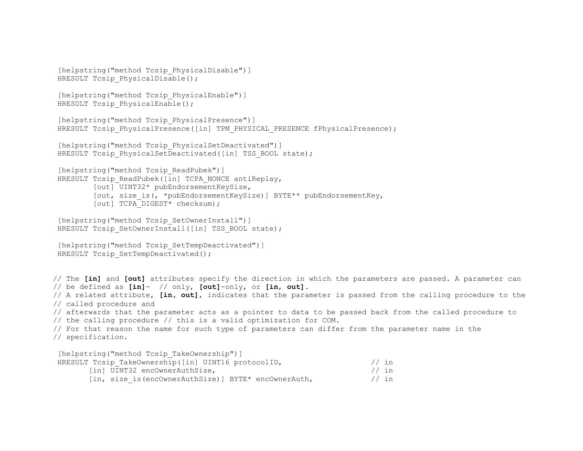```
 [helpstring("method Tcsip_PhysicalDisable")] 
HRESULT Tcsip PhysicalDisable();
```

```
[helpstring("method Tcsip PhysicalEnable")]
HRESULT Tcsip PhysicalEnable();
```

```
 [helpstring("method Tcsip_PhysicalPresence")] 
HRESULT Tcsip PhysicalPresence([in] TPM PHYSICAL PRESENCE fPhysicalPresence);
```

```
[helpstring("method Tcsip PhysicalSetDeactivated")]
HRESULT Tcsip PhysicalSetDeactivated([in] TSS BOOL state);
```

```
[helpstring("method Tcsip ReadPubek")]
HRESULT Tcsip ReadPubek([in] TCPA NONCE antiReplay,
         [out] UINT32* pubEndorsementKeySize, 
        [out, size is(, *pubEndorsementKeySize)] BYTE** pubEndorsementKey,
         [out] TCPA_DIGEST* checksum);
```

```
[helpstring("method Tcsip SetOwnerInstall")]
HRESULT Tcsip SetOwnerInstall([in] TSS BOOL state);
```

```
[helpstring("method Tcsip SetTempDeactivated")]
HRESULT Tcsip SetTempDeactivated();
```
// The **[in]** and **[out]** attributes specify the direction in which the parameters are passed. A parameter can // be defined as **[in]**- // only, **[out]**-only, or **[in**, **out]**.

// A related attribute, **[in, out]**, indicates that the parameter is passed from the calling procedure to the // called procedure and

```
// afterwards that the parameter acts as a pointer to data to be passed back from the called procedure to 
// the calling procedure // this is a valid optimization for COM.
```

```
// For that reason the name for such type of parameters can differ from the parameter name in the 
// specification.
```
[helpstring("method Tcsip\_TakeOwnership")]

| HRESULT Tcsip TakeOwnership([in] UINT16 protocolID,  | $//$ in |
|------------------------------------------------------|---------|
| [in] UINT32 encOwnerAuthSize,                        | $//$ in |
| [in, size is (encOwnerAuthSize)] BYTE* encOwnerAuth, | // in   |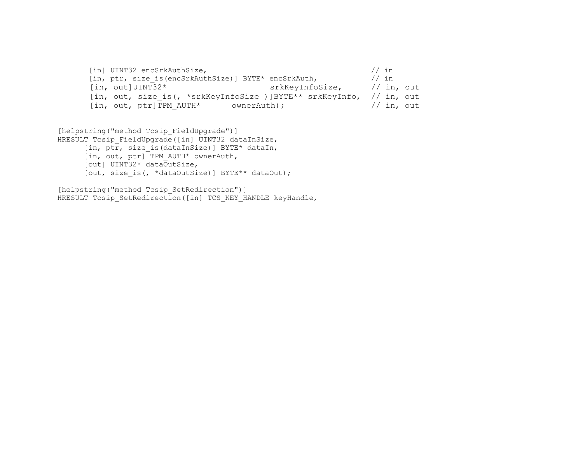```
[in] UINT32 encSrkAuthSize,<br>
[in, ptr, size is(encSrkAuthSize)] BYTE* encSrkAuth, \frac{1}{1} // in
[in, ptr, size_is(encSrkAuthSize)] BYTE* encSrkAuth,<br>[in, out]UINT32* srkKeyInfo:
                                                      srkKeyInfoSize, // in, out
[in, out, size_is(, *srkKeyInfoSize )]BYTE** srkKeyInfo, // in, out<br>[in, out, ptr]TPM AUTH* ownerAuth); // in, out
[in, out, ptr]TPM_AUTH* ownerAuth);
```

```
[helpstring("method Tcsip FieldUpgrade")]
HRESULT Tcsip FieldUpgrade([in] UINT32 dataInSize,
      [in, ptr, size is(dataInSize)] BYTE* dataIn,
      [in, out, ptr] TPM AUTH* ownerAuth,
       [out] UINT32* dataOutSize, 
      [out, size is(, *dataOutSize)] BYTE** dataOut);
```

```
[helpstring("method Tcsip SetRedirection")]
HRESULT Tcsip SetRedirection([in] TCS_KEY_HANDLE keyHandle,
```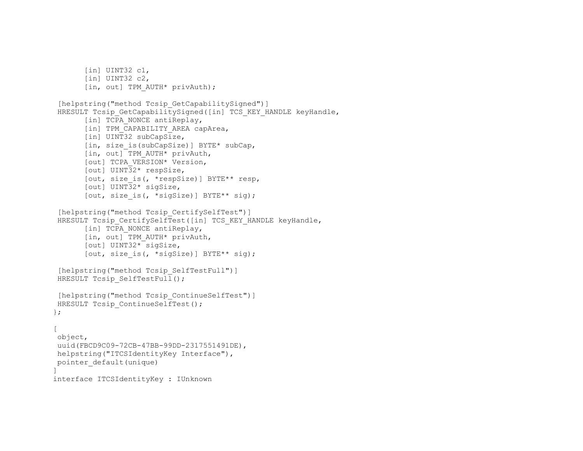```
[in] UINT32 c1,
       [in] UINT32 c2,
       [in, out] TPM AUTH* privAuth);
 [helpstring("method Tcsip GetCapabilitySigned")]
HRESULT Tcsip GetCapabilitySigned([in] TCS KEY HANDLE keyHandle,
       [in] TCPA NONCE antiReplay,
       [in] TPM CAPABILITY AREA capArea,
       [in] UINT32 subCapSize,
       [in, size is(subCapSize)] BYTE* subCap,
       [in, out] TPM AUTH* privAuth,
       [out] TCPA VERSION* Version,
        [out] UINT32* respSize, 
        [out, size_is(, *respSize)] BYTE** resp, 
        [out] UINT32* sigSize, 
       [out, size is(, *sigSize)] BYTE** sig);
 [helpstring("method Tcsip CertifySelfTest")]
HRESULT Tcsip CertifySelfTest([in] TCS KEY HANDLE keyHandle,
       [in] TCPA NONCE antiReplay,
       [in, out] TPM AUTH* privAuth,
       [out] UINT32* sigSize,
       [out, size is(, *sigSize)] BYTE** sig);
 [helpstring("method Tcsip SelfTestFull")]
HRESULT Tcsip SelfTestFull();
  [helpstring("method Tcsip_ContinueSelfTest")] 
HRESULT Tcsip ContinueSelfTest();
}; 
\Gamma object, 
 uuid(FBCD9C09-72CB-47BB-99DD-2317551491DE), 
 helpstring("ITCSIdentityKey Interface"), 
 pointer_default(unique) 
\mathbf{I}interface ITCSIdentityKey : IUnknown
```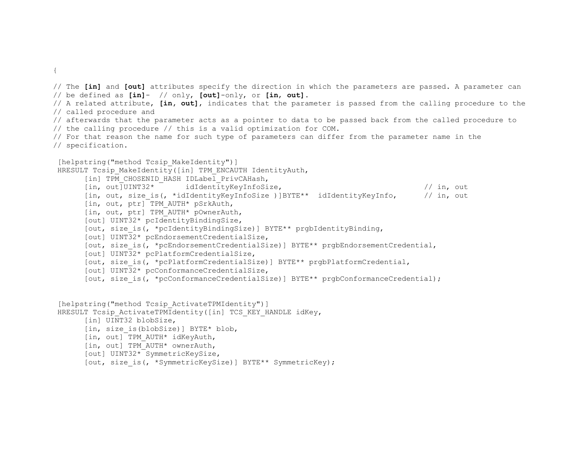```
{
```
// The **[in]** and **[out]** attributes specify the direction in which the parameters are passed. A parameter can // be defined as **[in]**- // only, **[out]**-only, or **[in**, **out]**. // A related attribute, **[in, out]**, indicates that the parameter is passed from the calling procedure to the // called procedure and // afterwards that the parameter acts as a pointer to data to be passed back from the called procedure to // the calling procedure // this is a valid optimization for COM. // For that reason the name for such type of parameters can differ from the parameter name in the // specification. [helpstring("method Tcsip MakeIdentity")] HRESULT Tcsip MakeIdentity([in] TPM ENCAUTH IdentityAuth, [in] TPM CHOSENID HASH IDLabel PrivCAHash, [in, out]UINT32\* idIdentityKeyInfoSize, // in, out [in, out, size\_is(, \*idIdentityKeyInfoSize )]BYTE\*\* idIdentityKeyInfo, // in, out [in, out, ptr] TPM AUTH\* pSrkAuth, [in, out, ptr] TPM AUTH\* pOwnerAuth, [out] UINT32\* pcIdentityBindingSize, [out, size is(, \*pcIdentityBindingSize)] BYTE\*\* prgbIdentityBinding, [out] UINT32\* pcEndorsementCredentialSize, [out, size\_is(, \*pcEndorsementCredentialSize)] BYTE\*\* prgbEndorsementCredential, [out] UINT32\* pcPlatformCredentialSize, [out, size\_is(, \*pcPlatformCredentialSize)] BYTE\*\* prgbPlatformCredential, [out] UINT32\* pcConformanceCredentialSize, [out, size is(, \*pcConformanceCredentialSize)] BYTE\*\* prgbConformanceCredential); [helpstring("method Tcsip ActivateTPMIdentity")] HRESULT Tcsip ActivateTPMIdentity([in] TCS KEY HANDLE idKey, [in] UINT32 blobSize, [in, size\_is(blobSize)] BYTE\* blob, [in, out] TPM\_AUTH\* idKeyAuth, [in, out] TPM\_AUTH\* ownerAuth, [out] UINT32\* SymmetricKeySize,

```
[out, size is(, *SymmetricKeySize)] BYTE** SymmetricKey);
```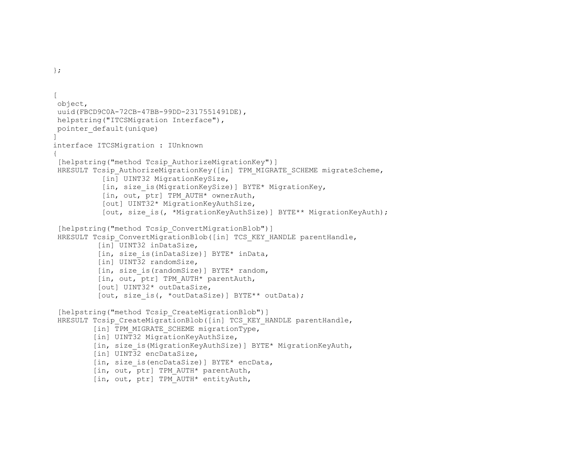```
[ 
 object, 
 uuid(FBCD9C0A-72CB-47BB-99DD-2317551491DE), 
 helpstring("ITCSMigration Interface"), 
 pointer_default(unique) 
] 
interface ITCSMigration : IUnknown 
{ 
 [helpstring("method Tcsip AuthorizeMigrationKey")]
HRESULT Tcsip AuthorizeMigrationKey([in] TPM MIGRATE SCHEME migrateScheme,
           [in] UINT32 MigrationKeySize,
           [in, size is(MigrationKeySize)] BYTE* MigrationKey,
           [in, out, ptr] TPM AUTH* ownerAuth,
            [out] UINT32* MigrationKeyAuthSize, 
           [out, size is(, *MigrationKeyAuthSize)] BYTE** MigrationKeyAuth);
 [helpstring("method Tcsip ConvertMigrationBlob")]
 HRESULT Tcsip ConvertMigrationBlob([in] TCS KEY HANDLE parentHandle,
          [in] UINT32 inDataSize,
           [in, size_is(inDataSize)] BYTE* inData, 
          [in] UINT32 randomSize,
          [in, size is(randomSize)] BYTE* random,
          [in, out, ptr] TPM AUTH* parentAuth,
           [out] UINT32* outDataSize, 
          [out, size is(, *outDataSize)] BYTE** outData);
 [helpstring("method Tcsip CreateMigrationBlob")]
 HRESULT Tcsip CreateMigrationBlob([in] TCS KEY HANDLE parentHandle,
         [in] TPM MIGRATE SCHEME migrationType,
         [in] UINT32 MigrationKeyAuthSize,
          [in, size_is(MigrationKeyAuthSize)] BYTE* MigrationKeyAuth, 
         [in] UINT32 encDataSize,
         [in, size is(encDataSize)] BYTE* encData,
         [in, out, ptr] TPM AUTH* parentAuth,
         [in, out, ptr] TPM AUTH* entityAuth,
```
};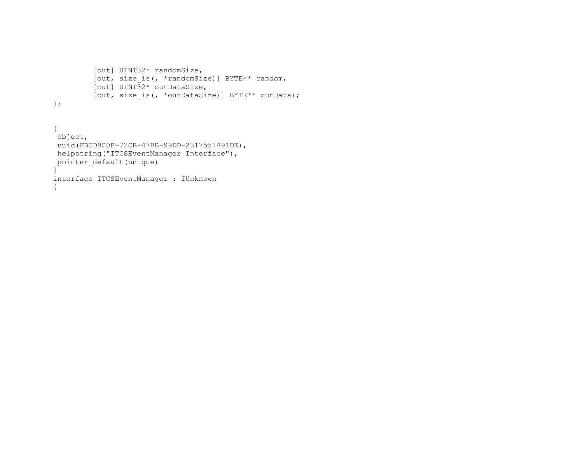```
 [out] UINT32* randomSize, 
 [out, size_is(, *randomSize)] BYTE** random, 
 [out] UINT32* outDataSize, 
        .<br>[out, size is(, *outDataSize)] BYTE** outData);
};
```
[ object, uuid(FBCD9C0B-72CB-47BB-99DD-2317551491DE), helpstring("ITCSEventManager Interface"), pointer default(unique) ] interface ITCSEventManager : IUnknown {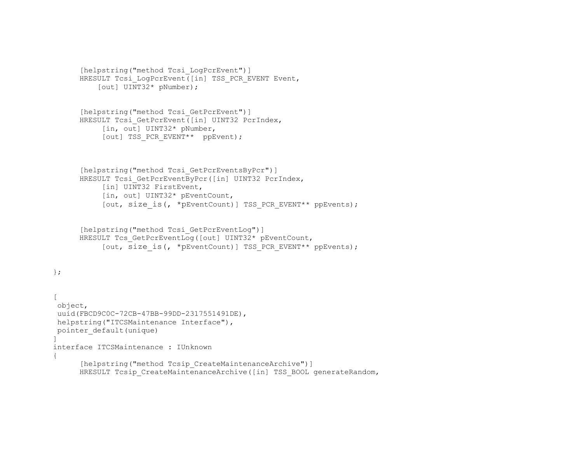```
[helpstring("method Tcsi_LogPcrEvent")] 
      HRESULT Tcsi LogPcrEvent([in] TSS PCR EVENT Event,
          [out] UINT32* pNumber);
      [helpstring("method Tcsi_GetPcrEvent")] 
      HRESULT Tcsi GetPcrEvent([in] UINT32 PcrIndex,
           [in, out] UINT32* pNumber,
           [out] TSS PCR_EVENT** ppEvent);
      [helpstring("method Tcsi GetPcrEventsByPcr")]
      HRESULT Tcsi_GetPcrEventByPcr([in] UINT32 PcrIndex,
           [in] UINT32 FirstEvent,
            [in, out] UINT32* pEventCount, 
           [out, size is(, *pEventCount)] TSS PCR EVENT** ppEvents);
       [helpstring("method Tcsi_GetPcrEventLog")] 
     HRESULT Tcs GetPcrEventLog([out] UINT32* pEventCount,
           [out, size is(, *pEventCount)] TSS PCR EVENT** ppEvents);
}; 
\lceil object, 
uuid(FBCD9C0C-72CB-47BB-99DD-2317551491DE),
 helpstring("ITCSMaintenance Interface"), 
 pointer_default(unique) 
] 
interface ITCSMaintenance : IUnknown 
{ 
      [helpstring("method Tcsip CreateMaintenanceArchive")]
     HRESULT Tcsip_CreateMaintenanceArchive([in] TSS BOOL generateRandom,
```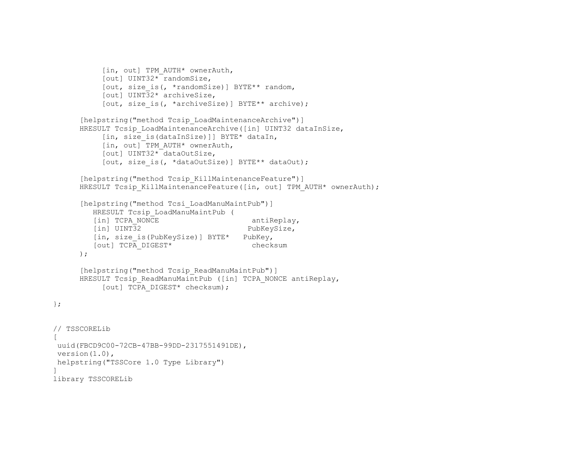```
 [in, out] TPM_AUTH* ownerAuth, 
           [out] UINT32* randomSize, 
           [out, size_is(, *randomSize)] BYTE** random, 
          [out] UINT32* archiveSize,
          [out, size is(, *archiveSize)] BYTE** archive);
     [helpstring("method Tcsip LoadMaintenanceArchive")]
     HRESULT Tcsip LoadMaintenanceArchive([in] UINT32 dataInSize,
          [in, size is(dataInSize)]] BYTE* dataIn,
           [in, out] TPM_AUTH* ownerAuth, 
           [out] UINT32* dataOutSize, 
          [out, size is(, *dataOutSize)] BYTE** dataOut);
     [helpstring("method Tcsip KillMaintenanceFeature")]
     HRESULT Tcsip KillMaintenanceFeature([in, out] TPM AUTH* ownerAuth);
     [helpstring("method Tcsi LoadManuMaintPub")]
        HRESULT Tcsip_LoadManuMaintPub ( 
        [in] TCPA NONCE antiReplay,
        [in] UINT32 PubKeySize,
        [in, size is(PubKeySize)] BYTE* PubKey,
        [out] TCPA_DIGEST* checksum 
     ); 
     [helpstring("method Tcsip ReadManuMaintPub")]
     HRESULT Tcsip ReadManuMaintPub ([in] TCPA NONCE antiReplay,
          [out] TCPA DIGEST* checksum);
// TSSCORELib 
 uuid(FBCD9C00-72CB-47BB-99DD-2317551491DE), 
version(1.0),
 helpstring("TSSCore 1.0 Type Library") 
library TSSCORELib
```
};

 $\lceil$ 

 $\mathbf{I}$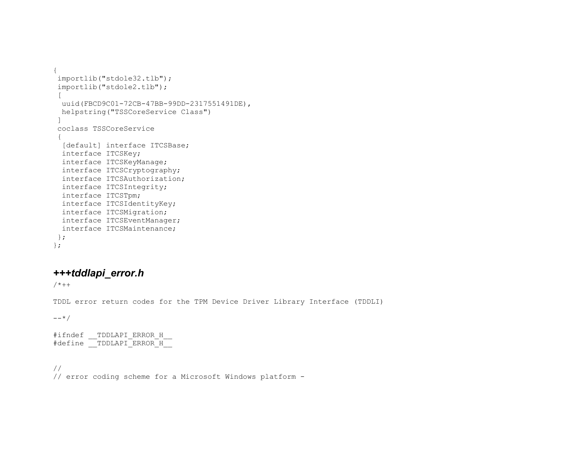```
{ 
 importlib("stdole32.tlb"); 
  importlib("stdole2.tlb"); 
 \Gamma uuid(FBCD9C01-72CB-47BB-99DD-2317551491DE), 
  helpstring("TSSCoreService Class") 
  ] 
  coclass TSSCoreService  { 
  [default] interface ITCSBase;
   interface ITCSKey; 
   interface ITCSKeyManage; 
   interface ITCSCryptography; 
   interface ITCSAuthorization; 
   interface ITCSIntegrity; 
   interface ITCSTpm; 
  interface ITCSIdentityKey; 
  interface ITCSMigration; 
   interface ITCSEventManager; 
  interface ITCSMaintenance; 
 }; 
};
```
# *+++tddlapi\_error.h*

 $/ * + +$ 

TDDL error return codes for the TPM Device Driver Library Interface (TDDLI)

 $--*/$ 

#ifndef TDDLAPI ERROR H #define TDDLAPI ERROR H

// // error coding scheme for a Microsoft Windows platform -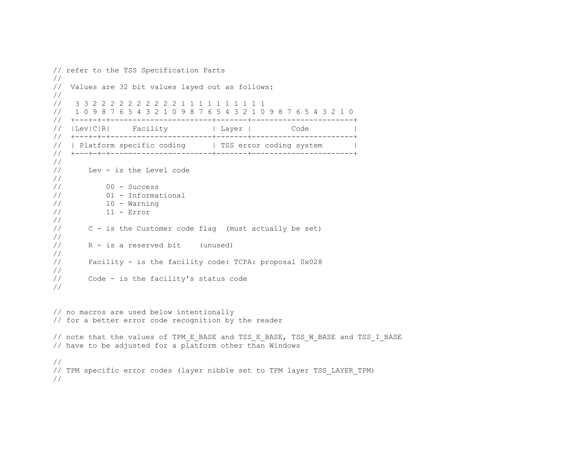```
// refer to the TSS Specification Parts 
// 
// Values are 32 bit values layed out as follows: 
// 
// 3 3 2 2 2 2 2 2 2 2 2 2 1 1 1 1 1 1 1 1 1 1 
// 1 0 9 8 7 6 5 4 3 2 1 0 9 8 7 6 5 4 3 2 1 0 9 8 7 6 5 4 3 2 1 0 
// +---+-+-+-----------------------+-------+-----------------------+ 
// |Lev|C|R| Facility | Layer | Code
// +---+-+-+-----------------------+-------+-----------------------+ 
// | Platform specific coding | TSS error coding system
// +---+-+-+-----------------------+-------+-----------------------+ 
// 
// Lev - is the Level code 
// 
// 00 - Success 
// 01 - Informational 
10 - \text{Warning}// 11 - Error 
// 
// C - is the Customer code flag (must actually be set) 
// 
// R - is a reserved bit (unused) 
// 
// Facility - is the facility code: TCPA: proposal 0x028 
// 
// Code - is the facility's status code 
// 
// no macros are used below intentionally 
// for a better error code recognition by the reader 
// note that the values of TPM E BASE and TSS E BASE, TSS W BASE and TSS I BASE
// have to be adjusted for a platform other than Windows 
// 
// TPM specific error codes (layer nibble set to TPM layer TSS_LAYER_TPM) 
//
```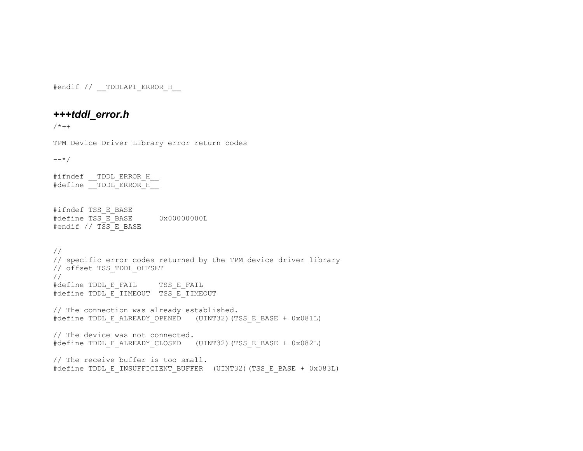#endif // TDDLAPI ERROR H

# *+++tddl\_error.h*

 $/ * + +$ 

TPM Device Driver Library error return codes

 $--*/$ 

#ifndef \_\_TDDL\_ERROR\_H\_\_ #define TDDL ERROR H

#ifndef TSS\_E\_BASE #define TSS\_E\_BASE 0x00000000L #endif // TSS E BASE

// // specific error codes returned by the TPM device driver library // offset TSS\_TDDL\_OFFSET // #define TDDL E FAIL TSS E FAIL #define TDDL E TIMEOUT TSS E TIMEOUT // The connection was already established. #define TDDL E ALREADY OPENED (UINT32)(TSS E BASE + 0x081L) // The device was not connected. #define TDDL\_E\_ALREADY\_CLOSED (UINT32)(TSS\_E\_BASE + 0x082L) // The receive buffer is too small.

#define TDDL E INSUFFICIENT BUFFER (UINT32)(TSS E BASE + 0x083L)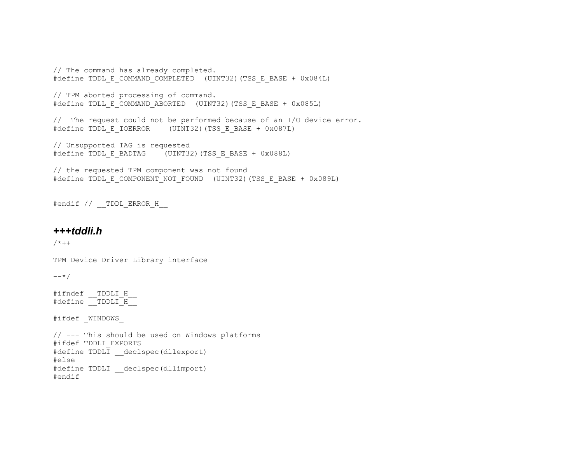// The command has already completed. #define TDDL E COMMAND COMPLETED (UINT32)(TSS E BASE + 0x084L)

// TPM aborted processing of command. #define TDLL E COMMAND ABORTED (UINT32)(TSS E BASE + 0x085L)

// The request could not be performed because of an I/O device error. #define TDDL\_E\_IOERROR (UINT32)(TSS\_E\_BASE + 0x087L)

// Unsupported TAG is requested #define TDDL\_E\_BADTAG (UINT32)(TSS\_E\_BASE + 0x088L)

// the requested TPM component was not found #define TDDL E COMPONENT NOT FOUND (UINT32)(TSS E BASE + 0x089L)

#endif // TDDL ERROR H

#### *+++tddli.h*

 $/ * + +$ 

TPM Device Driver Library interface

 $--*/$ 

#ifndef TDDLI H #define TDDLI H

#ifdef \_WINDOWS\_

```
// --- This should be used on Windows platforms 
#ifdef TDDLI_EXPORTS 
#define TDDLI declspec(dllexport)
#else 
#define TDDLI __declspec(dllimport) 
#endif
```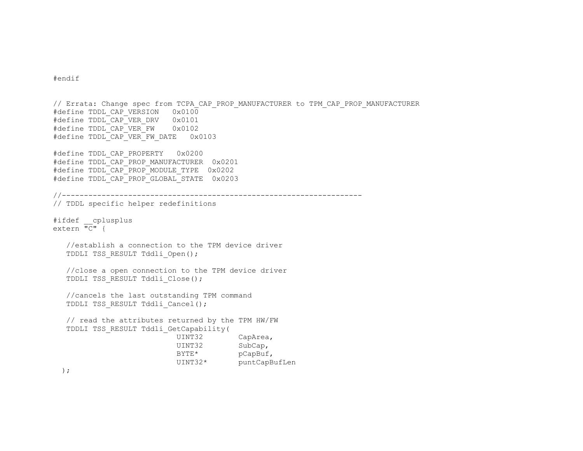#endif

// Errata: Change spec from TCPA\_CAP\_PROP\_MANUFACTURER to TPM\_CAP\_PROP\_MANUFACTURER #define TDDL CAP VERSION 0x0100 #define TDDL CAP VER DRV 0x0101 #define TDDL CAP VER FW 0x0102 #define TDDL CAP VER FW DATE 0x0103 #define TDDL CAP PROPERTY 0x0200 #define TDDL\_CAP\_PROP\_MANUFACTURER 0x0201 #define TDDL CAP PROP MODULE TYPE 0x0202 #define TDDL\_CAP\_PROP\_GLOBAL\_STATE 0x0203 //-------------------------------------------------------------------- // TDDL specific helper redefinitions #ifdef \_\_cplusplus extern  $\overline{"C}"$  { //establish a connection to the TPM device driver TDDLI TSS RESULT Tddli Open(); //close a open connection to the TPM device driver TDDLI TSS\_RESULT Tddli\_Close(); //cancels the last outstanding TPM command TDDLI TSS\_RESULT Tddli\_Cancel(); // read the attributes returned by the TPM HW/FW TDDLI TSS\_RESULT Tddli\_GetCapability( UINT32 CapArea, UINT32 SubCap, BYTE\* pCapBuf, UINT32\* puntCapBufLen );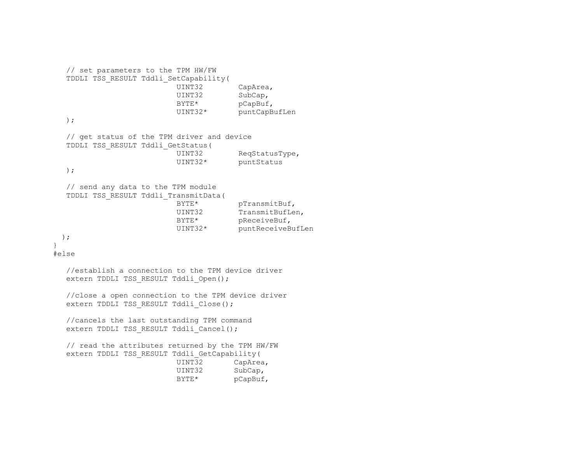```
 // set parameters to the TPM HW/FW 
   TDDLI TSS_RESULT Tddli_SetCapability( 
                           UINT32 CapArea, 
                           UINT32 SubCap, 
                          BYTE* pCapBuf,
                           UINT32* puntCapBufLen 
   ); 
   // get status of the TPM driver and device 
   TDDLI TSS_RESULT Tddli_GetStatus( 
                           UINT32 ReqStatusType, 
                           UINT32* puntStatus 
   ); 
   // send any data to the TPM module 
   TDDLI TSS_RESULT Tddli_TransmitData( 
                          BYTE* pTransmitBuf,
                          UINT32 TransmitBufLen,
                          BYTE* pReceiveBuf,
                           UINT32* puntReceiveBufLen 
  ); 
} 
#else 
   //establish a connection to the TPM device driver 
  extern TDDLI TSS RESULT Tddli Open();
   //close a open connection to the TPM device driver 
  extern TDDLI TSS RESULT Tddli Close();
   //cancels the last outstanding TPM command 
  extern TDDLI TSS RESULT Tddli Cancel();
   // read the attributes returned by the TPM HW/FW 
   extern TDDLI TSS_RESULT Tddli_GetCapability( 
                           UINT32 CapArea, 
                           UINT32 SubCap, 
                          BYTE* pCapBuf,
```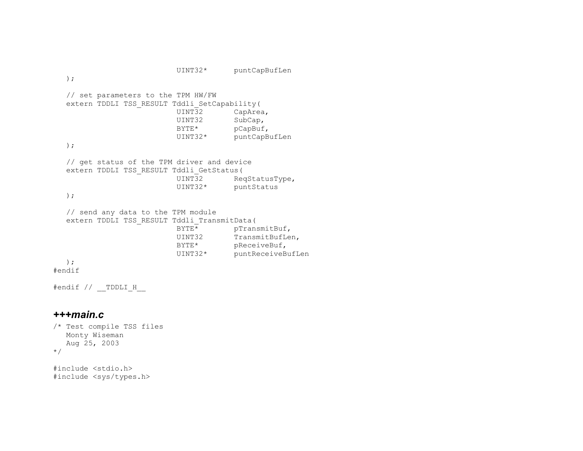```
 UINT32* puntCapBufLen 
   ); 
   // set parameters to the TPM HW/FW 
   extern TDDLI TSS_RESULT Tddli_SetCapability( 
                            UINT32 CapArea, 
                            UINT32 SubCap, 
                           BYTE* pCapBuf,
                            UINT32* puntCapBufLen 
   ); 
   // get status of the TPM driver and device 
   extern TDDLI TSS_RESULT Tddli_GetStatus( 
                                        ReqStatusType,
                            UINT32* puntStatus 
   ); 
   // send any data to the TPM module 
  extern TDDLI TSS_RESULT Tddli_TransmitData(<br>pTran:
                                        pTransmitBuf,
                           UINT32 TransmitBufLen,
                           BYTE* pReceiveBuf,
                            UINT32* puntReceiveBufLen 
   ); 
#endif
```
#endif // \_\_TDDLI\_H\_\_

### *+++main.c*

```
/* Test compile TSS files 
   Monty Wiseman 
    Aug 25, 2003 
*/
```
#include <stdio.h> #include <sys/types.h>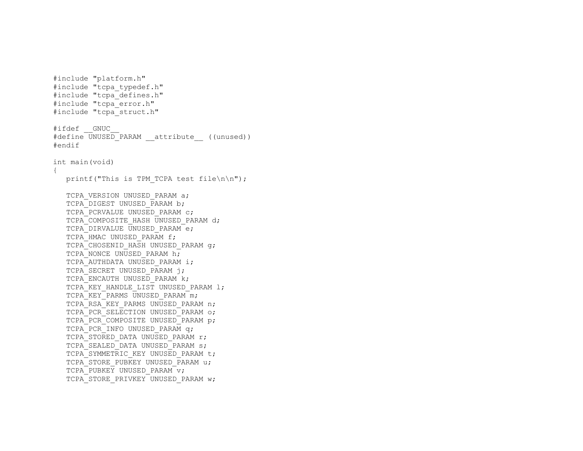```
#include "platform.h" 
#include "tcpa typedef.h"
#include "tcpa_defines.h" 
#include "tcpa_error.h" 
#include "tcpa_struct.h" 
#ifdef GNUC
#define UNUSED PARAM attribute ((unused))
#endif 
int main(void) 
{ 
  printf("This is TPM TCPA test file\n\n");
  TCPA VERSION UNUSED PARAM a;
  TCPA DIGEST UNUSED PARAM b;
   TCPA_PCRVALUE UNUSED_PARAM c; 
  TCPA COMPOSITE HASH UNUSED PARAM d;
   TCPA_DIRVALUE UNUSED_PARAM e; 
  TCPA HMAC UNUSED PARAM f;
  TCPA CHOSENID HASH UNUSED PARAM q;
  TCPA NONCE UNUSED PARAM h;
  TCPA AUTHDATA UNUSED PARAM i;
   TCPA_SECRET UNUSED_PARAM j; 
  TCPA ENCAUTH UNUSED PARAM k;
  TCPA<sup>KEY</sup> HANDLE LIST UNUSED PARAM 1;
  TCPA KEY PARMS UNUSED PARAM m;
  TCPA RSA KEY PARMS UNUSED PARAM n;
  TCPA_PCR_SELECTION UNUSED_PARAM o;
  TCPA PCR COMPOSITE UNUSED PARAM p;
  TCPA PCR INFO UNUSED PARAM q;
  TCPA_STORED_DATA UNUSED_PARAM r;
  TCPA SEALED DATA UNUSED PARAM s;
  TCPA SYMMETRIC KEY UNUSED PARAM t;
   TCPA STORE PUBKEY UNUSED PARAM u;
  TCPA PUBKEY UNUSED PARAM v;
  TCPA_STORE_PRIVKEY_UNUSED_PARAM w;
```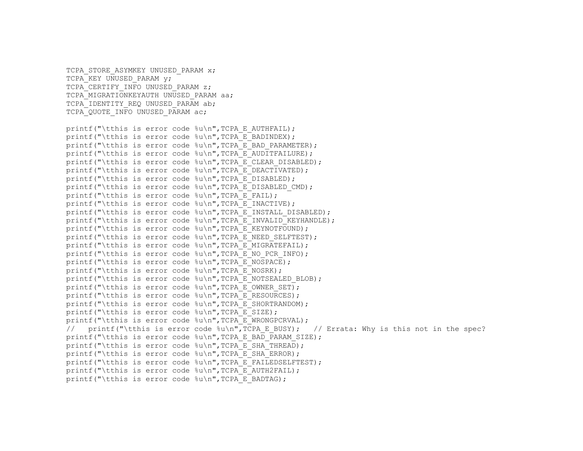TCPA IDENTITY REQ UNUSED PARAM ab; TCPA QUOTE INFO UNUSED PARAM ac; printf("\tthis is error code  $\nu\$ n", TCPA E AUTHFAIL); printf("\tthis is error code %u\n", TCPA E BADINDEX); printf("\tthis is error code %u\n", TCPA E BAD PARAMETER); printf("\tthis is error code  $\{u\}$ , TCPA E AUDITFAILURE); printf("\tthis is error code  $\frac{1}{8}$ u\n",TCPA\_E\_CLEAR\_DISABLED); printf("\tthis is error code %u\n", TCPA\_E\_DEACTIVATED); printf("\tthis is error code  $\nu \nightharpoonup$ ", TCPA E DISABLED); printf("\tthis is error code  $\{u\}$ , TCPA E DISABLED CMD); printf("\tthis is error code %u\n", TCPA E FAIL); printf("\tthis is error code  $\nu \nightharpoonup$ ", TCPA E INACTIVE); printf("\tthis is error code %u\n", TCPA E INSTALL DISABLED); printf("\tthis is error code  $\iota\$ ), TCPA E INVALID KEYHANDLE); printf("\tthis is error code %u\n", TCPA\_E\_KEYNOTFOUND); printf("\tthis is error code %u\n", TCPA E NEED SELFTEST); printf("\tthis is error code  $\nu$ , "CPA\_E\_MIGRATEFAIL); printf("\tthis is error code  $\nu$ , TCPA\_E\_NO\_PCR\_INFO); printf("\tthis is error code  $(u \in W, TCPA E$  NOSPACE); printf("\tthis is error code %u\n", TCPA E NOSRK); printf("\tthis is error code %u\n", TCPA E NOTSEALED BLOB); printf("\tthis is error code  $\text{Nu}$ ", TCPA E OWNER SET); printf("\tthis is error code %u\n", TCPA E RESOURCES); printf("\tthis is error code  $\nu$ ), TCPA E SHORTRANDOM); printf("\tthis is error code  $\nu\$ n", TCPA E SIZE); printf("\tthis is error code  $\nu$ ,",TCPA E WRONGPCRVAL); // printf("\tthis is error code  $\ell \nu$ ), TCPA E\_BUSY); // Errata: Why is this not in the spec? printf("\tthis is error code %u\n", TCPA E BAD PARAM SIZE); printf("\tthis is error code %u\n", TCPA E SHA THREAD); printf("\tthis is error code  $\nu \nvert$ ", TCPA E SHA ERROR); printf("\tthis is error code %u\n", TCPA E FAILEDSELFTEST); printf("\tthis is error code  $\text{Nu}$ ", TCPA E AUTH2FAIL); printf("\tthis is error code  $\nu$ ,", TCPA E BADTAG);

TCPA STORE ASYMKEY UNUSED PARAM x;

TCPA\_CERTIFY\_INFO UNUSED\_PARAM z; TCPA MIGRATIONKEYAUTH UNUSED PARAM aa;

TCPA KEY UNUSED PARAM y;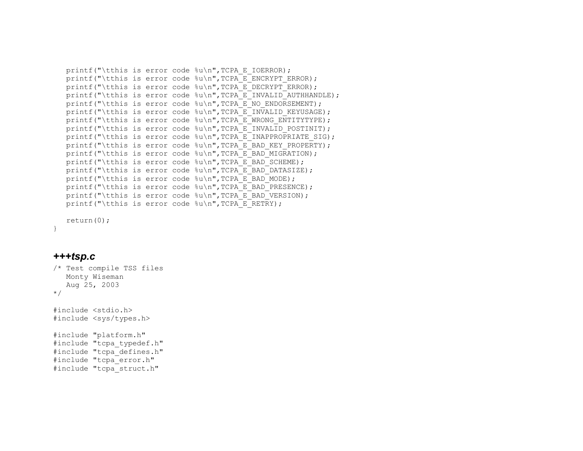```
printf("\tthis is error code (u \in \mathbb{R});
printf("\tthis is error code %u\n", TCPA E ENCRYPT ERROR);
printf("\tthis is error code %u\n", TCPA E DECRYPT ERROR);
printf("\tthis is error code %u\n", TCPA_E_INVALID_AUTHHANDLE);
printf("\tthis is error code %u\n", TCPA E NO ENDORSEMENT);
printf("\tthis is error code %u\n", TCPA E INVALID KEYUSAGE);
printf("\tthis is error code \sqrt[n]{n}, TCPA E WRONG ENTITYTYPE);
printf("\tthis is error code %u\n", TCPA E INVALID POSTINIT);
printf("\tthis is error code \nu, TCPA E INAPPROPRIATE SIG);
printf("\tthis is error code \nu \nightharpoonup", TCPA E BAD KEY PROPERTY);
printf("\tthis is error code \{u\}, TCPA E BAD MIGRATION);
printf("\tthis is error code \text{Nu}", TCPA E_BAD_SCHEME);
printf("\tthis is error code %u\n", TCPA_E_BAD_DATASIZE);
printf("\tthis is error code \nu \nightharpoonup", TCPA E BAD MODE);
printf("\tthis is error code %u\n", TCPA E BAD PRESENCE);
printf("\tthis is error code \nu, TCPA E BAD VERSION);
printf("\tthis is error code \nu\n", TCPA E RETRY);
```

```
 return(0);
```
### *+++tsp.c*

}

```
/* Test compile TSS files 
   Monty Wiseman 
   Aug 25, 2003 
*/ 
#include <stdio.h> 
#include <sys/types.h> 
#include "platform.h" 
#include "tcpa typedef.h"
#include "tcpa_defines.h" 
#include "tcpa_error.h" 
#include "tcpa_struct.h"
```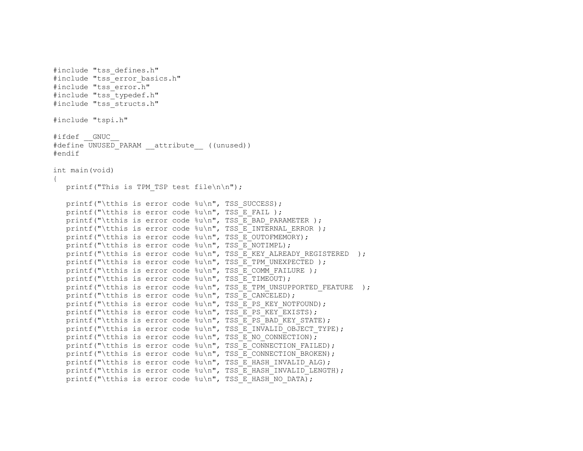```
#include "tss_defines.h" 
#include "tss error basics.h"
#include "tss_error.h" 
#include "tss typedef.h"
#include "tss_structs.h" 
#include "tspi.h" 
#ifdef GNUC
#define UNUSED PARAM attribute ((unused))
#endif 
int main(void) 
{ 
  printf("This is TPM TSP test file\n\n");
  printf("\tthis is error code %u\n", TSS SUCCESS);
  printf("\tthis is error code \nu,", TSS E FAIL );
  printf("\tthis is error code \{u\}", TSS E BAD PARAMETER );
  printf("\tthis is error code \ell \u\n", TSS E INTERNAL ERROR );
  printf("\tthis is error code %u\n", TSS E OUTOFMEMORY);
  printf("\tthis is error code \{u\}", TSS E NOTIMPL);
  printf("\tthis is error code \nu, TSS E KEY ALREADY REGISTERED );
  printf("\tthis is error code \ell \u\n", TSS E TPM UNEXPECTED );
  printf("\tthis is error code \{u\}, TSS E COMM FAILURE );
  printf("\tthis is error code %u\n", TSS_E_TIMEOUT);
  printf("\tthis is error code \{u\n\}, TSS E TPM UNSUPPORTED FEATURE );
  printf("\tthis is error code %u\n", TSS E CANCELED);
  printf("\tthis is error code %u\n", TSS E PS KEY NOTFOUND);
  printf("\tthis is error code \text{su}\n", TSS E PS KEY EXISTS);
  printf("\tthis is error code %u\n", TSS E PS BAD KEY STATE);
  printf("\tthis is error code %u\n", TSS_E_INVALID_OBJECT_TYPE);
  printf("\tthis is error code \text{Nu}\, TSS_E_NO_CONNECTION);
  printf("\tthis is error code %u\n", TSS E CONNECTION FAILED);
  printf("\tthis is error code %u\n", TSS E CONNECTION BROKEN);
  printf("\tthis is error code \ell\u\n", TSS_E_HASH_INVALID_ALG);
  printf("\tthis is error code \frac{1}{8}u\n", TSS_E_HASH_INVALID_LENGTH);
  printf("\tthis is error code \text{Nu}", TSS E HASH NO DATA);
```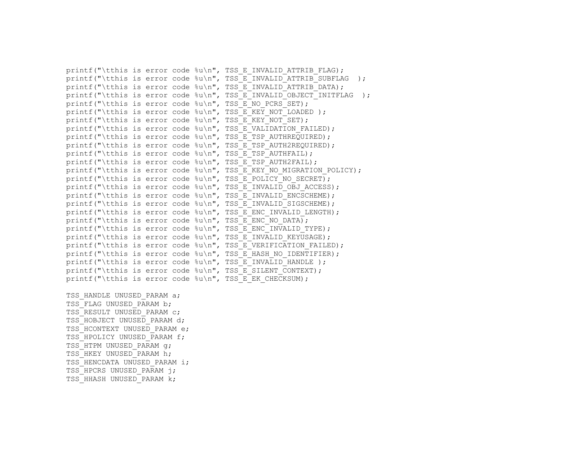```
printf("\tthis is error code \text{Nu}\", TSS E INVALID ATTRIB FLAG);
printf("\tthis is error code \sqrt[n]{n}, TSS E<sup>T</sup>INVALID<sup>T</sup>ATTRIB<sup>T</sup>SUBFLAG );
printf("\tthis is error code \nu, TSS_E_INVALID_ATTRIB_DATA);
printf("\tthis is error code \{u\n\}", TSS E_INVALID_OBJECT_INITFLAG );
printf("\tthis is error code \nu \nmid, TSS_E_NO_PCRS_SET);
printf("\tthis is error code \ell \nu, TSS E KEY NOT LOADED );
printf("\tthis is error code \nu \nabla, TSS E KEY_NOT_SET);
printf("\tthis is error code %u\n", TSS E VALIDATION FAILED);
printf("\tthis is error code %u\n", TSS E TSP AUTHREQUIRED);
printf("\tthis is error code %u\n", TSS E TSP AUTH2REQUIRED);
printf("\tthis is error code \{u\}", TSS E TSP AUTHFAIL);
printf("\tthis is error code \text{Nu}", TSS_E_TSP_AUTH2FAIL);
printf("\tthis is error code %u\n", TSS_E_KEY_NO_MIGRATION_POLICY);
printf("\tthis is error code %u\n", TSS_E_POLICY_NO_SECRET);
printf("\tthis is error code \{u\n\}, TSS E INVALID OBJ ACCESS);
printf("\tthis is error code \text{Nu}", TSS_E_INVALID_ENCSCHEME);
printf("\tthis is error code \nu, TSS E INVALID SIGSCHEME);
printf("\tthis is error code \{u\}", TSS E ENC INVALID LENGTH);
printf("\tthis is error code %u\n", TSS E ENC NO DATA);
printf("\tthis is error code \ell \nu \nightharpoonup", TSS E ENC INVALID TYPE);
printf("\tthis is error code \text{Nu}\text{m}, TSS_E_INVALID KEYUSAGE);
printf("\tthis is error code %u\n", TSS_E_VERIFICATION FAILED);
printf("\tthis is error code \{u\}", TSS_E_HASH_NO_IDENTIFIER);
printf("\tthis is error code \ell \u\n", TSS E INVALID HANDLE );
printf("\tthis is error code \text{su}\n", TSS E SILENT CONTEXT);
printf("\tthis is error code %u\n", TSS E EK CHECKSUM);
```
TSS HANDLE UNUSED PARAM a; TSS\_FLAG\_UNUSED\_PARAM b; TSS RESULT UNUSED PARAM C; TSS HOBJECT UNUSED PARAM d: TSS\_HCONTEXT\_UNUSED\_PARAM e: TSS HPOLICY UNUSED PARAM f; TSS HTPM UNUSED PARAM q; TSS HKEY UNUSED PARAM h; TSS HENCDATA UNUSED PARAM i; TSS HPCRS UNUSED PARAM i; TSS HHASH UNUSED PARAM k;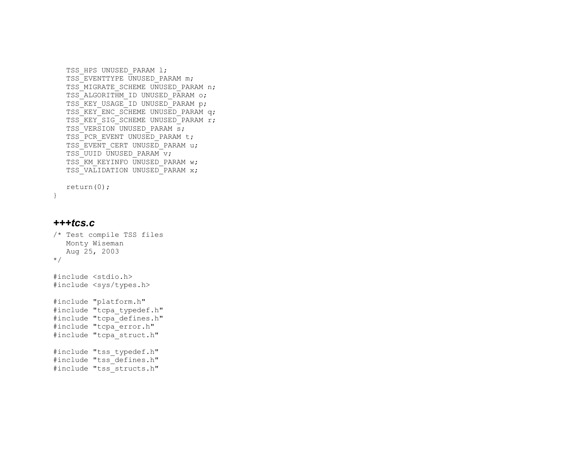```
TSS HPS UNUSED PARAM 1;
 TSS_EVENTTYPE UNUSED_PARAM m; 
TSS MIGRATE SCHEME UNUSED PARAM n;
TSS ALGORITHM ID UNUSED PARAM o;
TSS_KEY_USAGE_ID_UNUSED_PARAM p;
TSS_KEY_ENC_SCHEME UNUSED PARAM q;
TSS_KEY_SIG_SCHEME UNUSED_PARAM r;
TSS VERSION UNUSED PARAM s;
TSS PCR EVENT UNUSED PARAM t;
TSS_EVENT_CERT_UNUSED_PARAM_u;
TSS UUID UNUSED PARAM v;
TSS KM KEYINFO UNUSED PARAM w;
TSS_VALIDATION UNUSED_PARAM x;
```

```
 return(0);
```

```
}
```
#### *+++tcs.c*

```
/* Test compile TSS files 
    Monty Wiseman 
    Aug 25, 2003 
*/ 
#include <stdio.h> 
#include <sys/types.h>
```

```
#include "platform.h" 
#include "tcpa_typedef.h" 
#include "tcpa_defines.h"
#include "tcpa_error.h" 
#include "tcpa_struct.h" 
#include "tss typedef.h"
#include "tss_defines.h" 
#include "tss_structs.h"
```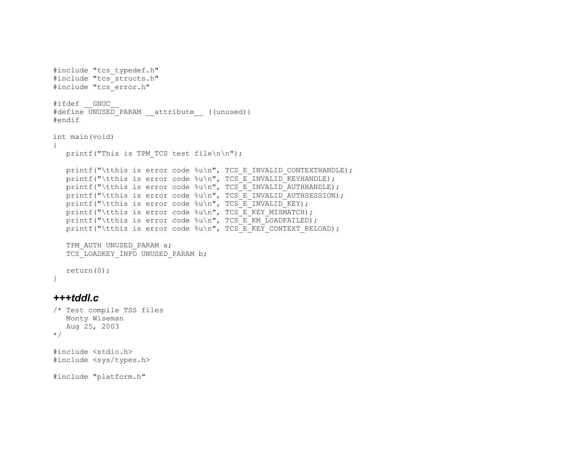```
#include "tcs typedef.h"
#include "tcs_structs.h" 
#include "tcs_error.h" 
#ifdef GNUC
#define UNUSED_PARAM __attribute__ ((unused)) 
#endif 
int main(void) 
{ 
   printf("This is TPM TCS test file\n\n");
   printf("\tthis is error code %u\n", TCS E INVALID CONTEXTHANDLE);
   printf("\tthis is error code %u\n", TCS E INVALID KEYHANDLE);
   printf("\tthis is error code \{u\n\}, TCS E INVALID AUTHHANDLE);
   printf("\tthis is error code \text{Nu}", TCS_E_INVALID_AUTHSESSION);
   printf("\tthis is error code \text{Nu}\, TCS_E_INVALID_KEY);
   printf("\tthis is error code \nu, "CS_E_KEY_MISMATCH);
   printf("\tthis is error code %u\n", TCS_E_KM_LOADFAILED);
   printf("\tthis is error code \text{Nu}\gamma, TCS_E_KEY_CONTEXT_RELOAD);
   TPM AUTH UNUSED PARAM a;
   TCS LOADKEY INFO UNUSED PARAM b;
    return(0);
```
#### *+++tddl.c*

}

```
/* Test compile TSS files 
    Monty Wiseman 
    Aug 25, 2003 
*/
```

```
#include <stdio.h> 
#include <sys/types.h>
```
#include "platform.h"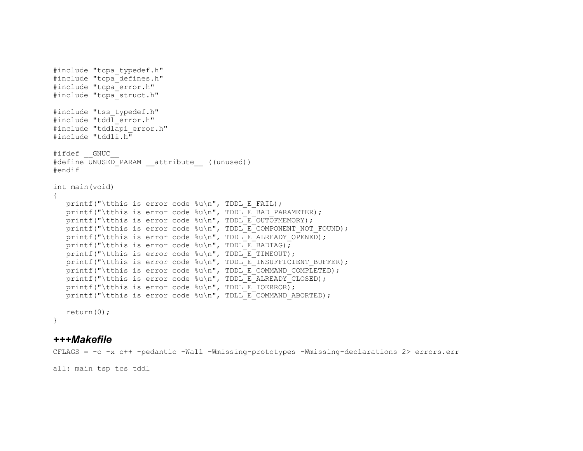```
#include "tcpa_typedef.h" 
#include "tcpa defines.h"
#include "tcpa_error.h" 
#include "tcpa_struct.h" 
#include "tss typedef.h"
#include "tddl_error.h" 
#include "tddlapi_error.h" 
#include "tddli.h"
#ifdef GNUC
#define UNUSED PARAM attribute ((unused))
#endif 
int main(void) 
{ 
   printf("\tthis is error code \nu<sup>n</sup>, TDDL E FAIL);
   printf("\tthis is error code \{u\}", TDDL E BAD PARAMETER);
   printf("\tthis is error code %u\n", TDDL E OUTOFMEMORY);
   printf("\tthis is error code \text{Nu}", TDDL E COMPONENT NOT FOUND);
   printf("\tthis is error code \text{Nu}\, TDDL E ALREADY OPENED);
   printf("\tthis is error code \text{su}\n", TDDL E BADTAG);
   printf("\tthis is error code \sqrt[8]{n}", TDDL E TIMEOUT);
   printf("\tthis is error code %u\n", TDDL E INSUFFICIENT BUFFER);
   printf("\tthis is error code \text{Nu}, TDDL E_COMMAND COMPLETED);
   printf("\tthis is error code %u\n", TDDL E ALREADY CLOSED);
   printf("\tthis is error code \nu \nabla", TDDL E IOERROR);
   printf("\tthis is error code \nu \nightharpoonup", TDLL E COMMAND ABORTED);
    return(0); 
}
```
## *+++Makefile*

CFLAGS = -c -x c++ -pedantic -Wall -Wmissing-prototypes -Wmissing-declarations 2> errors.err

all: main tsp tcs tddl